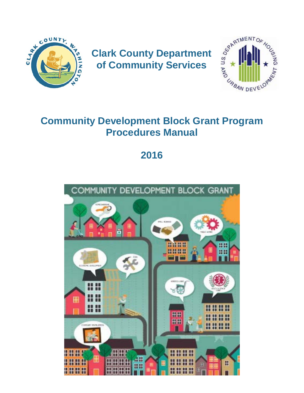

**of Community Services**



# **Community Development Block Grant Program Procedures Manual**

# **2016**

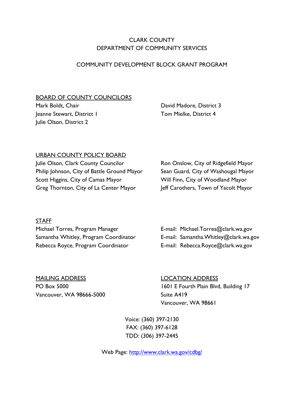# CLARK COUNTY DEPARTMENT OF COMMUNITY SERVICES

#### COMMUNITY DEVELOPMENT BLOCK GRANT PROGRAM

#### BOARD OF COUNTY COUNCILORS

Mark Boldt, Chair Jeanne Stewart, District 1 Julie Olson, District 2

David Madore, District 3 Tom Mielke, District 4

#### URBAN COUNTY POLICY BOARD

Julie Olson, Clark County Councilor Philip Johnson, City of Battle Ground Mayor Scott Higgins, City of Camas Mayor Greg Thornton, City of La Center Mayor

Ron Onslow, City of Ridgefield Mayor Sean Guard, City of Washougal Mayor Will Finn, City of Woodland Mayor Jeff Carothers, Town of Yacolt Mayor

#### **STAFF**

Michael Torres, Program Manager **E-mail: Michael.Torres@clark.wa.gov** Samantha Whitley, Program Coordinator **E-mail: Samantha.Whitley@clark.wa.gov** Rebecca Royce, Program Coordinator **E-mail: [Rebecca.Royce@clark.wa.gov](mailto:Rebecca.Royce@clark.wa.gov)** 

MAILING ADDRESS LOCATION ADDRESS Vancouver, WA 98666-5000 Suite A419

PO Box 5000 1601 E Fourth Plain Blvd, Building 17 Vancouver, WA 98661

> Voice: (360) 397-2130 FAX: (360) 397-6128 TDD: (306) 397-2445

Web Page:<http://www.clark.wa.gov/cdbg/>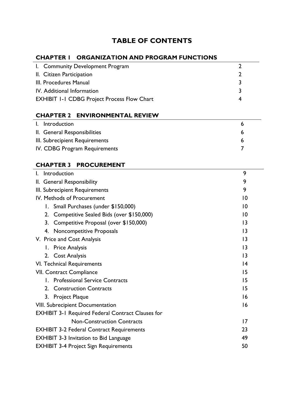# **TABLE OF CONTENTS**

# **CHAPTER 1 ORGANIZATION AND PROGRAM FUNCTIONS**

| I. Community Development Program                   |    |
|----------------------------------------------------|----|
| II. Citizen Participation                          | ר: |
| III. Procedures Manual                             | २  |
| IV. Additional Information                         | -2 |
| <b>EXHIBIT 1-1 CDBG Project Process Flow Chart</b> | 4  |

# **CHAPTER 2 ENVIRONMENTAL REVIEW**

| I. Introduction                |  |
|--------------------------------|--|
| II. General Responsibilities   |  |
| III. Subrecipient Requirements |  |
| IV. CDBG Program Requirements  |  |

# **CHAPTER 3 PROCUREMENT**

| Introduction                                             | 9               |  |
|----------------------------------------------------------|-----------------|--|
| II. General Responsibility                               | 9               |  |
| III. Subrecipient Requirements                           | 9               |  |
| IV. Methods of Procurement                               | 10              |  |
| Small Purchases (under \$150,000)<br>Ι.                  | 10              |  |
| Competitive Sealed Bids (over \$150,000)<br>2.           | 10              |  |
| 3.<br>Competitive Proposal (over \$150,000)              | $\overline{13}$ |  |
| <b>Noncompetitive Proposals</b><br>4.                    | $\overline{13}$ |  |
| V. Price and Cost Analysis                               | $\overline{13}$ |  |
| I. Price Analysis                                        | $\overline{13}$ |  |
| 2. Cost Analysis                                         | $\overline{13}$ |  |
| 4<br>VI. Technical Requirements                          |                 |  |
| 15<br><b>VII. Contract Compliance</b>                    |                 |  |
| 1. Professional Service Contracts                        | 15              |  |
| <b>Construction Contracts</b><br>2.                      | 15              |  |
| 3. Project Plaque                                        | 16              |  |
| 16<br><b>VIII. Subrecipient Documentation</b>            |                 |  |
| <b>EXHIBIT 3-1 Required Federal Contract Clauses for</b> |                 |  |
| <b>Non-Construction Contracts</b>                        | 17              |  |
| 23<br><b>EXHIBIT 3-2 Federal Contract Requirements</b>   |                 |  |
| 49<br><b>EXHIBIT 3-3 Invitation to Bid Language</b>      |                 |  |
| <b>EXHIBIT 3-4 Project Sign Requirements</b><br>50       |                 |  |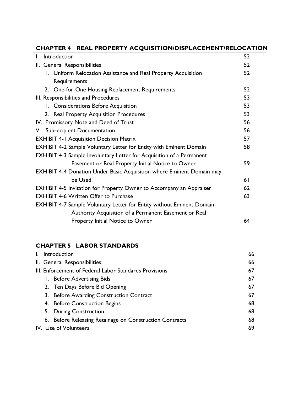# **CHAPTER 4 REAL PROPERTY ACQUISITION/DISPLACEMENT/RELOCATION**

| I.                                                                          | Introduction                                                                 | 52 |
|-----------------------------------------------------------------------------|------------------------------------------------------------------------------|----|
|                                                                             | II. General Responsibilities                                                 | 52 |
|                                                                             | 1. Uniform Relocation Assistance and Real Property Acquisition               | 52 |
|                                                                             | Requirements                                                                 |    |
|                                                                             | 2. One-for-One Housing Replacement Requirements                              | 52 |
|                                                                             | III. Responsibilities and Procedures                                         | 53 |
|                                                                             | 1. Considerations Before Acquisition                                         | 53 |
|                                                                             | 2. Real Property Acquisition Procedures                                      | 53 |
|                                                                             | IV. Promissory Note and Deed of Trust                                        | 56 |
|                                                                             | V. Subrecipient Documentation                                                | 56 |
| <b>EXHIBIT 4-1 Acquisition Decision Matrix</b>                              |                                                                              | 57 |
| <b>EXHIBIT 4-2 Sample Voluntary Letter for Entity with Eminent Domain</b>   |                                                                              | 58 |
| <b>EXHIBIT 4-3 Sample Involuntary Letter for Acquisition of a Permanent</b> |                                                                              |    |
|                                                                             | Easement or Real Property Initial Notice to Owner                            | 59 |
|                                                                             | <b>EXHIBIT 4-4 Donation Under Basic Acquisition where Eminent Domain may</b> |    |
|                                                                             | be Used                                                                      | 61 |
|                                                                             | <b>EXHIBIT 4-5 Invitation for Property Owner to Accompany an Appraiser</b>   | 62 |
| <b>EXHIBIT 4-6 Written Offer to Purchase</b>                                |                                                                              | 63 |
|                                                                             | <b>EXHIBIT 4-7 Sample Voluntary Letter for Entity without Eminent Domain</b> |    |
|                                                                             | Authority Acquisition of a Permanent Easement or Real                        |    |
|                                                                             | Property Initial Notice to Owner                                             | 64 |

#### **CHAPTER 5 LABOR STANDARDS**

| $\mathbf{L}$                                                 |  | Introduction                                            | 66 |
|--------------------------------------------------------------|--|---------------------------------------------------------|----|
|                                                              |  | II. General Responsibilities                            | 66 |
| III. Enforcement of Federal Labor Standards Provisions<br>67 |  |                                                         |    |
|                                                              |  | 1. Before Advertising Bids                              | 67 |
|                                                              |  | 2. Ten Days Before Bid Opening                          | 67 |
|                                                              |  | 3. Before Awarding Construction Contract                | 67 |
|                                                              |  | 4. Before Construction Begins                           | 68 |
|                                                              |  | 5. During Construction                                  | 68 |
|                                                              |  | 6. Before Releasing Retainage on Construction Contracts | 68 |
|                                                              |  | IV. Use of Volunteers                                   | 69 |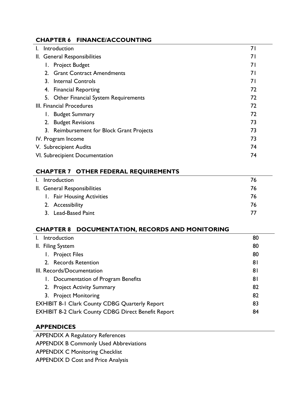# **CHAPTER 6 FINANCE/ACCOUNTING**

| I.                           | Introduction                                     | 71 |
|------------------------------|--------------------------------------------------|----|
| II. General Responsibilities |                                                  | 71 |
|                              | <b>Project Budget</b><br>Ι.                      | 71 |
|                              | <b>Grant Contract Amendments</b><br>2.           | 71 |
|                              | 3. Internal Controls                             | 71 |
|                              | <b>Financial Reporting</b><br>4.                 | 72 |
|                              | <b>Other Financial System Requirements</b><br>5. | 72 |
| III. Financial Procedures    |                                                  | 72 |
|                              | <b>Budget Summary</b><br>Ι.                      | 72 |
|                              | <b>Budget Revisions</b><br>2.                    | 73 |
|                              | 3. Reimbursement for Block Grant Projects        | 73 |
|                              | IV. Program Income                               |    |
|                              | 74<br>V. Subrecipient Audits                     |    |
|                              | 74<br>VI. Subrecipient Documentation             |    |

# **CHAPTER 7 OTHER FEDERAL REQUIREMENTS**

| I. Introduction              | 76 |
|------------------------------|----|
| II. General Responsibilities | 76 |
| 1. Fair Housing Activities   | 76 |
| 2. Accessibility             | 76 |
| 3. Lead-Based Paint          | 77 |

# **CHAPTER 8 DOCUMENTATION, RECORDS AND MONITORING**

|                                                             | Introduction                                               | 80 |
|-------------------------------------------------------------|------------------------------------------------------------|----|
|                                                             | II. Filing System                                          | 80 |
|                                                             | <b>Project Files</b><br>Ι.                                 | 80 |
|                                                             | 2. Records Retention                                       | 81 |
| 81<br>III. Records/Documentation                            |                                                            |    |
|                                                             | 1. Documentation of Program Benefits                       | 81 |
|                                                             | 2. Project Activity Summary                                | 82 |
|                                                             | 3. Project Monitoring                                      | 82 |
| 83<br><b>EXHIBIT 8-1 Clark County CDBG Quarterly Report</b> |                                                            |    |
|                                                             | <b>EXHIBIT 8-2 Clark County CDBG Direct Benefit Report</b> | 84 |

#### **APPENDICES**

APPENDIX A Regulatory References APPENDIX B Commonly Used Abbreviations

APPENDIX C Monitoring Checklist

APPENDIX D Cost and Price Analysis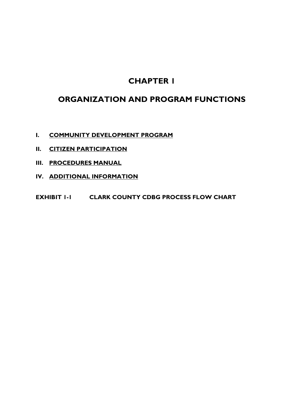# **CHAPTER 1**

# **ORGANIZATION AND PROGRAM FUNCTIONS**

- **I. COMMUNITY DEVELOPMENT PROGRAM**
- **II. [CITIZEN PARTICIPATION](#page-7-0)**
- **III. [PROCEDURES MANUAL](#page-8-0)**
- **IV. [ADDITIONAL INFORMATION](#page-8-1)**
- **EXHIBIT 1-1 [CLARK COUNTY CDBG PROCESS FLOW CHART](#page-9-0)**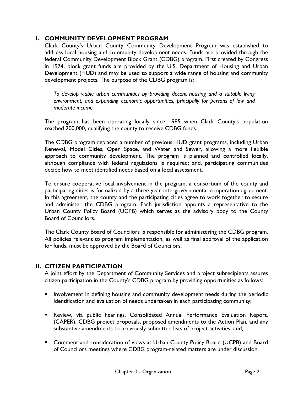# **I. COMMUNITY DEVELOPMENT PROGRAM**

Clark County's Urban County Community Development Program was established to address local housing and community development needs. Funds are provided through the federal Community Development Block Grant (CDBG) program. First created by Congress in 1974, block grant funds are provided by the U.S. Department of Housing and Urban Development (HUD) and may be used to support a wide range of housing and community development projects. The purpose of the CDBG program is:

*To develop viable urban communities by providing decent housing and a suitable living environment, and expanding economic opportunities, principally for persons of low and moderate income.*

The program has been operating locally since 1985 when Clark County's population reached 200,000, qualifying the county to receive CDBG funds.

The CDBG program replaced a number of previous HUD grant programs, including Urban Renewal, Model Cities, Open Space, and Water and Sewer, allowing a more flexible approach to community development. The program is planned and controlled locally, although compliance with federal regulations is required; and, participating communities decide how to meet identified needs based on a local assessment.

To ensure cooperative local involvement in the program, a consortium of the county and participating cities is formalized by a three-year intergovernmental cooperation agreement. In this agreement, the county and the participating cities agree to work together to secure and administer the CDBG program. Each jurisdiction appoints a representative to the Urban County Policy Board (UCPB) which serves as the advisory body to the County Board of Councilors.

The Clark County Board of Councilors is responsible for administering the CDBG program. All policies relevant to program implementation, as well as final approval of the application for funds, must be approved by the Board of Councilors.

# <span id="page-7-0"></span>**II. CITIZEN PARTICIPATION**

A joint effort by the Department of Community Services and project subrecipients assures citizen participation in the County's CDBG program by providing opportunities as follows:

- **I** Involvement in defining housing and community development needs during the periodic identification and evaluation of needs undertaken in each participating community;
- Review, via public hearings, Consolidated Annual Performance Evaluation Report, (CAPER), CDBG project proposals, proposed amendments to the Action Plan, and any substantive amendments to previously submitted lists of project activities; and,
- Comment and consideration of views at Urban County Policy Board (UCPB) and Board of Councilors meetings where CDBG program-related matters are under discussion.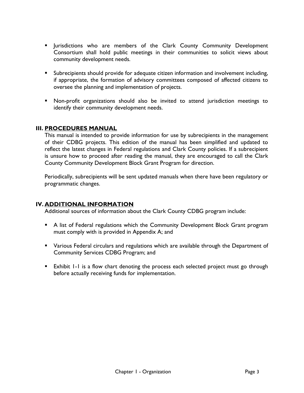- Jurisdictions who are members of the Clark County Community Development Consortium shall hold public meetings in their communities to solicit views about community development needs.
- **Subrecipients should provide for adequate citizen information and involvement including,** if appropriate, the formation of advisory committees composed of affected citizens to oversee the planning and implementation of projects.
- Non-profit organizations should also be invited to attend jurisdiction meetings to identify their community development needs.

#### <span id="page-8-0"></span>**III. PROCEDURES MANUAL**

This manual is intended to provide information for use by subrecipients in the management of their CDBG projects. This edition of the manual has been simplified and updated to reflect the latest changes in Federal regulations and Clark County policies. If a subrecipient is unsure how to proceed after reading the manual, they are encouraged to call the Clark County Community Development Block Grant Program for direction.

Periodically, subrecipients will be sent updated manuals when there have been regulatory or programmatic changes.

#### <span id="page-8-1"></span>**IV. ADDITIONAL INFORMATION**

Additional sources of information about the Clark County CDBG program include:

- A list of Federal regulations which the Community Development Block Grant program must comply with is provided in Appendix A; and
- Various Federal circulars and regulations which are available through the Department of Community Services CDBG Program; and
- Exhibit 1-1 is a flow chart denoting the process each selected project must go through before actually receiving funds for implementation.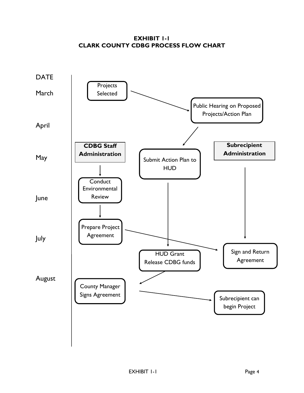**EXHIBIT 1-1 CLARK COUNTY CDBG PROCESS FLOW CHART**

<span id="page-9-0"></span>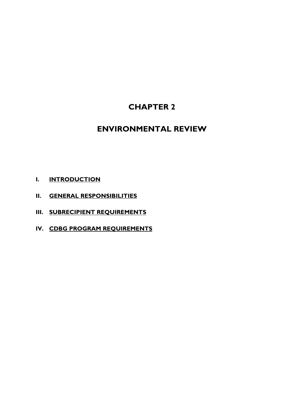# **CHAPTER 2**

# **ENVIRONMENTAL REVIEW**

- **I. INTRODUCTION**
- **II. [GENERAL RESPONSIBILITIES](#page-11-0)**
- **III. [SUBRECIPIENT REQUIREMENTS](#page-11-1)**
- **IV. [CDBG PROGRAM REQUIREMENTS](#page-12-0)**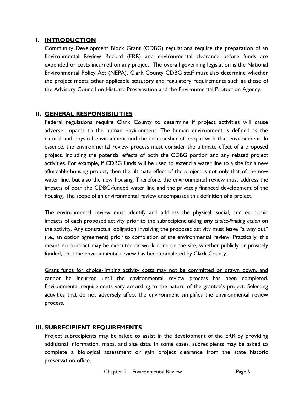#### **I. INTRODUCTION**

Community Development Block Grant (CDBG) regulations require the preparation of an Environmental Review Record (ERR) and environmental clearance before funds are expended or costs incurred on any project. The overall governing legislation is the National Environmental Policy Act (NEPA). Clark County CDBG staff must also determine whether the project meets other applicable statutory and regulatory requirements such as those of the Advisory Council on Historic Preservation and the Environmental Protection Agency.

## <span id="page-11-0"></span>**II. GENERAL RESPONSIBILITIES**

Federal regulations require Clark County to determine if project activities will cause adverse impacts to the human environment. The human environment is defined as the natural and physical environment and the relationship of people with that environment. In essence, the environmental review process must consider the ultimate effect of a proposed project, including the potential effects of both the CDBG portion and any related project activities. For example, if CDBG funds will be used to extend a water line to a site for a new affordable housing project, then the ultimate effect of the project is not only that of the new water line, but also the new housing. Therefore, the environmental review must address the impacts of both the CDBG-funded water line and the privately financed development of the housing. The scope of an environmental review encompasses this definition of a project.

The environmental review must identify and address the physical, social, and economic impacts of each proposed activity prior to the subrecipient taking *any choice-limiting action* on the activity. Any contractual obligation involving the proposed activity must leave "a way out" (i.e., an option agreement) prior to completion of the environmental review. Practically, this means no contract may be executed or work done on the site, whether publicly or privately funded, until the environmental review has been completed by Clark County.

Grant funds for choice-limiting activity costs may not be committed or drawn down, and cannot be incurred until the environmental review process has been completed. Environmental requirements vary according to the nature of the grantee's project. Selecting activities that do not adversely affect the environment simplifies the environmental review process.

# <span id="page-11-1"></span>**III. SUBRECIPIENT REQUIREMENTS**

Project subrecipients may be asked to assist in the development of the ERR by providing additional information, maps, and site data. In some cases, subrecipients may be asked to complete a biological assessment or gain project clearance from the state historic preservation office.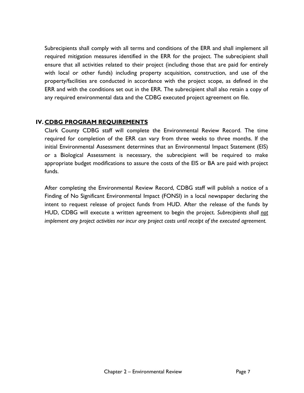Subrecipients shall comply with all terms and conditions of the ERR and shall implement all required mitigation measures identified in the ERR for the project. The subrecipient shall ensure that all activities related to their project (including those that are paid for entirely with local or other funds) including property acquisition, construction, and use of the property/facilities are conducted in accordance with the project scope, as defined in the ERR and with the conditions set out in the ERR. The subrecipient shall also retain a copy of any required environmental data and the CDBG executed project agreement on file.

#### <span id="page-12-0"></span>**IV. CDBG PROGRAM REQUIREMENTS**

Clark County CDBG staff will complete the Environmental Review Record. The time required for completion of the ERR can vary from three weeks to three months. If the initial Environmental Assessment determines that an Environmental Impact Statement (EIS) or a Biological Assessment is necessary, the subrecipient will be required to make appropriate budget modifications to assure the costs of the EIS or BA are paid with project funds.

After completing the Environmental Review Record, CDBG staff will publish a notice of a Finding of No Significant Environmental Impact (FONSI) in a local newspaper declaring the intent to request release of project funds from HUD. After the release of the funds by HUD, CDBG will execute a written agreement to begin the project. *Subrecipients shall not implement any project activities nor incur any project costs until receipt of the executed agreement.*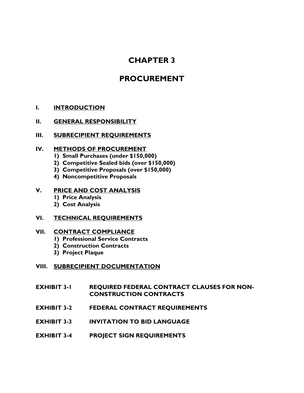# **CHAPTER 3**

# **PROCUREMENT**

#### **I. [INTRODUCTION](#page-14-0)**

#### **II. [GENERAL RESPONSIBILITY](#page-14-1)**

#### **III. [SUBRECIPIENT REQUIREMENTS](#page-14-2)**

#### **IV. [METHODS OF PROCUREMENT](#page-15-0)**

- **1) Small Purchases (under \$150,000)**
- **2) Competitive Sealed bids (over \$150,000)**
- **3) Competitive Proposals (over \$150,000)**
- **4) Noncompetitive Proposals**

#### **V. [PRICE AND COST ANALYSIS](#page-18-0)**

- **1) Price Analysis**
- **2) Cost Analysis**

#### **VI. [TECHNICAL REQUIREMENTS](#page-19-0)**

#### **VII. [CONTRACT COMPLIANCE](#page-20-0)**

- **1) Professional Service Contracts**
- **2) Construction Contracts**
- **3) Project Plaque**

#### **VIII. [SUBRECIPIENT DOCUMENTATION](#page-21-0)**

- **EXHIBIT 3-1 [REQUIRED FEDERAL CONTRACT CLAUSES FOR NON-](#page-22-0)[CONSTRUCTION CONTRACTS](#page-22-0)**
- **EXHIBIT 3-2 [FEDERAL CONTRACT REQUIREMENTS](#page-28-0)**
- **EXHIBIT 3-3 [INVITATION TO BID LANGUAGE](#page-29-0)**
- **EXHIBIT 3-4 [PROJECT SIGN REQUIREMENTS](#page-55-0)**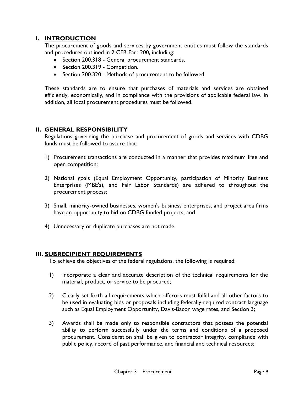### <span id="page-14-0"></span>**I. INTRODUCTION**

The procurement of goods and services by government entities must follow the standards and procedures outlined in 2 CFR Part 200, including:

- Section 200.318 General procurement standards.
- Section 200.319 Competition.
- Section 200.320 Methods of procurement to be followed.

These standards are to ensure that purchases of materials and services are obtained efficiently, economically, and in compliance with the provisions of applicable federal law. In addition, all local procurement procedures must be followed.

#### <span id="page-14-1"></span>**II. GENERAL RESPONSIBILITY**

Regulations governing the purchase and procurement of goods and services with CDBG funds must be followed to assure that:

- 1) Procurement transactions are conducted in a manner that provides maximum free and open competition;
- 2) National goals (Equal Employment Opportunity, participation of Minority Business Enterprises (MBE's), and Fair Labor Standards) are adhered to throughout the procurement process;
- 3) Small, minority-owned businesses, women's business enterprises, and project area firms have an opportunity to bid on CDBG funded projects; and
- 4) Unnecessary or duplicate purchases are not made.

#### <span id="page-14-2"></span>**III. SUBRECIPIENT REQUIREMENTS**

To achieve the objectives of the federal regulations, the following is required:

- 1) Incorporate a clear and accurate description of the technical requirements for the material, product, or service to be procured;
- 2) Clearly set forth all requirements which offerors must fulfill and all other factors to be used in evaluating bids or proposals including federally-required contract language such as Equal Employment Opportunity, Davis-Bacon wage rates, and Section 3;
- 3) Awards shall be made only to responsible contractors that possess the potential ability to perform successfully under the terms and conditions of a proposed procurement. Consideration shall be given to contractor integrity, compliance with public policy, record of past performance, and financial and technical resources;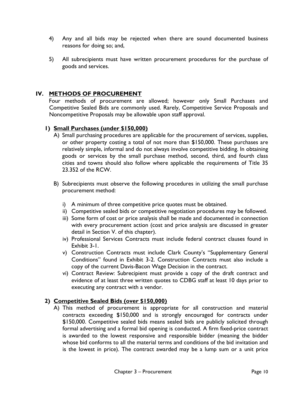- 4) Any and all bids may be rejected when there are sound documented business reasons for doing so; and,
- 5) All subrecipients must have written procurement procedures for the purchase of goods and services.

## <span id="page-15-0"></span>**IV. METHODS OF PROCUREMENT**

Four methods of procurement are allowed; however only Small Purchases and Competitive Sealed Bids are commonly used. Rarely, Competitive Service Proposals and Noncompetitive Proposals may be allowable upon staff approval.

#### **1) Small Purchases (under \$150,000)**

- A) Small purchasing procedures are applicable for the procurement of services, supplies, or other property costing a total of not more than \$150,000. These purchases are relatively simple, informal and do not always involve competitive bidding. In obtaining goods or services by the small purchase method, second, third, and fourth class cities and towns should also follow where applicable the requirements of Title 35 23.352 of the RCW.
- B) Subrecipients must observe the following procedures in utilizing the small purchase procurement method:
	- i) A minimum of three competitive price quotes must be obtained.
	- ii) Competitive sealed bids or competitive negotiation procedures may be followed.
	- iii) Some form of cost or price analysis shall be made and documented in connection with every procurement action (cost and price analysis are discussed in greater detail in Section V. of this chapter).
	- iv) Professional Services Contracts must include federal contract clauses found in Exhibit 3-1.
	- v) Construction Contracts must include Clark County's "Supplementary General Conditions" found in Exhibit 3-2. Construction Contracts must also include a copy of the current Davis-Bacon Wage Decision in the contract.
	- vi) Contract Review: Subrecipient must provide a copy of the draft contract and evidence of at least three written quotes to CDBG staff at least 10 days prior to executing any contract with a vendor.

#### **2) Competitive Sealed Bids (over \$150,000)**

A) This method of procurement is appropriate for all construction and material contracts exceeding \$150,000 and is strongly encouraged for contracts under \$150,000. Competitive sealed bids means sealed bids are publicly solicited through formal advertising and a formal bid opening is conducted. A firm fixed-price contract is awarded to the lowest responsive and responsible bidder (meaning the bidder whose bid conforms to all the material terms and conditions of the bid invitation and is the lowest in price). The contract awarded may be a lump sum or a unit price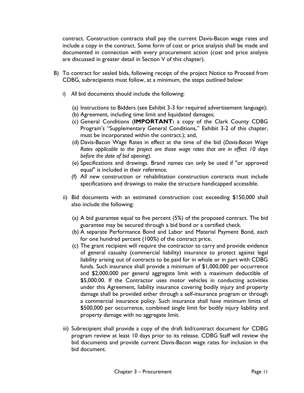contract. Construction contracts shall pay the current Davis-Bacon wage rates and include a copy in the contract. Some form of cost or price analysis shall be made and documented in connection with every procurement action (cost and price analysis are discussed in greater detail in Section V of this chapter).

- B) To contract for sealed bids, following receipt of the project Notice to Proceed from CDBG, subrecipients must follow, at a minimum, the steps outlined below:
	- i) *All* bid documents should include the following:
		- (a) Instructions to Bidders (see Exhibit 3-3 for required advertisement language);
		- (b) Agreement, including time limit and liquidated damages;
		- (c) General Conditions (**IMPORTANT:** a copy of the Clark County CDBG Program's "Supplementary General Conditions," Exhibit 3-2 of this chapter, must be incorporated within the contract.); and,
		- (d) Davis-Bacon Wage Rates in effect at the time of the bid (*Davis-Bacon Wage Rates applicable to the project are those wage rates that are in effect 10 days before the date of bid opening*).
		- (e) Specifications and drawings. Brand names can only be used if "or approved equal" is included in their reference.
		- (f) All new construction or rehabilitation construction contracts must include specifications and drawings to make the structure handicapped accessible.
	- ii) Bid documents with an estimated construction cost exceeding \$150,000 shall also include the following:
		- (a) A bid guarantee equal to five percent (5%) of the proposed contract. The bid guarantee may be secured through a bid bond or a certified check.
		- (b) A separate Performance Bond and Labor and Material Payment Bond, each for one hundred percent (100%) of the contract price.
		- (c) The grant recipient will require the contractor to carry and provide evidence of general casualty (commercial liability) insurance to protect against legal liability arising out of contracts to be paid for in whole or in part with CDBG funds. Such insurance shall provide a minimum of \$1,000,000 per occurrence and \$2,000,000 per general aggregate limit with a maximum deductible of \$5,000.00. If the Contractor uses motor vehicles in conducting activities under this Agreement, liability insurance covering bodily injury and property damage shall be provided either through a self-insurance program or through a commercial insurance policy. Such insurance shall have minimum limits of \$500,000 per occurrence, combined single limit for bodily injury liability and property damage with no aggregate limit.
	- iii) Subrecipient shall provide a copy of the draft bid/contract document for CDBG program review at least 10 days prior to its release. CDBG Staff will review the bid documents and provide current Davis-Bacon wage rates for inclusion in the bid document.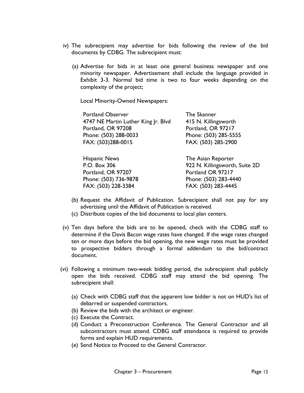- iv) The subrecipient may advertise for bids following the review of the bid documents by CDBG. The subrecipient must:
	- (a) Advertise for bids in at least one general business newspaper and one minority newspaper. Advertisement shall include the language provided in Exhibit 3-3. Normal bid time is two to four weeks depending on the complexity of the project;

Local Minority-Owned Newspapers:

| The Skanner                    |
|--------------------------------|
| 415 N. Killingsworth           |
| Portland, OR 97217             |
| Phone: (503) 285-5555          |
| FAX: (503) 285-2900            |
| The Asian Reporter             |
| 922 N. Killingsworth, Suite 2D |
| Portland OR 97217              |
| Phone: (503) 283-4440          |
| FAX: (503) 283-4445            |
|                                |

- (b) Request the Affidavit of Publication. Subrecipient shall not pay for any advertising until the Affidavit of Publication is received.
- (c) Distribute copies of the bid documents to local plan centers.
- (v) Ten days before the bids are to be opened, check with the CDBG staff to determine if the Davis Bacon wage rates have changed. If the wage rates changed ten or more days before the bid opening, the new wage rates must be provided to prospective bidders through a formal addendum to the bid/contract document.
- (vi) Following a minimum two-week bidding period, the subrecipient shall publicly open the bids received. CDBG staff may attend the bid opening. The subrecipient shall:
	- (a) Check with CDBG staff that the apparent low bidder is not on HUD's list of debarred or suspended contractors.
	- (b) Review the bids with the architect or engineer.
	- (c) Execute the Contract.
	- (d) Conduct a Preconstruction Conference. The General Contractor and all subcontractors must attend. CDBG staff attendance is required to provide forms and explain HUD requirements.
	- (e) Send Notice to Proceed to the General Contractor.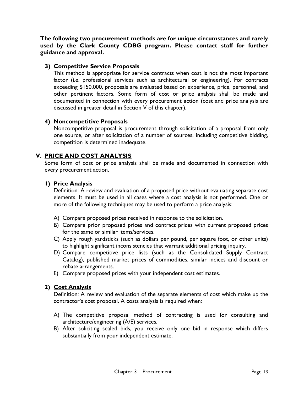**The following two procurement methods are for unique circumstances and rarely used by the Clark County CDBG program. Please contact staff for further guidance and approval.** 

#### **3) Competitive Service Proposals**

This method is appropriate for service contracts when cost is not the most important factor (i.e. professional services such as architectural or engineering). For contracts exceeding \$150,000, proposals are evaluated based on experience, price, personnel, and other pertinent factors. Some form of cost or price analysis shall be made and documented in connection with every procurement action (cost and price analysis are discussed in greater detail in Section V of this chapter).

## **4) Noncompetitive Proposals**

Noncompetitive proposal is procurement through solicitation of a proposal from only one source, or after solicitation of a number of sources, including competitive bidding, competition is determined inadequate.

## <span id="page-18-0"></span>**V. PRICE AND COST ANALYSIS**

Some form of cost or price analysis shall be made and documented in connection with every procurement action.

#### **1) Price Analysis**

Definition: A review and evaluation of a proposed price without evaluating separate cost elements. It must be used in all cases where a cost analysis is not performed. One or more of the following techniques may be used to perform a price analysis:

- A) Compare proposed prices received in response to the solicitation.
- B) Compare prior proposed prices and contract prices with current proposed prices for the same or similar items/services.
- C) Apply rough yardsticks (such as dollars per pound, per square foot, or other units) to highlight significant inconsistencies that warrant additional pricing inquiry.
- D) Compare competitive price lists (such as the Consolidated Supply Contract Catalog), published market prices of commodities, similar indices and discount or rebate arrangements.
- E) Compare proposed prices with your independent cost estimates.

#### **2) Cost Analysis**

Definition: A review and evaluation of the separate elements of cost which make up the contractor's cost proposal. A costs analysis is required when:

- A) The competitive proposal method of contracting is used for consulting and architecture/engineering (A/E) services.
- B) After soliciting sealed bids, you receive only one bid in response which differs substantially from your independent estimate.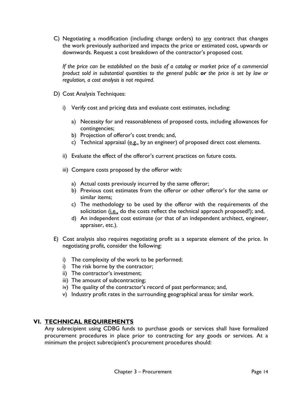C) Negotiating a modification (including change orders) to any contract that changes the work previously authorized and impacts the price or estimated cost, upwards or downwards. Request a cost breakdown of the contractor's proposed cost.

*If the price can be established on the basis of a catalog or market price of a commercial product sold in substantial quantities to the general public or the price is set by law or regulation, a cost analysis is not required.* 

- D) Cost Analysis Techniques:
	- i) Verify cost and pricing data and evaluate cost estimates, including:
		- a) Necessity for and reasonableness of proposed costs, including allowances for contingencies;
		- b) Projection of offeror's cost trends; and,
		- c) Technical appraisal  $(\underline{e.g.}]$  by an engineer) of proposed direct cost elements.
	- ii) Evaluate the effect of the offeror's current practices on future costs.
	- iii) Compare costs proposed by the offeror with:
		- a) Actual costs previously incurred by the same offeror;
		- b) Previous cost estimates from the offeror or other offeror's for the same or similar items;
		- c) The methodology to be used by the offeror with the requirements of the solicitation (i.e., do the costs reflect the technical approach proposed?); and,
		- d) An independent cost estimate (or that of an independent architect, engineer, appraiser, etc.).
- E) Cost analysis also requires negotiating profit as a separate element of the price. In negotiating profit, consider the following:
	- i) The complexity of the work to be performed;
	- i) The risk borne by the contractor;
	- ii) The contractor's investment;
	- iii) The amount of subcontracting;
	- iv) The quality of the contractor's record of past performance; and,
	- v) Industry profit rates in the surrounding geographical areas for similar work.

#### <span id="page-19-0"></span>**VI. TECHNICAL REQUIREMENTS**

Any subrecipient using CDBG funds to purchase goods or services shall have formalized procurement procedures in place prior to contracting for any goods or services. At a minimum the project subrecipient's procurement procedures should: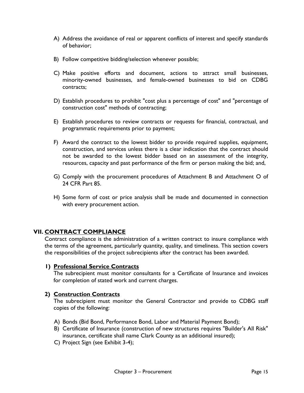- A) Address the avoidance of real or apparent conflicts of interest and specify standards of behavior;
- B) Follow competitive bidding/selection whenever possible;
- C) Make positive efforts and document, actions to attract small businesses, minority-owned businesses, and female-owned businesses to bid on CDBG contracts;
- D) Establish procedures to prohibit "cost plus a percentage of cost" and "percentage of construction cost" methods of contracting;
- E) Establish procedures to review contracts or requests for financial, contractual, and programmatic requirements prior to payment;
- F) Award the contract to the lowest bidder to provide required supplies, equipment, construction, and services unless there is a clear indication that the contract should not be awarded to the lowest bidder based on an assessment of the integrity, resources, capacity and past performance of the firm or person making the bid; and,
- G) Comply with the procurement procedures of Attachment B and Attachment O of 24 CFR Part 85.
- H) Some form of cost or price analysis shall be made and documented in connection with every procurement action.

#### <span id="page-20-0"></span>**VII. CONTRACT COMPLIANCE**

Contract compliance is the administration of a written contract to insure compliance with the terms of the agreement, particularly quantity, quality, and timeliness. This section covers the responsibilities of the project subrecipients after the contract has been awarded.

#### **1) Professional Service Contracts**

The subrecipient must monitor consultants for a Certificate of Insurance and invoices for completion of stated work and current charges.

#### **2) Construction Contracts**

The subrecipient must monitor the General Contractor and provide to CDBG staff copies of the following:

- A) Bonds (Bid Bond, Performance Bond, Labor and Material Payment Bond);
- B) Certificate of Insurance (construction of new structures requires "Builder's All Risk" insurance, certificate shall name Clark County as an additional insured);
- C) Project Sign (see Exhibit 3-4);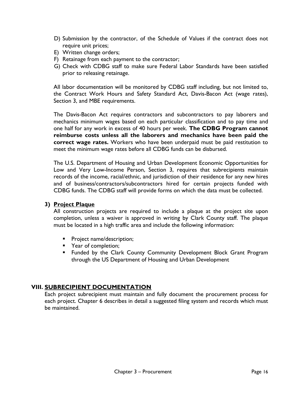- D) Submission by the contractor, of the Schedule of Values if the contract does not require unit prices;
- E) Written change orders;
- F) Retainage from each payment to the contractor;
- G) Check with CDBG staff to make sure Federal Labor Standards have been satisfied prior to releasing retainage.

All labor documentation will be monitored by CDBG staff including, but not limited to, the Contract Work Hours and Safety Standard Act, Davis-Bacon Act (wage rates), Section 3, and MBE requirements.

The Davis-Bacon Act requires contractors and subcontractors to pay laborers and mechanics minimum wages based on each particular classification and to pay time and one half for any work in excess of 40 hours per week. **The CDBG Program cannot reimburse costs unless all the laborers and mechanics have been paid the correct wage rates.** Workers who have been underpaid must be paid restitution to meet the minimum wage rates before all CDBG funds can be disbursed.

The U.S. Department of Housing and Urban Development Economic Opportunities for Low and Very Low-Income Person, Section 3, requires that subrecipients maintain records of the income, racial/ethnic, and jurisdiction of their residence for any new hires and of business/contractors/subcontractors hired for certain projects funded with CDBG funds. The CDBG staff will provide forms on which the data must be collected.

#### **3) Project Plaque**

All construction projects are required to include a plaque at the project site upon completion, unless a waiver is approved in writing by Clark County staff. The plaque must be located in a high traffic area and include the following information:

- **Project name/description;**
- **Paradic Year of completion;**
- **F** Funded by the Clark County Community Development Block Grant Program through the US Department of Housing and Urban Development

#### <span id="page-21-0"></span>**VIII. SUBRECIPIENT DOCUMENTATION**

Each project subrecipient must maintain and fully document the procurement process for each project. Chapter 6 describes in detail a suggested filing system and records which must be maintained.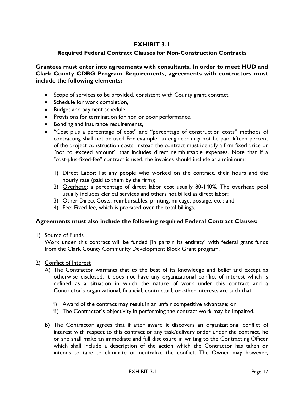### **EXHIBIT 3-1**

#### <span id="page-22-0"></span>**Required Federal Contract Clauses for Non-Construction Contracts**

**Grantees must enter into agreements with consultants. In order to meet HUD and Clark County CDBG Program Requirements, agreements with contractors must include the following elements:**

- Scope of services to be provided, consistent with County grant contract,
- Schedule for work completion,
- Budget and payment schedule,
- Provisions for termination for non or poor performance,
- Bonding and insurance requirements,
- "Cost plus a percentage of cost" and "percentage of construction costs" methods of contracting shall not be used For example, an engineer may not be paid fifteen percent of the project construction costs; instead the contract must identify a firm fixed price or "not to exceed amount" that includes direct reimbursable expenses. Note that if a "cost-plus-fixed-fee" contract is used, the invoices should include at a minimum:
	- 1) Direct Labor: list any people who worked on the contract, their hours and the hourly rate (paid to them by the firm);
	- 2) Overhead: a percentage of direct labor cost usually 80-140%. The overhead pool usually includes clerical services and others not billed as direct labor;
	- 3) Other Direct Costs: reimbursables, printing, mileage, postage, etc.; and
	- 4) Fee: Fixed fee, which is prorated over the total billings.

#### **Agreements must also include the following required Federal Contract Clauses:**

1) Source of Funds

Work under this contract will be funded [in part/in its entirety] with federal grant funds from the Clark County Community Development Block Grant program.

- 2) Conflict of Interest
	- A) The Contractor warrants that to the best of its knowledge and belief and except as otherwise disclosed, it does not have any organizational conflict of interest which is defined as a situation in which the nature of work under this contract and a Contractor's organizational, financial, contractual, or other interests are such that:
		- i) Award of the contract may result in an unfair competitive advantage; or
		- ii) The Contractor's objectivity in performing the contract work may be impaired.
	- B) The Contractor agrees that if after award it discovers an organizational conflict of interest with respect to this contract or any task/delivery order under the contract, he or she shall make an immediate and full disclosure in writing to the Contracting Officer which shall include a description of the action which the Contractor has taken or intends to take to eliminate or neutralize the conflict. The Owner may however,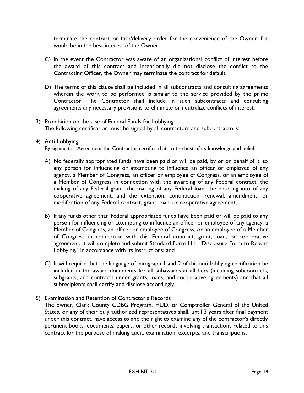terminate the contract or task/delivery order for the convenience of the Owner if it would be in the best interest of the Owner.

- C) In the event the Contractor was aware of an organizational conflict of interest before the award of this contract and intentionally did not disclose the conflict to the Contracting Officer, the Owner may terminate the contract for default.
- D) The terms of this clause shall be included in all subcontracts and consulting agreements wherein the work to be performed is similar to the service provided by the prime Contractor. The Contractor shall include in such subcontracts and consulting agreements any necessary provisions to eliminate or neutralize conflicts of interest.
- 3) Prohibition on the Use of Federal Funds for Lobbying The following certification must be signed by all contractors and subcontractors:

#### 4) Anti-Lobbying

By signing this Agreement the Contractor certifies that, to the best of its knowledge and belief:

- A) No federally appropriated funds have been paid or will be paid, by or on behalf of it, to any person for influencing or attempting to influence an officer or employee of any agency, a Member of Congress, an officer or employee of Congress, or an employee of a Member of Congress in connection with the awarding of any Federal contract, the making of any Federal grant, the making of any Federal loan, the entering into of any cooperative agreement, and the extension, continuation, renewal, amendment, or modification of any Federal contract, grant, loan, or cooperative agreement;
- B) If any funds other than Federal appropriated funds have been paid or will be paid to any person for influencing or attempting to influence an officer or employee of any agency, a Member of Congress, an officer or employee of Congress, or an employee of a Member of Congress in connection with this Federal contract, grant, loan, or cooperative agreement, it will complete and submit Standard Form-LLL, "Disclosure Form to Report Lobbying," in accordance with its instructions; and
- C) It will require that the language of paragraph 1 and 2 of this anti-lobbying certification be included in the award documents for all subawards at all tiers (including subcontracts, subgrants, and contracts under grants, loans, and cooperative agreements) and that all subrecipients shall certify and disclose accordingly.
- 5) Examination and Retention of Contractor's Records

The owner, Clark County CDBG Program, HUD, or Comptroller General of the United States, or any of their duly authorized representatives shall, until 3 years after final payment under this contract, have access to and the right to examine any of the contractor's directly pertinent books, documents, papers, or other records involving transactions related to this contract for the purpose of making audit, examination, excerpts, and transcriptions.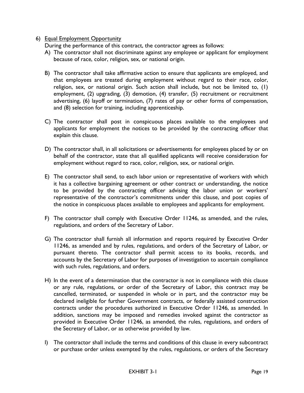#### 6) Equal Employment Opportunity

During the performance of this contract, the contractor agrees as follows:

- A) The contractor shall not discriminate against any employee or applicant for employment because of race, color, religion, sex, or national origin.
- B) The contractor shall take affirmative action to ensure that applicants are employed, and that employees are treated during employment without regard to their race, color, religion, sex, or national origin. Such action shall include, but not be limited to, (1) employment, (2) upgrading, (3) demotion, (4) transfer, (5) recruitment or recruitment advertising, (6) layoff or termination, (7) rates of pay or other forms of compensation, and (8) selection for training, including apprenticeship.
- C) The contractor shall post in conspicuous places available to the employees and applicants for employment the notices to be provided by the contracting officer that explain this clause.
- D) The contractor shall, in all solicitations or advertisements for employees placed by or on behalf of the contractor, state that all qualified applicants will receive consideration for employment without regard to race, color, religion, sex, or national origin.
- E) The contractor shall send, to each labor union or representative of workers with which it has a collective bargaining agreement or other contract or understanding, the notice to be provided by the contracting officer advising the labor union or workers' representative of the contractor's commitments under this clause, and post copies of the notice in conspicuous places available to employees and applicants for employment.
- F) The contractor shall comply with Executive Order 11246, as amended, and the rules, regulations, and orders of the Secretary of Labor.
- G) The contractor shall furnish all information and reports required by Executive Order 11246, as amended and by rules, regulations, and orders of the Secretary of Labor, or pursuant thereto. The contractor shall permit access to its books, records, and accounts by the Secretary of Labor for purposes of investigation to ascertain compliance with such rules, regulations, and orders.
- H) In the event of a determination that the contractor is not in compliance with this clause or any rule, regulations, or order of the Secretary of Labor, this contract may be cancelled, terminated, or suspended in whole or in part, and the contractor may be declared ineligible for further Government contracts, or federally assisted construction contracts under the procedures authorized in Executive Order 11246, as amended. In addition, sanctions may be imposed and remedies invoked against the contractor as provided in Executive Order 11246, as amended, the rules, regulations, and orders of the Secretary of Labor, or as otherwise provided by law.
- I) The contractor shall include the terms and conditions of this clause in every subcontract or purchase order unless exempted by the rules, regulations, or orders of the Secretary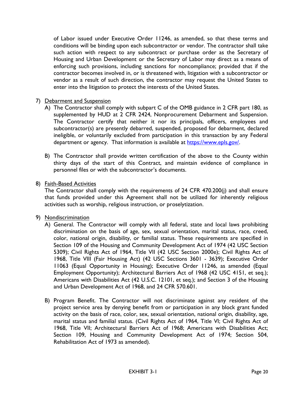of Labor issued under Executive Order 11246, as amended, so that these terms and conditions will be binding upon each subcontractor or vendor. The contractor shall take such action with respect to any subcontract or purchase order as the Secretary of Housing and Urban Development or the Secretary of Labor may direct as a means of enforcing such provisions, including sanctions for noncompliance; provided that if the contractor becomes involved in, or is threatened with, litigation with a subcontractor or vendor as a result of such direction, the contractor may request the United States to enter into the litigation to protect the interests of the United States.

#### 7) Debarment and Suspension

- A) The Contractor shall comply with subpart C of the OMB guidance in 2 CFR part 180, as supplemented by HUD at 2 CFR 2424, Nonprocurement Debarment and Suspension. The Contractor certify that neither it nor its principals, officers, employees and subcontractor(s) are presently debarred, suspended, proposed for debarment, declared ineligible, or voluntarily excluded from participation in this transaction by any Federal department or agency. That information is available at [https://www.epls.gov/.](https://www.epls.gov/)
- B) The Contractor shall provide written certification of the above to the County within thirty days of the start of this Contract, and maintain evidence of compliance in personnel files or with the subcontractor's documents.

#### 8) Faith-Based Activities

The Contractor shall comply with the requirements of 24 CFR 470.200(j) and shall ensure that funds provided under this Agreement shall not be utilized for inherently religious activities such as worship, religious instruction, or proselytization.

#### 9) Nondiscrimination

- A) General. The Contractor will comply with all federal, state and local laws prohibiting discrimination on the basis of age, sex, sexual orientation, marital status, race, creed, color, national origin, disability, or familial status. These requirements are specified in Section 109 of the Housing and Community Development Act of 1974 (42 USC Section 5309); Civil Rights Act of 1964, Title VII (42 USC Section 2000e); Civil Rights Act of 1968, Title VIII (Fair Housing Act) (42 USC Sections 3601 - 3639); Executive Order 11063 (Equal Opportunity in Housing); Executive Order 11246, as amended (Equal Employment Opportunity); Architectural Barriers Act of 1968 (42 USC 4151, et seq.); Americans with Disabilities Act [\(42 U.S.C.](http://en.wikipedia.org/wiki/Title_42_of_the_United_States_Code) 12101, et seq.); and Section 3 of the Housing and Urban Development Act of 1968, and 24 CFR 570.601.
- B) Program Benefit. The Contractor will not discriminate against any resident of the project service area by denying benefit from or participation in any block grant funded activity on the basis of race, color, sex, sexual orientation, national origin, disability, age, marital status and familial status. (Civil Rights Act of 1964, Title VI; Civil Rights Act of 1968, Title VII; Architectural Barriers Act of 1968; Americans with Disabilities Act; Section 109, Housing and Community Development Act of 1974; Section 504, Rehabilitation Act of 1973 as amended).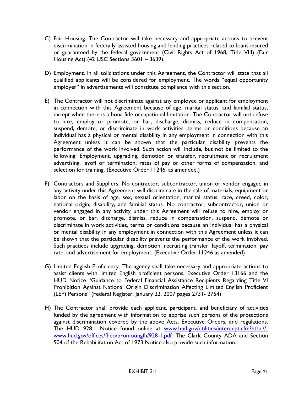- C) Fair Housing. The Contractor will take necessary and appropriate actions to prevent discrimination in federally assisted housing and lending practices related to loans insured or guaranteed by the federal government (Civil Rights Act of 1968, Title VIII) (Fair Housing Act) (42 USC Sections 3601 – 3639).
- D) Employment. In all solicitations under this Agreement, the Contractor will state that all qualified applicants will be considered for employment. The words "equal opportunity employer" in advertisements will constitute compliance with this section.
- E) The Contractor will not discriminate against any employee or applicant for employment in connection with this Agreement because of age, marital status, and familial status, except when there is a bona fide occupational limitation. The Contractor will not refuse to hire, employ or promote, or bar, discharge, dismiss, reduce in compensation, suspend, demote, or discriminate in work activities, terms or conditions because an individual has a physical or mental disability in any employment in connection with this Agreement unless it can be shown that the particular disability prevents the performance of the work involved. Such action will include, but not be limited to the following: Employment, upgrading, demotion or transfer, recruitment or recruitment advertising, layoff or termination, rates of pay or other forms of compensation, and selection for training. (Executive Order 11246, as amended.)
- F) Contractors and Suppliers. No contractor, subcontractor, union or vendor engaged in any activity under this Agreement will discriminate in the sale of materials, equipment or labor on the basis of age, sex, sexual orientation, marital status, race, creed, color, national origin, disability, and familial status. No contractor, subcontractor, union or vendor engaged in any activity under this Agreement will refuse to hire, employ or promote, or bar, discharge, dismiss, reduce in compensation, suspend, demote or discriminate in work activities, terms or conditions because an individual has a physical or mental disability in any employment in connection with this Agreement unless it can be shown that the particular disability prevents the performance of the work involved. Such practices include upgrading, demotion, recruiting transfer, layoff, termination, pay rate, and advertisement for employment. (Executive Order 11246 as amended)
- G) Limited English Proficiency. The agency shall take necessary and appropriate actions to assist clients with limited English proficient persons, Executive Order 13166 and the HUD Notice "Guidance to Federal Financial Assistance Recipients Regarding Title VI Prohibition Against National Origin Discrimination Affecting Limited English Proficient (LEP) Persons" (Federal Register, January 22, 2007 pages 2731- 2754)
- H) The Contractor shall provide each applicant, participant, and beneficiary of activities funded by the agreement with information to apprise such persons of the protections against discrimination covered by the above Acts, Executive Orders, and regulations. The HUD 928.1 Notice found online at [www.hud.gov/utilities/intercept.cfm?http://](http://www.hud.gov/utilities/intercept.cfm?http://-www.hud.gov/offices/fheo/promotingfh/928-1.pdf) [www.hud.gov/offices/fheo/promotingfh/928-1.pdf.](http://www.hud.gov/utilities/intercept.cfm?http://-www.hud.gov/offices/fheo/promotingfh/928-1.pdf) The Clark County ADA and Section 504 of the Rehabilitation Act of 1973 Notice also provide such information.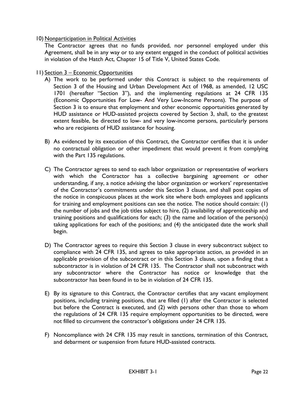10) Nonparticipation in Political Activities

The Contractor agrees that no funds provided, nor personnel employed under this Agreement, shall be in any way or to any extent engaged in the conduct of political activities in violation of the Hatch Act, Chapter 15 of Title V, United States Code.

- 11) Section 3 Economic Opportunities
	- A) The work to be performed under this Contract is subject to the requirements of Section 3 of the Housing and Urban Development Act of 1968, as amended, 12 USC 1701 (hereafter "Section 3"), and the implementing regulations at 24 CFR 135 (Economic Opportunities For Low- And Very Low-Income Persons). The purpose of Section 3 is to ensure that employment and other economic opportunities generated by HUD assistance or HUD-assisted projects covered by Section 3, shall, to the greatest extent feasible, be directed to low- and very low-income persons, particularly persons who are recipients of HUD assistance for housing.
	- B) As evidenced by its execution of this Contract, the Contractor certifies that it is under no contractual obligation or other impediment that would prevent it from complying with the Part 135 regulations.
	- C) The Contractor agrees to send to each labor organization or representative of workers with which the Contractor has a collective bargaining agreement or other understanding, if any, a notice advising the labor organization or workers' representative of the Contractor's commitments under this Section 3 clause, and shall post copies of the notice in conspicuous places at the work site where both employees and applicants for training and employment positions can see the notice. The notice should contain: (1) the number of jobs and the job titles subject to hire, (2) availability of apprenticeship and training positions and qualifications for each; (3) the name and location of the person(s) taking applications for each of the positions; and (4) the anticipated date the work shall begin.
	- D) The Contractor agrees to require this Section 3 clause in every subcontract subject to compliance with 24 CFR 135, and agrees to take appropriate action, as provided in an applicable provision of the subcontract or in this Section 3 clause, upon a finding that a subcontractor is in violation of 24 CFR 135. The Contractor shall not subcontract with any subcontractor where the Contractor has notice or knowledge that the subcontractor has been found in to be in violation of 24 CFR 135.
	- E) By its signature to this Contract, the Contractor certifies that any vacant employment positions, including training positions, that are filled (1) after the Contractor is selected but before the Contract is executed, and (2) with persons other than those to whom the regulations of 24 CFR 135 require employment opportunities to be directed, were not filled to circumvent the contractor's obligations under 24 CFR 135.
	- F) Noncompliance with 24 CFR 135 may result in sanctions, termination of this Contract, and debarment or suspension from future HUD-assisted contracts.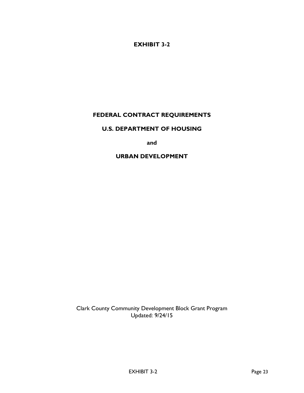## **EXHIBIT 3-2**

# <span id="page-28-0"></span>**FEDERAL CONTRACT REQUIREMENTS**

#### **U.S. DEPARTMENT OF HOUSING**

**and**

#### **URBAN DEVELOPMENT**

Clark County Community Development Block Grant Program Updated: 9/24/15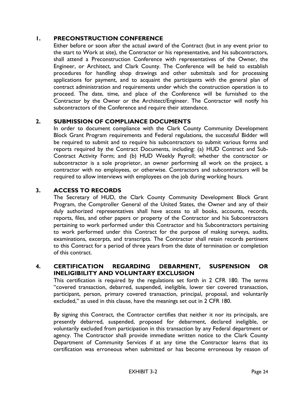### <span id="page-29-0"></span>**1. PRECONSTRUCTION CONFERENCE**

Either before or soon after the actual award of the Contract (but in any event prior to the start to Work at site), the Contractor or his representative, and his subcontractors, shall attend a Preconstruction Conference with representatives of the Owner, the Engineer, or Architect, and Clark County. The Conference will be held to establish procedures for handling shop drawings and other submittals and for processing applications for payment, and to acquaint the participants with the general plan of contract administration and requirements under which the construction operation is to proceed. The date, time, and place of the Conference will be furnished to the Contractor by the Owner or the Architect/Engineer. The Contractor will notify his subcontractors of the Conference and require their attendance.

# **2. SUBMISSION OF COMPLIANCE DOCUMENTS**

In order to document compliance with the Clark County Community Development Block Grant Program requirements and Federal regulations, the successful Bidder will be required to submit and to require his subcontractors to submit various forms and reports required by the Contract Documents, including: (a) HUD Contract and Sub-Contract Activity Form; and (b) HUD Weekly Payroll; whether the contractor or subcontractor is a sole proprietor, an owner performing all work on the project, a contractor with no employees, or otherwise. Contractors and subcontractors will be required to allow interviews with employees on the job during working hours.

#### **3. ACCESS TO RECORDS**

The Secretary of HUD, the Clark County Community Development Block Grant Program, the Comptroller General of the United States, the Owner and any of their duly authorized representatives shall have access to all books, accounts, records, reports, files, and other papers or property of the Contractor and his Subcontractors pertaining to work performed under this Contractor and his Subcontractors pertaining to work performed under this Contract for the purpose of making surveys, audits, examinations, excerpts, and transcripts. The Contractor shall retain records pertinent to this Contract for a period of three years from the date of termination or completion of this contract.

#### **4. CERTIFICATION REGARDING DEBARMENT, SUSPENSION OR INELIGIBILITY AND VOLUNTARY EXCLUSION**

This certification is required by the regulations set forth in 2 CFR 180. The terms "covered transaction, debarred, suspended, ineligible, lower tier covered transaction, participant, person, primary covered transaction, principal, proposal, and voluntarily excluded," as used in this clause, have the meanings set out in 2 CFR 180.

By signing this Contract, the Contractor certifies that neither it nor its principals, are presently debarred, suspended, proposed for debarment, declared ineligible, or voluntarily excluded from participation in this transaction by any Federal department or agency. The Contractor shall provide immediate written notice to the Clark County Department of Community Services if at any time the Contractor learns that its certification was erroneous when submitted or has become erroneous by reason of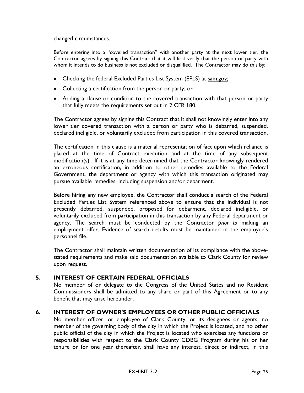changed circumstances.

Before entering into a "covered transaction" with another party at the next lower tier, the Contractor agrees by signing this Contract that it will first verify that the person or party with whom it intends to do business is not excluded or disqualified. The Contractor may do this by:

- Checking the federal Excluded Parties List System (EPLS) at sam.gov;
- Collecting a certification from the person or party; or
- Adding a clause or condition to the covered transaction with that person or party that fully meets the requirements set out in 2 CFR 180.

The Contractor agrees by signing this Contract that it shall not knowingly enter into any lower tier covered transaction with a person or party who is debarred, suspended, declared ineligible, or voluntarily excluded from participation in this covered transaction.

The certification in this clause is a material representation of fact upon which reliance is placed at the time of Contract execution and at the time of any subsequent modification(s). If it is at any time determined that the Contractor knowingly rendered an erroneous certification, in addition to other remedies available to the Federal Government, the department or agency with which this transaction originated may pursue available remedies, including suspension and/or debarment.

Before hiring any new employee, the Contractor shall conduct a search of the Federal Excluded Parties List System referenced above to ensure that the individual is not presently debarred, suspended, proposed for debarment, declared ineligible, or voluntarily excluded from participation in this transaction by any Federal department or agency. The search must be conducted by the Contractor *prior to* making an employment offer. Evidence of search results must be maintained in the employee's personnel file.

The Contractor shall maintain written documentation of its compliance with the abovestated requirements and make said documentation available to Clark County for review upon request.

#### **5. INTEREST OF CERTAIN FEDERAL OFFICIALS**

No member of or delegate to the Congress of the United States and no Resident Commissioners shall be admitted to any share or part of this Agreement or to any benefit that may arise hereunder.

#### **6. INTEREST OF OWNER'S EMPLOYEES OR OTHER PUBLIC OFFICIALS**

No member officer, or employee of Clark County, or its designees or agents, no member of the governing body of the city in which the Project is located, and no other public official of the city in which the Project is located who exercises any functions or responsibilities with respect to the Clark County CDBG Program during his or her tenure or for one year thereafter, shall have any interest, direct or indirect, in this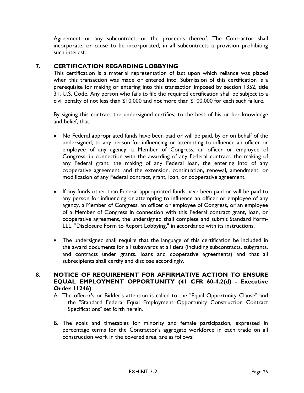Agreement or any subcontract, or the proceeds thereof. The Contractor shall incorporate, or cause to be incorporated, in all subcontracts a provision prohibiting such interest.

# **7. CERTIFICATION REGARDING LOBBYING**

This certification is a material representation of fact upon which reliance was placed when this transaction was made or entered into. Submission of this certification is a prerequisite for making or entering into this transaction imposed by section 1352, title 31, U.S. Code. Any person who fails to file the required certification shall be subject to a civil penalty of not less than \$10,000 and not more than \$100,000 for each such failure.

By signing this contract the undersigned certifies, to the best of his or her knowledge and belief, that:

- No Federal appropriated funds have been paid or will be paid, by or on behalf of the undersigned, to any person for influencing or attempting to influence an officer or employee of any agency, a Member of Congress, an officer or employee of Congress, in connection with the awarding of any Federal contract, the making of any Federal grant, the making of any Federal loan, the entering into of any cooperative agreement, and the extension, continuation, renewal, amendment, or modification of any Federal contract, grant, loan, or cooperative agreement.
- If any funds other than Federal appropriated funds have been paid or will be paid to any person for influencing or attempting to influence an officer or employee of any agency, a Member of Congress, an officer or employee of Congress, or an employee of a Member of Congress in connection with this Federal contract grant, loan, or cooperative agreement, the undersigned shall complete and submit Standard Form-LLL, "Disclosure Form to Report Lobbying," in accordance with its instructions.
- The undersigned shall require that the language of this certification be included in the award documents for all subawards at all tiers (including subcontracts, subgrants, and contracts under grants. loans and cooperative agreements) and that all subrecipients shall certify and disclose accordingly.

## **8. NOTICE OF REQUIREMENT FOR AFFIRMATIVE ACTION TO ENSURE EQUAL EMPLOYMENT OPPORTUNITY (41 CFR 60-4.2(d) - Executive Order 11246)**

- A. The offeror's or Bidder's attention is called to the "Equal Opportunity Clause" and the "Standard Federal Equal Employment Opportunity Construction Contract Specifications" set forth herein.
- B. The goals and timetables for minority and female participation, expressed in percentage terms for the Contractor's aggregate workforce in each trade on all construction work in the covered area, are as follows: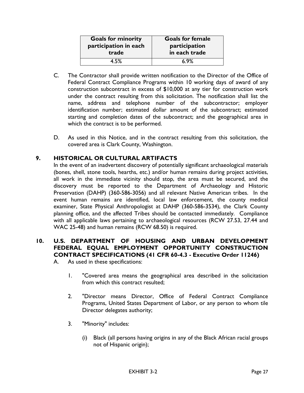| <b>Goals for minority</b> | <b>Goals for female</b> |
|---------------------------|-------------------------|
| participation in each     | participation           |
| trade                     | in each trade           |
| 4 5%                      | 6.9%                    |

- C. The Contractor shall provide written notification to the Director of the Office of Federal Contract Compliance Programs within 10 working days of award of any construction subcontract in excess of \$10,000 at any tier for construction work under the contract resulting from this solicitation. The notification shall list the name, address and telephone number of the subcontractor; employer identification number; estimated dollar amount of the subcontract; estimated starting and completion dates of the subcontract; and the geographical area in which the contract is to be performed.
- D. As used in this Notice, and in the contract resulting from this solicitation, the covered area is Clark County, Washington.

## **9. HISTORICAL OR CULTURAL ARTIFACTS**

In the event of an inadvertent discovery of potentially significant archaeological materials (bones, shell, stone tools, hearths, etc.) and/or human remains during project activities, all work in the immediate vicinity should stop, the area must be secured, and the discovery must be reported to the Department of Archaeology and Historic Preservation (DAHP) (360-586-3056) and all relevant Native American tribes. In the event human remains are identified, local law enforcement, the county medical examiner, State Physical Anthropologist at DAHP (360-586-3534), the Clark County planning office, and the affected Tribes should be contacted immediately. Compliance with all applicable laws pertaining to archaeological resources (RCW 27.53, 27.44 and WAC 25-48) and human remains (RCW 68.50) is required.

# **10. U.S. DEPARTMENT OF HOUSING AND URBAN DEVELOPMENT FEDERAL EQUAL EMPLOYMENT OPPORTUNITY CONSTRUCTION CONTRACT SPECIFICATIONS (41 CFR 60-4.3 - Executive Order 11246)**

A. As used in these specifications:

- 1. "Covered area means the geographical area described in the solicitation from which this contract resulted;
- 2. "Director means Director, Office of Federal Contract Compliance Programs, United States Department of Labor, or any person to whom tile Director delegates authority;
- 3. "Minority" includes:
	- (i) Black (all persons having origins in any of the Black African racial groups not of Hispanic origin);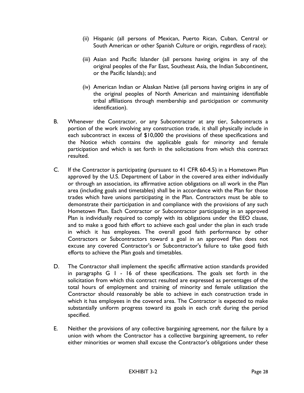- (ii) Hispanic (all persons of Mexican, Puerto Rican, Cuban, Central or South American or other Spanish Culture or origin, regardless of race);
- (iii) Asian and Pacific Islander (all persons having origins in any of the original peoples of the Far East, Southeast Asia, the Indian Subcontinent, or the Pacific Islands); and
- (iv) American Indian or Alaskan Native (all persons having origins in any of the original peoples of North American and maintaining identifiable tribal affiliations through membership and participation or community identification).
- B. Whenever the Contractor, or any Subcontractor at any tier, Subcontracts a portion of the work involving any construction trade, it shall physically include in each subcontract in excess of \$10,000 the provisions of these specifications and the Notice which contains the applicable goals for minority and female participation and which is set forth in the solicitations from which this contract resulted.
- C. If the Contractor is participating (pursuant to 41 CFR 60-4.5) in a Hometown Plan approved by the U.S. Department of Labor in the covered area either individually or through an association, its affirmative action obligations on all work in the Plan area (including goals and timetables) shall be in accordance with the Plan for those trades which have unions participating in the Plan. Contractors must be able to demonstrate their participation in and compliance with the provisions of any such Hometown Plan. Each Contractor or Subcontractor participating in an approved Plan is individually required to comply with its obligations under the EEO clause, and to make a good faith effort to achieve each goal under the plan in each trade in which it has employees. The overall good faith performance by other Contractors or Subcontractors toward a goal in an approved Plan does not excuse any covered Contractor's or Subcontractor's failure to take good faith efforts to achieve the Plan goals and timetables.
- D. The Contractor shall implement the specific affirmative action standards provided in paragraphs G 1 - 16 of these specifications. The goals set forth in the solicitation from which this contract resulted are expressed as percentages of the total hours of employment and training of minority and female utilization the Contractor should reasonably be able to achieve in each construction trade in which it has employees in the covered area. The Contractor is expected to make substantially uniform progress toward its goals in each craft during the period specified.
- E. Neither the provisions of any collective bargaining agreement, nor the failure by a union with whom the Contractor has a collective bargaining agreement, to refer either minorities or women shall excuse the Contractor's obligations under these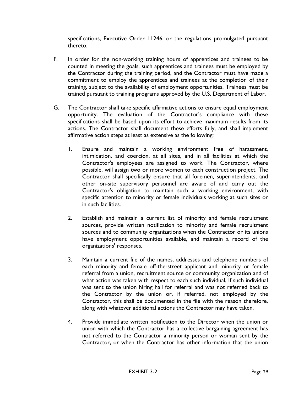specifications, Executive Order 11246, or the regulations promulgated pursuant thereto.

- F. In order for the non-working training hours of apprentices and trainees to be counted in meeting the goals, such apprentices and trainees must be employed by the Contractor during the training period, and the Contractor must have made a commitment to employ the apprentices and trainees at the completion of their training, subject to the availability of employment opportunities. Trainees must be trained pursuant to training programs approved by the U.S. Department of Labor.
- G. The Contractor shall take specific affirmative actions to ensure equal employment opportunity. The evaluation of the Contractor's compliance with these specifications shall be based upon its effort to achieve maximum results from its actions. The Contractor shall document these efforts fully, and shall implement affirmative action steps at least as extensive as the following:
	- 1. Ensure and maintain a working environment free of harassment, intimidation, and coercion, at all sites, and in all facilities at which the Contractor's employees are assigned to work. The Contractor, where possible, will assign two or more women to each construction project. The Contractor shall specifically ensure that all foremen, superintendents, and other on-site supervisory personnel are aware of and carry out the Contractor's obligation to maintain such a working environment, with specific attention to minority or female individuals working at such sites or in such facilities.
	- 2. Establish and maintain a current list of minority and female recruitment sources, provide written notification to minority and female recruitment sources and to community organizations when the Contractor or its unions have employment opportunities available, and maintain a record of the organizations' responses.
	- 3. Maintain a current file of the names, addresses and telephone numbers of each minority and female off-the-street applicant and minority or female referral from a union, recruitment source or community organization and of what action was taken with respect to each such individual, If such individual was sent to the union hiring hall for referral and was not referred back to the Contractor by the union or, if referred, not employed by the Contractor, this shall be documented in the file with the reason therefore, along with whatever additional actions the Contractor may have taken.
	- 4. Provide immediate written notification to the Director when the union or union with which the Contractor has a collective bargaining agreement has not referred to the Contractor a minority person or woman sent by the Contractor, or when the Contractor has other information that the union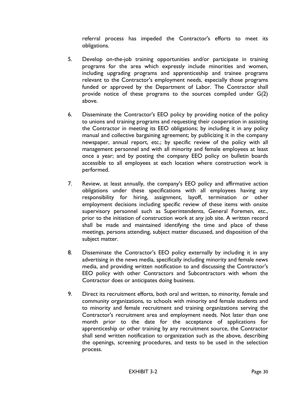referral process has impeded the Contractor's efforts to meet its obligations.

- 5. Develop on-the-job training opportunities and/or participate in training programs for the area which expressly include minorities and women, including upgrading programs and apprenticeship and trainee programs relevant to the Contractor's employment needs, especially those programs funded or approved by the Department of Labor. The Contractor shall provide notice of these programs to the sources compiled under G(2) above.
- 6. Disseminate the Contractor's EEO policy by providing notice of the policy to unions and training programs and requesting their cooperation in assisting the Contractor in meeting its EEO obligations; by including it in any policy manual and collective bargaining agreement; by publicizing it in the company newspaper, annual report, etc.; by specific review of the policy with all management personnel and with all minority and female employees at least once a year; and by posting the company EEO policy on bulletin boards accessible to all employees at each location where construction work is performed.
- 7. Review, at least annually, the company's EEO policy and affirmative action obligations under these specifications with all employees having any responsibility for hiring, assignment, layoff, termination or other employment decisions including specific review of these items with onsite supervisory personnel such as Superintendents, General Foremen, etc., prior to the initiation of construction work at any job site. A written record shall be made and maintained identifying the time and place of these meetings, persons attending, subject matter discussed, and disposition of the subject matter.
- 8. Disseminate the Contractor's EEO policy externally by including it in any advertising in the news media, specifically including minority and female news media, and providing written notification to and discussing the Contractor's EEO policy with other Contractors and Subcontractors with whom the Contractor does or anticipates doing business.
- 9. Direct its recruitment efforts, both oral and written, to minority, female and community organizations, to schools with minority and female students and to minority and female recruitment and training organizations serving the Contractor's recruitment area and employment needs. Not later than one month prior to the date for the acceptance of applications for apprenticeship or other training by any recruitment source, the Contractor shall send written notification to organization such as the above, describing the openings, screening procedures, and tests to be used in the selection process.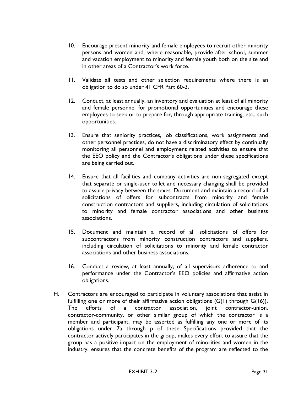- 10. Encourage present minority and female employees to recruit other minority persons and women and, where reasonable, provide after school, summer and vacation employment to minority and female youth both on the site and in other areas of a Contractor's work force.
- 11. Validate all tests and other selection requirements where there is an obligation to do so under 41 CFR Part 60-3.
- 12. Conduct, at least annually, an inventory and evaluation at least of all minority and female personnel for promotional opportunities and encourage these employees to seek or to prepare for, through appropriate training, etc., such opportunities.
- 13. Ensure that seniority practices, job classifications, work assignments and other personnel practices, do not have a discriminatory effect by continually monitoring all personnel and employment related activities to ensure that the EEO policy and the Contractor's obligations under these specifications are being carried out.
- 14. Ensure that all facilities and company activities are non-segregated except that separate or single-user toilet and necessary changing shall be provided to assure privacy between the sexes. Document and maintain a record of all solicitations of offers for subcontracts from minority and female construction contractors and suppliers, including circulation of solicitations to minority and female contractor associations and other business associations.
- 15. Document and maintain a record of all solicitations of offers for subcontractors from minority construction contractors and suppliers, including circulation of solicitations to minority and female contractor associations and other business associations.
- 16. Conduct a review, at least annually, of all supervisors adherence to and performance under the Contractor's EEO policies and affirmative action obligations.
- H. Contractors are encouraged to participate in voluntary associations that assist in fulfilling one or more of their affirmative action obligations  $(G(1)$  through  $G(16)$ . The efforts of a contractor association, joint contractor-union, contractor-community, or other similar group of which the contractor is a member and participant, may be asserted as fulfilling any one or more of its obligations under 7a through p of these Specifications provided that the contractor actively participates in the group, makes every effort to assure that the group has a positive impact on the employment of minorities and women in the industry, ensures that the concrete benefits of the program are reflected to the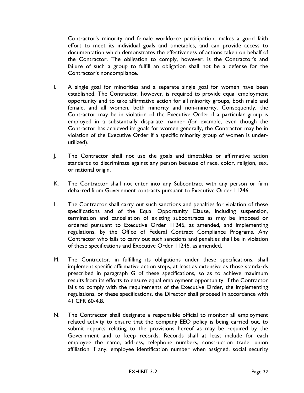Contractor's minority and female workforce participation, makes a good faith effort to meet its individual goals and timetables, and can provide access to documentation which demonstrates the effectiveness of actions taken on behalf of the Contractor. The obligation to comply, however, is the Contractor's and failure of such a group to fulfill an obligation shall not be a defense for the Contractor's noncompliance.

- I. A single goal for minorities and a separate single goal for women have been established. The Contractor, however, is required to provide equal employment opportunity and to take affirmative action for all minority groups, both male and female, and all women, both minority and non-minority. Consequently, the Contractor may be in violation of the Executive Order if a particular group is employed in a substantially disparate manner (for example, even though the Contractor has achieved its goals for women generally, the Contractor may be in violation of the Executive Order if a specific minority group of women is underutilized).
- J. The Contractor shall not use the goals and timetables or affirmative action standards to discriminate against any person because of race, color, religion, sex, or national origin.
- K. The Contractor shall not enter into any Subcontract with any person or firm debarred from Government contracts pursuant to Executive Order 11246.
- L. The Contractor shall carry out such sanctions and penalties for violation of these specifications and of the Equal Opportunity Clause, including suspension, termination and cancellation of existing subcontracts as may be imposed or ordered pursuant to Executive Order 11246, as amended, and implementing regulations, by the Office of Federal Contract Compliance Programs. Any Contractor who fails to carry out such sanctions and penalties shall be in violation of these specifications and Executive Order 11246, as amended.
- M. The Contractor, in fulfilling its obligations under these specifications, shall implement specific affirmative action steps, at least as extensive as those standards prescribed in paragraph G of these specifications, so as to achieve maximum results from its efforts to ensure equal employment opportunity. If the Contractor fails to comply with the requirements of the Executive Order, the implementing regulations, or these specifications, the Director shall proceed in accordance with 41 CFR 60-4.8.
- N. The Contractor shall designate a responsible official to monitor all employment related activity to ensure that the company EEO policy is being carried out, to submit reports relating to the provisions hereof as may be required by the Government and to keep records. Records shall at least include for each employee the name, address, telephone numbers, construction trade, union affiliation if any, employee identification number when assigned, social security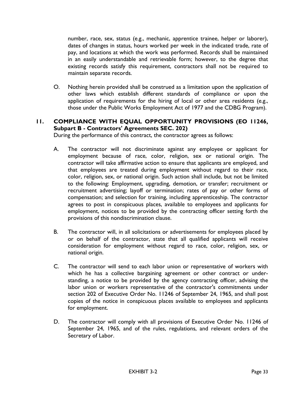number, race, sex, status (e.g., mechanic, apprentice trainee, helper or laborer), dates of changes in status, hours worked per week in the indicated trade, rate of pay, and locations at which the work was performed. Records shall be maintained in an easily understandable and retrievable form; however, to the degree that existing records satisfy this requirement, contractors shall not be required to maintain separate records.

O. Nothing herein provided shall be construed as a limitation upon the application of other laws which establish different standards of compliance or upon the application of requirements for the hiring of local or other area residents (e.g., those under the Public Works Employment Act of 1977 and the CDBG Program).

# **11. COMPLIANCE WITH EQUAL OPPORTUNITY PROVISIONS (EO 11246, Subpart B - Contractors' Agreements SEC. 202)**

During the performance of this contract, the contractor agrees as follows:

- A. The contractor will not discriminate against any employee or applicant for employment because of race, color, religion, sex or national origin. The contractor will take affirmative action to ensure that applicants are employed, and that employees are treated during employment without regard to their race, color, religion, sex, or national origin. Such action shall include, but not be limited to the following: Employment, upgrading, demotion, or transfer; recruitment or recruitment advertising; layoff or termination; rates of pay or other forms of compensation; and selection for training, including apprenticeship. The contractor agrees to post in conspicuous places, available to employees and applicants for employment, notices to be provided by the contracting officer setting forth the provisions of this nondiscrimination clause.
- B. The contractor will, in all solicitations or advertisements for employees placed by or on behalf of the contractor, state that all qualified applicants will receive consideration for employment without regard to race, color, religion, sex, or national origin.
- C. The contractor will send to each labor union or representative of workers with which he has a collective bargaining agreement or other contract or understanding, a notice to be provided by the agency contracting officer, advising the labor union or workers representative of the contractor's commitments under section 202 of Executive Order No. 11246 of September 24, 1965, and shall post copies of the notice in conspicuous places available to employees and applicants for employment.
- D. The contractor will comply with all provisions of Executive Order No. 11246 of September 24, 1965, and of the rules, regulations, and relevant orders of the Secretary of Labor.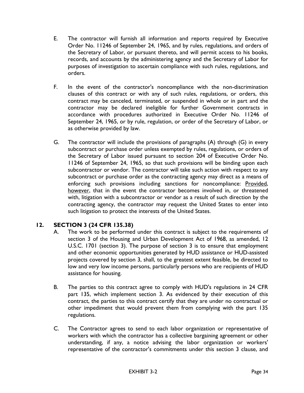- E. The contractor will furnish all information and reports required by Executive Order No. 11246 of September 24, 1965, and by rules, regulations, and orders of the Secretary of Labor, or pursuant thereto, and will permit access to his books, records, and accounts by the administering agency and the Secretary of Labor for purposes of investigation to ascertain compliance with such rules, regulations, and orders.
- F. In the event of the contractor's noncompliance with the non-discrimination clauses of this contract or with any of such rules, regulations, or orders, this contract may be canceled, terminated, or suspended in whole or in part and the contractor may be declared ineligible for further Government contracts in accordance with procedures authorized in Executive Order No. 11246 of September 24, 1965, or by rule, regulation, or order of the Secretary of Labor, or as otherwise provided by law.
- G. The contractor will include the provisions of paragraphs (A) through (G) in every subcontract or purchase order unless exempted by rules, regulations, or orders of the Secretary of Labor issued pursuant to section 204 of Executive Order No. 11246 of September 24, 1965, so that such provisions will be binding upon each subcontractor or vendor. The contractor will take such action with respect to any subcontract or purchase order as the contracting agency may direct as a means of enforcing such provisions including sanctions for noncompliance: Provided, however, that in the event the contractor becomes involved in, or threatened with, litigation with a subcontractor or vendor as a result of such direction by the contracting agency, the contractor may request the United States to enter into such litigation to protect the interests of the United States.

## **12. SECTION 3 (24 CFR 135.38)**

- A. The work to be performed under this contract is subject to the requirements of section 3 of the Housing and Urban Development Act of 1968, as amended, 12 U.S.C. 1701 (section 3). The purpose of section 3 is to ensure that employment and other economic opportunities generated by HUD assistance or HUD-assisted projects covered by section 3, shall, to the greatest extent feasible, be directed to low and very low income persons, particularly persons who are recipients of HUD assistance for housing.
- B. The parties to this contract agree to comply with HUD's regulations in 24 CFR part 135, which implement section 3. As evidenced by their execution of this contract, the parties to this contract certify that they are under no contractual or other impediment that would prevent them from complying with the part 135 regulations.
- C. The Contractor agrees to send to each labor organization or representative of workers with which the contractor has a collective bargaining agreement or other understanding, if any, a notice advising the labor organization or workers' representative of the contractor's commitments under this section 3 clause, and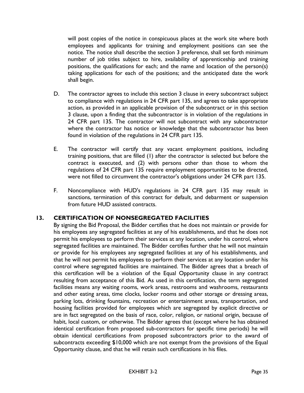will post copies of the notice in conspicuous places at the work site where both employees and applicants for training and employment positions can see the notice. The notice shall describe the section 3 preference, shall set forth minimum number of job titles subject to hire, availability of apprenticeship and training positions, the qualifications for each; and the name and location of the person(s) taking applications for each of the positions; and the anticipated date the work shall begin.

- D. The contractor agrees to include this section 3 clause in every subcontract subject to compliance with regulations in 24 CFR part 135, and agrees to take appropriate action, as provided in an applicable provision of the subcontract or in this section 3 clause, upon a finding that the subcontractor is in violation of the regulations in 24 CFR part 135. The contractor will not subcontract with any subcontractor where the contractor has notice or knowledge that the subcontractor has been found in violation of the regulations in 24 CFR part 135.
- E. The contractor will certify that any vacant employment positions, including training positions, that are filled (1) after the contractor is selected but before the contract is executed, and (2) with persons other than those to whom the regulations of 24 CFR part 135 require employment opportunities to be directed, were not filled to circumvent the contractor's obligations under 24 CFR part 135.
- F. Noncompliance with HUD's regulations in 24 CFR part 135 may result in sanctions, termination of this contract for default, and debarment or suspension from future HUD assisted contracts.

## **13. CERTIFICATION OF NONSEGREGATED FACILITIES**

By signing the Bid Proposal, the Bidder certifies that he does not maintain or provide for his employees any segregated facilities at any of his establishments, and that he does not permit his employees to perform their services at any location, under his control, where segregated facilities are maintained. The Bidder certifies further that he will not maintain or provide for his employees any segregated facilities at any of his establishments, and that he will not permit his employees to perform their services at any location under his control where segregated facilities are maintained. The Bidder agrees that a breach of this certification will be a violation of the Equal Opportunity clause in any contract resulting from acceptance of this Bid. As used in this certification, the term segregated facilities means any waiting rooms, work areas, restrooms and washrooms, restaurants and other eating areas, time clocks, locker rooms and other storage or dressing areas, parking lots, drinking fountains, recreation or entertainment areas, transportation, and housing facilities provided for employees which are segregated by explicit directive or are in fact segregated on the basis of race, color, religion, or national origin, because of habit, local custom, or otherwise. The Bidder agrees that (except where he has obtained identical certification from proposed sub-contractors for specific time periods) he will obtain identical certifications from proposed subcontractors prior to the award of subcontracts exceeding \$10,000 which are not exempt from the provisions of the Equal Opportunity clause, and that he will retain such certifications in his files.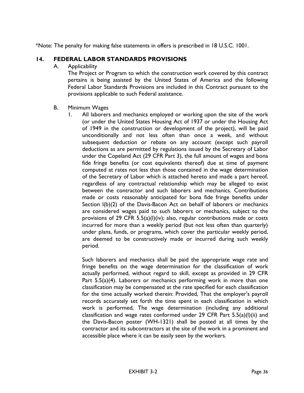\*Note: The penalty for making false statements in offers is prescribed in 18 U.S.C. 1001.

#### **14. FEDERAL LABOR STANDARDS PROVISIONS**

A. Applicability

The Project or Program to which the construction work covered by this contract pertains is being assisted by the United States of America and the following Federal Labor Standards Provisions are included in this Contract pursuant to the provisions applicable to such Federal assistance.

- B. Minimum Wages
	- 1. All laborers and mechanics employed or working upon the site of the work (or under the United States Housing Act of 1937 or under the Housing Act of 1949 in the construction or development of the project), will be paid unconditionally and not less often than once a week, and without subsequent deduction or rebate on any account (except such payroll deductions as are permitted by regulations issued by the Secretary of Labor under the Copeland Act (29 CFR Part 3), the full amount of wages and bona fide fringe benefits (or cost equivalents thereof) due at time of payment computed at rates not less than those contained in the wage determination of the Secretary of Labor which is attached hereto and made a part hereof, regardless of any contractual relationship which may be alleged to exist between the contractor and such laborers and mechanics. Contributions made or costs reasonably anticipated for bona fide fringe benefits under Section l(b)(2) of the Davis-Bacon Act on behalf of laborers or mechanics are considered wages paid to such laborers or mechanics, subject to the provisions of 29 CFR 5.5(a)(l)(iv); also, regular contributions made or costs incurred for more than a weekly period (but not less often than quarterly) under plans, funds, or programs, which cover the particular weekly period, are deemed to be constructively made or incurred during such weekly period.

Such laborers and mechanics shall be paid the appropriate wage rate and fringe benefits on the wage determination for the classification of work actually performed, without regard to skill, except as provided in 29 CFR Part 5.5(a)(4). Laborers or mechanics performing work in more than one classification may be compensated at the rate specified for each classification for the time actually worked therein: Provided, That the employer's payroll records accurately set forth the time spent in each classification in which work is performed, The wage determination (including any additional classification and wage rates conformed under 29 CFR Part 5.5(a)(l)(ii) and the Davis-Bacon poster (WH-1321) shall be posted at all times by the contractor and its subcontractors at the site of the work in a prominent and accessible place where it can be easily seen by the workers.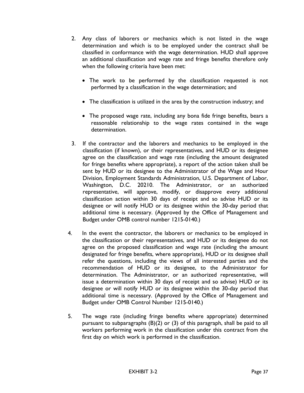- 2. Any class of laborers or mechanics which is not listed in the wage determination and which is to be employed under the contract shall be classified in conformance with the wage determination. HUD shall approve an additional classification and wage rate and fringe benefits therefore only when the following criteria have been met:
	- The work to be performed by the classification requested is not performed by a classification in the wage determination; and
	- The classification is utilized in the area by the construction industry; and
	- The proposed wage rate, including any bona fide fringe benefits, bears a reasonable relationship to the wage rates contained in the wage determination.
- 3. If the contractor and the laborers and mechanics to be employed in the classification (if known), or their representatives, and HUD or its designee agree on the classification and wage rate (including the amount designated for fringe benefits where appropriate), a report of the action taken shall be sent by HUD or its designee to the Administrator of the Wage and Hour Division, Employment Standards Administration, U.S. Department of Labor, Washington, D.C. 20210. The Administrator, or an authorized representative, will approve, modify, or disapprove every additional classification action within 30 days of receipt and so advise HUD or its designee or will notify HUD or its designee within the 30-day period that additional time is necessary. (Approved by the Office of Management and Budget under OMB control number 1215-0140.)
- 4. In the event the contractor, the laborers or mechanics to be employed in the classification or their representatives, and HUD or its designee do not agree on the proposed classification and wage rate (including the amount designated for fringe benefits, where appropriate), HUD or its designee shall refer the questions, including the views of all interested parties and the recommendation of HUD or its designee, to the Administrator for determination. The Administrator, or an authorized representative, will issue a determination within 30 days of receipt and so advise) HUD or its designee or will notify HUD or its designee within the 30-day period that additional time is necessary. (Approved by the Office of Management and Budget under OMB Control Number 1215-0140.)
- 5. The wage rate (including fringe benefits where appropriate) determined pursuant to subparagraphs (B)(2) or (3) of this paragraph, shall be paid to all workers performing work in the classification under this contract from the first day on which work is performed in the classification.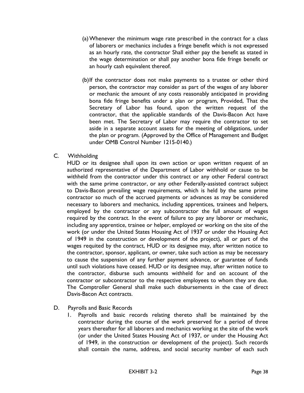- (a)Whenever the minimum wage rate prescribed in the contract for a class of laborers or mechanics includes a fringe benefit which is not expressed as an hourly rate, the contractor Shall either pay the benefit as stated in the wage determination or shall pay another bona fide fringe benefit or an hourly cash equivalent thereof.
- (b)If the contractor does not make payments to a trustee or other third person, the contractor may consider as part of the wages of any laborer or mechanic the amount of any costs reasonably anticipated in providing bona fide fringe benefits under a plan or program, Provided, That the Secretary of Labor has found, upon the written request of the contractor, that the applicable standards of the Davis-Bacon Act have been met. The Secretary of Labor may require the contractor to set aside in a separate account assets for the meeting of obligations, under the plan or program. (Approved by the Office of Management and Budget under OMB Control Number 1215-0140.)

## C. Withholding

HUD or its designee shall upon its own action or upon written request of an authorized representative of the Department of Labor withhold or cause to be withheld from the contractor under this contract or any other Federal contract with the same prime contractor, or any other Federally-assisted contract subject to Davis-Bacon prevailing wage requirements, which is held by the same prime contractor so much of the accrued payments or advances as may be considered necessary to laborers and mechanics, including apprentices, trainees and helpers, employed by the contractor or any subcontractor the full amount of wages required by the contract. In the event of failure to pay any laborer or mechanic, including any apprentice, trainee or helper, employed or working on the site of the work (or under the United States Housing Act of 1937 or under the Housing Act of 1949 in the construction or development of the project), all or part of the wages requited by the contract, HUD or its designee may, after written notice to the contractor, sponsor, applicant, or owner, take such action as may be necessary to cause the suspension of any further payment advance, or guarantee of funds until such violations have ceased. HUD or its designee may, after written notice to the contractor, disburse such amounts withheld for and on account of the contractor or subcontractor to the respective employees to whom they are due. The Comptroller General shall make such disbursements in the case of direct Davis-Bacon Act contracts.

- D. Payrolls and Basic Records
	- 1. Payrolls and basic records relating thereto shall be maintained by the contractor during the course of the work preserved for a period of three years thereafter for all laborers and mechanics working at the site of the work (or under the United States Housing Act of 1937, or under the Housing Act of 1949, in the construction or development of the project). Such records shall contain the name, address, and social security number of each such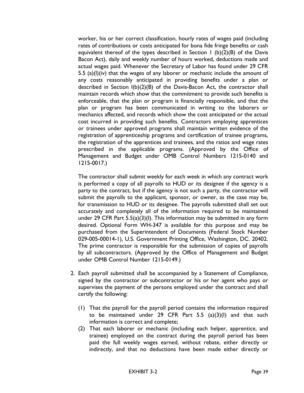worker, his or her correct classification, hourly rates of wages paid (including rates of contributions or costs anticipated for bona fide fringe benefits or cash equivalent thereof of the types described in Section 1 (b)(2)(B) of the Davis Bacon Act), daily and weekly number of hours worked, deductions made and actual wages paid. Whenever the Secretary of Labor has found under 29 CFR 5.5 (a)(l)(iv) that the wages of any laborer or mechanic include the amount of any costs reasonably anticipated in providing benefits under a plan or described in Section l(b)(2)(B) of the Davis-Bacon Act, the contractor shall maintain records which show that the commitment to provide such benefits is enforceable, that the plan or program is financially responsible, and that the plan or program has been communicated in writing to the laborers or mechanics affected, and records which show the cost anticipated or the actual cost incurred in providing such benefits. Contractors employing apprentices or trainees under approved programs shall maintain written evidence of the registration of apprenticeship programs and certification of trainee programs, the registration of the apprentices and trainees, and the ratios and wage rates prescribed in the applicable programs. (Approved by the Office of Management and Budget under OMB Control Numbers 1215-0140 and 1215-0017.)

The contractor shall submit weekly for each week in which any contract work is performed a copy of all payrolls to HUD or its designee if the agency is a party to the contract, but if the agency is not such a party, the contractor will submit the payrolls to the applicant, sponsor, or owner, as the case may be, for transmission to HUD or its designee. The payrolls submitted shall set out accurately and completely all of the information required to be maintained under 29 CFR Part 5.5(a)(3)(I). This information may be submitted in any form desired. Optional Form WH-347 is available for this purpose and may be purchased from the Superintendent of Documents (Federal Stock Number 029-005-00014-1), U.S. Government Printing Office, Washington, DC. 20402. The prime contractor is responsible for the submission of copies of payrolls by all subcontractors. (Approved by the Office of Management and Budget under OMB Control Number 1215-0149.)

- 2. Each payroll submitted shall be accompanied by a Statement of Compliance, signed by the contractor or subcontractor or his or her agent who pays or supervises the payment of the persons employed under the contract and shall certify the following:
	- (1) That the payroll for the payroll period contains the information required to be maintained under 29 CFR Part  $5.5$  (a)(3)(1) and that such information is correct and complete;
	- (2) That each laborer or mechanic (including each helper, apprentice, and trainee) employed on the contract during the payroll period has been paid the full weekly wages earned, without rebate, either directly or indirectly, and that no deductions have been made either directly or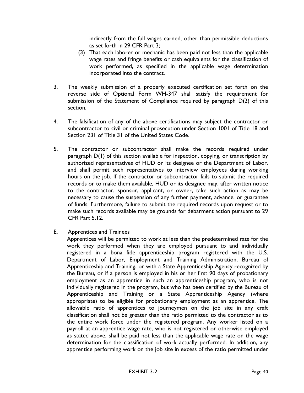indirectly from the full wages earned, other than permissible deductions as set forth in 29 CFR Part 3;

- (3) That each laborer or mechanic has been paid not less than the applicable wage rates and fringe benefits or cash equivalents for the classification of work performed, as specified in the applicable wage determination incorporated into the contract.
- 3. The weekly submission of a properly executed certification set forth on the reverse side of Optional Form WH-347 shall satisfy the requirement for submission of the Statement of Compliance required by paragraph D(2) of this section.
- 4. The falsification of any of the above certifications may subject the contractor or subcontractor to civil or criminal prosecution under Section 1001 of Title 18 and Section 231 of Title 31 of the United States Code.
- 5. The contractor or subcontractor shall make the records required under paragraph D(1) of this section available for inspection, copying, or transcription by authorized representatives of HUD or its designee or the Department of Labor, and shall permit such representatives to interview employees during working hours on the job. If the contractor or subcontractor fails to submit the required records or to make them available, HUD or its designee may, after written notice to the contractor, sponsor, applicant, or owner, take such action as may be necessary to cause the suspension of any further payment, advance, or guarantee of funds. Furthermore, failure to submit the required records upon request or to make such records available may be grounds for debarment action pursuant to 29 CFR Part 5.12.
- E. Apprentices and Trainees

Apprentices will be permitted to work at less than the predetermined rate for the work they performed when they are employed pursuant to and individually registered in a bona fide apprenticeship program registered with the U.S. Department of Labor, Employment and Training Administration, Bureau of Apprenticeship and Training, or with a State Apprenticeship Agency recognized by the Bureau, or if a person is employed in his or her first 90 days of probationary employment as an apprentice in such an apprenticeship program, who is not individually registered in the program, but who has been certified by the Bureau of Apprenticeship and Training or a State Apprenticeship Agency (where appropriate) to be eligible for probationary employment as an apprentice. The allowable ratio of apprentices to journeymen on the job site in any craft classification shall not be greater than the ratio permitted to the contractor as to the entire work force under the registered program. Any worker listed on a payroll at an apprentice wage rate, who is not registered or otherwise employed as stated above, shall be paid not less than the applicable wage rate on the wage determination for the classification of work actually performed. In addition, any apprentice performing work on the job site in excess of the ratio permitted under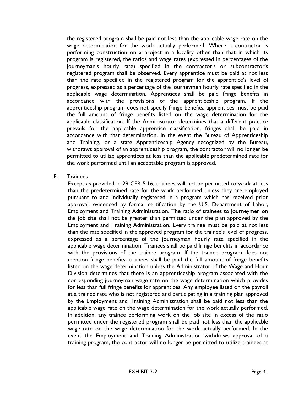the registered program shall be paid not less than the applicable wage rate on the wage determination for the work actually performed. Where a contractor is performing construction on a project in a locality other than that in which its program is registered, the ratios and wage rates (expressed in percentages of the journeyman's hourly rate) specified in the contractor's or subcontractor's registered program shall be observed. Every apprentice must be paid at not less than the rate specified in the registered program for the apprentice's level of progress, expressed as a percentage of the journeymen hourly rate specified in the applicable wage determination. Apprentices shall be paid fringe benefits in accordance with the provisions of the apprenticeship program. If the apprenticeship program does not specify fringe benefits, apprentices must be paid the full amount of fringe benefits listed on the wage determination for the applicable classification. If the Administrator determines that a different practice prevails for the applicable apprentice classification, fringes shall be paid in accordance with that determination. In the event the Bureau of Apprenticeship and Training, or a state Apprenticeship Agency recognized by the Bureau, withdraws approval of an apprenticeship program, the contractor will no longer be permitted to utilize apprentices at less than the applicable predetermined rate for the work performed until an acceptable program is approved.

#### F. Trainees

Except as provided in 29 CFR 5.16, trainees will not be permitted to work at less than the predetermined rate for the work performed unless they are employed pursuant to and individually registered in a program which has received prior approval, evidenced by formal certification by the U.S. Department of Labor, Employment and Training Administration. The ratio of trainees to journeymen on the job site shall not be greater than permitted under the plan approved by the Employment and Training Administration. Every trainee must be paid at not less than the rate specified in the approved program for the trainee's level of progress, expressed as a percentage of the journeyman hourly rate specified in the applicable wage determination. Trainees shall be paid fringe benefits in accordance with the provisions of the trainee program. If the trainee program does not mention fringe benefits, trainees shall be paid the full amount of fringe benefits listed on the wage determination unless the Administrator of the Wage and Hour Division determines that there is an apprenticeship program associated with the corresponding journeyman wage rate on the wage determination which provides for less than full fringe benefits for apprentices. Any employee listed on the payroll at a trainee rate who is not registered and participating in a training plan approved by the Employment and Training Administration shall be paid not less than the applicable wage rate on the wage determination for the work actually performed. In addition, any trainee performing work on the job site in excess of the ratio permitted under the registered program shall be paid not less than the applicable wage rate on the wage determination for the work actually performed. In the event the Employment and Training Administration withdraws approval of a training program, the contractor will no longer be permitted to utilize trainees at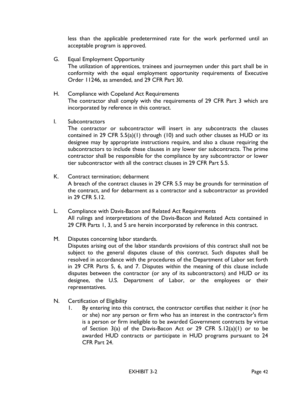less than the applicable predetermined rate for the work performed until an acceptable program is approved.

- G. Equal Employment Opportunity The utilization of apprentices, trainees and journeymen under this part shall be in conformity with the equal employment opportunity requirements of Executive Order 11246, as amended, and 29 CFR Part 30.
- H. Compliance with Copeland Act Requirements The contractor shall comply with the requirements of 29 CFR Part 3 which are incorporated by reference in this contract.
- I. Subcontractors

The contractor or subcontractor will insert in any subcontracts the clauses contained in 29 CFR 5.5(a)(1) through (10) and such other clauses as HUD or its designee may by appropriate instructions require, and also a clause requiring the subcontractors to include these clauses in any lower tier subcontracts. The prime contractor shall be responsible for the compliance by any subcontractor or lower tier subcontractor with all the contract clauses in 29 CFR Part 5.5.

- K. Contract termination; debarment A breach of the contract clauses in 29 CFR 5.5 may be grounds for termination of the contract, and for debarment as a contractor and a subcontractor as provided in 29 CFR 5.12.
- L. Compliance with Davis-Bacon and Related Act Requirements All rulings and interpretations of the Davis-Bacon and Related Acts contained in 29 CFR Parts 1, 3, and 5 are herein incorporated by reference in this contract.
- M. Disputes concerning labor standards.

Disputes arising out of the labor standards provisions of this contract shall not be subject to the general disputes clause of this contract. Such disputes shall be resolved in accordance with the procedures of the Department of Labor set forth in 29 CFR Parts 5, 6, and 7. Disputes within the meaning of this clause include disputes between the contractor (or any of its subcontractors) and HUD or its designee, the U.S. Department of Labor, or the employees or their representatives.

- N. Certification of Eligibility
	- 1. By entering into this contract, the contractor certifies that neither it (nor he or she) nor any person or firm who has an interest in the contractor's firm is a person or firm ineligible to be awarded Government contracts by virtue of Section 3(a) of the Davis-Bacon Act or 29 CFR 5.12(a)(1) or to be awarded HUD contracts or participate in HUD programs pursuant to 24 CFR Part 24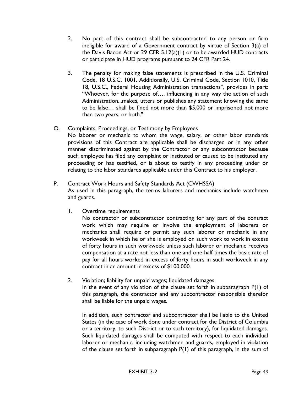- 2. No part of this contract shall be subcontracted to any person or firm ineligible for award of a Government contract by virtue of Section 3(a) of the Davis-Bacon Act or 29 CFR 5.12(a)(1) or to be awarded HUD contracts or participate in HUD programs pursuant to 24 CFR Part 24.
- 3. The penalty for making false statements is prescribed in the U.S. Criminal Code, 18 U.S.C. 1001. Additionally, U.S. Criminal Code, Section 1010, Title 18, U.S.C., Federal Housing Administration transactions", provides in part: "Whoever, for the purpose of…. influencing in any way the action of such Administration...makes, utters or publishes any statement knowing the same to be false… shall be fined not more than \$5,000 or imprisoned not more than two years, or both."

## O. Complaints, Proceedings, or Testimony by Employees

No laborer or mechanic to whom the wage, salary, or other labor standards provisions of this Contract are applicable shall be discharged or in any other manner discriminated against by the Contractor or any subcontractor because such employee has filed any complaint or instituted or caused to be instituted any proceeding or has testified, or is about to testify in any proceeding under or relating to the labor standards applicable under this Contract to his employer.

- P. Contract Work Hours and Safety Standards Act (CWHSSA) As used in this paragraph, the terms laborers and mechanics include watchmen and guards.
	- 1. Overtime requirements

No contractor or subcontractor contracting for any part of the contract work which may require or involve the employment of laborers or mechanics shall require or permit any such laborer or mechanic in any workweek in which he or she is employed on such work to work in excess of forty hours in such workweek unless such laborer or mechanic receives compensation at a rate not less than one and one-half times the basic rate of pay for all hours worked in excess of forty hours in such workweek in any contract in an amount in excess of \$100,000.

2. Violation; liability for unpaid wages; liquidated damages In the event of any violation of the clause set forth in subparagraph P(1) of this paragraph, the contractor and any subcontractor responsible therefor shall be liable for the unpaid wages.

In addition, such contractor and subcontractor shall be liable to the United States (in the case of work done under contract for the District of Columbia or a territory, to such District or to such territory), for liquidated damages. Such liquidated damages shall be computed with respect to each individual laborer or mechanic, including watchmen and guards, employed in violation of the clause set forth in subparagraph P(1) of this paragraph, in the sum of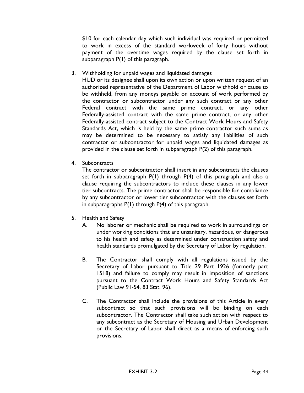\$10 for each calendar day which such individual was required or permitted to work in excess of the standard workweek of forty hours without payment of the overtime wages required by the clause set forth in subparagraph P(1) of this paragraph.

3. Withholding for unpaid wages and liquidated damages

HUD or its designee shall upon its own action or upon written request of an authorized representative of the Department of Labor withhold or cause to be withheld, from any moneys payable on account of work performed by the contractor or subcontractor under any such contract or any other Federal contract with the same prime contract, or any other Federally-assisted contract with the same prime contract, or any other Federally-assisted contract subject to the Contract Work Hours and Safety Standards Act, which is held by the same prime contractor such sums as may be determined to be necessary to satisfy any liabilities of such contractor or subcontractor for unpaid wages and liquidated damages as provided in the clause set forth in subparagraph P(2) of this paragraph.

4. Subcontracts

The contractor or subcontractor shall insert in any subcontracts the clauses set forth in subparagraph P(1) through P(4) of this paragraph and also a clause requiring the subcontractors to include these clauses in any lower tier subcontracts. The prime contractor shall be responsible for compliance by any subcontractor or lower tier subcontractor with the clauses set forth in subparagraphs P(1) through P(4) of this paragraph.

- 5. Health and Safety
	- A. No laborer or mechanic shall be required to work in surroundings or under working conditions that are unsanitary, hazardous, or dangerous to his health and safety as determined under construction safety and health standards promulgated by the Secretary of Labor by regulation.
	- B. The Contractor shall comply with all regulations issued by the Secretary of Labor pursuant to Title 29 Part 1926 (formerly part 1518) and failure to comply may result in imposition of sanctions pursuant to the Contract Work Hours and Safety Standards Act (Public Law 91-54, 83 Stat. 96).
	- C. The Contractor shall include the provisions of this Article in every subcontract so that such provisions will be binding on each subcontractor. The Contractor shall take such action with respect to any subcontract as the Secretary of Housing and Urban Development or the Secretary of Labor shall direct as a means of enforcing such provisions.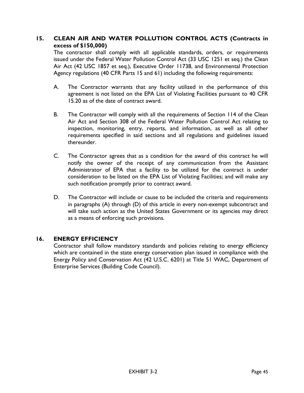## **15. CLEAN AIR AND WATER POLLUTION CONTROL ACTS (Contracts in excess of \$150,000)**

The contractor shall comply with all applicable standards, orders, or requirements issued under the Federal Water Pollution Control Act (33 USC 1251 et seq.) the Clean Air Act (42 USC 1857 et seq.), Executive Order 11738, and Environmental Protection Agency regulations (40 CFR Parts 15 and 61) including the following requirements:

- A. The Contractor warrants that any facility utilized in the performance of this agreement is not listed on the EPA List of Violating Facilities pursuant to 40 CFR 15.20 as of the date of contract award.
- B. The Contractor will comply with all the requirements of Section 114 of the Clean Air Act and Section 308 of the Federal Water Pollution Control Act relating to inspection, monitoring, entry, reports, and information, as well as all other requirements specified in said sections and all regulations and guidelines issued thereunder.
- C. The Contractor agrees that as a condition for the award of this contract he will notify the owner of the receipt of any communication from the Assistant Administrator of EPA that a facility to be utilized for the contract is under consideration to be listed on the EPA List of Violating Facilities; and will make any such notification promptly prior to contract award.
- D. The Contractor will include or cause to be included the criteria and requirements in paragraphs (A) through (D) of this article in every non-exempt subcontract and will take such action as the United States Government or its agencies may direct as a means of enforcing such provisions.

## **16. ENERGY EFFICIENCY**

Contractor shall follow mandatory standards and policies relating to energy efficiency which are contained in the state energy conservation plan issued in compliance with the Energy Policy and Conservation Act (42 U.S.C. 6201) at Title 51 WAC, Department of Enterprise Services (Building Code Council).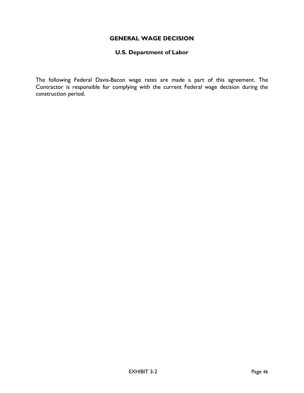## **GENERAL WAGE DECISION**

#### **U.S. Department of Labor**

The following Federal Davis-Bacon wage rates are made a part of this agreement. The Contractor is responsible for complying with the current Federal wage decision during the construction period.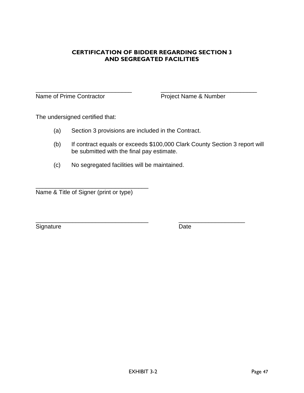## **CERTIFICATION OF BIDDER REGARDING SECTION 3 AND SEGREGATED FACILITIES**

Name of Prime Contractor **Project Name & Number** 

\_\_\_\_\_\_\_\_\_\_\_\_\_\_\_\_\_\_\_\_\_\_\_\_\_\_\_\_\_ \_\_\_\_\_\_\_\_\_\_\_\_\_\_\_\_\_\_\_\_\_\_\_\_\_\_\_\_\_

The undersigned certified that:

- (a) Section 3 provisions are included in the Contract.
- (b) If contract equals or exceeds \$100,000 Clark County Section 3 report will be submitted with the final pay estimate.
- (c) No segregated facilities will be maintained.

\_\_\_\_\_\_\_\_\_\_\_\_\_\_\_\_\_\_\_\_\_\_\_\_\_\_\_\_\_\_\_\_\_\_ Name & Title of Signer (print or type)

Signature Date

\_\_\_\_\_\_\_\_\_\_\_\_\_\_\_\_\_\_\_\_\_\_\_\_\_\_\_\_\_\_\_\_\_\_ \_\_\_\_\_\_\_\_\_\_\_\_\_\_\_\_\_\_\_\_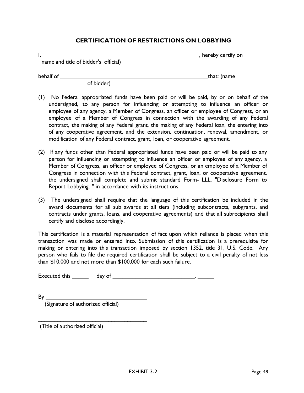#### **CERTIFICATION OF RESTRICTIONS ON LOBBYING**

|                                      | , hereby certify on |
|--------------------------------------|---------------------|
| name and title of bidder's official) |                     |

behalf of <u>that:</u> (name

of bidder)

- (1) No Federal appropriated funds have been paid or will be paid, by or on behalf of the undersigned, to any person for influencing or attempting to influence an officer or employee of any agency, a Member of Congress, an officer or employee of Congress, or an employee of a Member of Congress in connection with the awarding of any Federal contract, the making of any Federal grant, the making of any Federal loan, the entering into of any cooperative agreement, and the extension, continuation, renewal, amendment, or modification of any Federal contract, grant, loan, or cooperative agreement.
- (2) If any funds other than Federal appropriated funds have been paid or will be paid to any person for influencing or attempting to influence an officer or employee of any agency, a Member of Congress, an officer or employee of Congress, or an employee of a Member of Congress in connection with this Federal contract, grant, loan, or cooperative agreement, the undersigned shall complete and submit standard Form- LLL, "Disclosure Form to Report Lobbying, " in accordance with its instructions.
- (3) The undersigned shall require that the language of this certification be included in the award documents for all sub awards at all tiers (including subcontracts, subgrants, and contracts under grants, loans, and cooperative agreements) and that all subrecipients shall certify and disclose accordingly.

This certification is a material representation of fact upon which reliance is placed when this transaction was made or entered into. Submission of this certification is a prerequisite for making or entering into this transaction imposed by section 1352, title 31, U.S. Code. Any person who fails to file the required certification shall be subject to a civil penalty of not less than \$10,000 and not more than \$100,000 for each such failure.

Executed this \_\_\_\_\_ day of \_\_\_\_\_\_\_\_\_\_\_\_\_\_\_\_\_\_\_\_\_\_\_\_\_, \_\_\_\_\_

By

(Signature of authorized official)

\_\_\_\_\_\_\_\_\_\_\_\_\_\_\_\_\_\_\_\_\_\_\_\_\_\_\_\_\_\_\_\_\_\_

(Title of authorized official)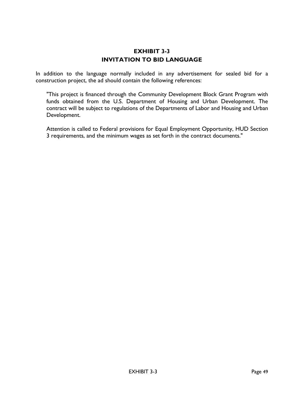## **EXHIBIT 3-3 INVITATION TO BID LANGUAGE**

In addition to the language normally included in any advertisement for sealed bid for a construction project, the ad should contain the following references:

"This project is financed through the Community Development Block Grant Program with funds obtained from the U.S. Department of Housing and Urban Development. The contract will be subject to regulations of the Departments of Labor and Housing and Urban Development.

Attention is called to Federal provisions for Equal Employment Opportunity, HUD Section 3 requirements, and the minimum wages as set forth in the contract documents."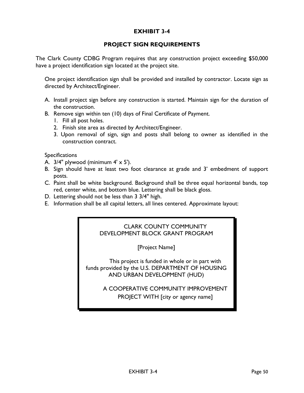## **EXHIBIT 3-4**

## **PROJECT SIGN REQUIREMENTS**

The Clark County CDBG Program requires that any construction project exceeding \$50,000 have a project identification sign located at the project site.

One project identification sign shall be provided and installed by contractor. Locate sign as directed by Architect/Engineer.

- A. Install project sign before any construction is started. Maintain sign for the duration of the construction.
- B. Remove sign within ten (10) days of Final Certificate of Payment.
	- 1. Fill all post holes.
	- 2. Finish site area as directed by Architect/Engineer.
	- 3. Upon removal of sign, sign and posts shall belong to owner as identified in the construction contract.

Specifications

- A.  $3/4$ " plywood (minimum  $4' \times 5'$ ).
- B. Sign should have at least two foot clearance at grade and 3' embedment of support posts.
- C. Paint shall be white background. Background shall be three equal horizontal bands, top red, center white, and bottom blue. Lettering shall be black gloss.
- D. Lettering should not be less than 3 3/4" high.
- E. Information shall be all capital letters, all lines centered. Approximate layout:

## CLARK COUNTY COMMUNITY DEVELOPMENT BLOCK GRANT PROGRAM

[Project Name]

This project is funded in whole or in part with funds provided by the U.S. DEPARTMENT OF HOUSING AND URBAN DEVELOPMENT (HUD)

> A COOPERATIVE COMMUNITY IMPROVEMENT PROJECT WITH [city or agency name]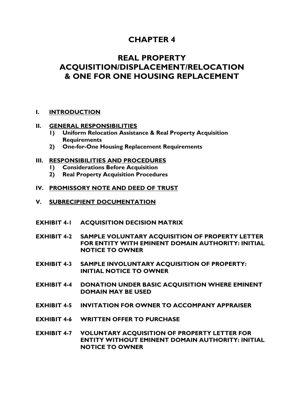# **CHAPTER 4**

# **REAL PROPERTY ACQUISITION/DISPLACEMENT/RELOCATION & ONE FOR ONE HOUSING REPLACEMENT**

## **I. [INTRODUCTION](#page-57-0)**

#### **II. [GENERAL RESPONSIBILITIES](#page-57-1)**

- **1) [Uniform Relocation Assistance & Real Property Acquisition](#page-57-2)  [Requirements](#page-57-2)**
- **2) [One-for-One Housing Replacement Requirements](#page-57-3)**

#### **III. [RESPONSIBILITIES AND PROCEDURES](#page-58-0)**

- **1) [Considerations Before Acquisition](#page-58-1)**
- **2) [Real Property Acquisition Procedures](#page-58-2)**

#### **IV. [PROMISSORY NOTE AND DEED OF TRUST](#page-60-0)**

- **V. [SUBRECIPIENT DOCUMENTATION](#page-61-0)**
- **EXHIBIT 4-1 [ACQUISITION DECISION](#page-62-0) MATRIX**
- **EXHIBIT 4-2 SAMPLE [VOLUNTARY ACQUISITION OF PROPERTY LETTER](#page-63-0) [FOR ENTITY WITH EMINENT DOMAIN AUTHORITY:](#page-63-0) INITIAL [NOTICE TO OWNER](#page-63-0)**
- **EXHIBIT 4-3 SAMPLE [INVOLUNTARY ACQUISITION OF PROPERTY:](#page-64-0) [INITIAL NOTICE TO OWNER](#page-64-0)**
- **EXHIBIT 4-4 DONATION UNDER BASIC [ACQUISITION WHERE EMINENT](#page-65-0)  [DOMAIN MAY BE USED](#page-65-0)**
- **EXHIBIT 4-5 INVITATION FOR OWNER [TO ACCOMPANY APPRAISER](#page-67-0)**
- **EXHIBIT 4-6 [WRITTEN OFFER TO PURCHASE](#page-68-0)**
- **EXHIBIT 4-7 [VOLUNTARY ACQUISITION OF PROPERTY LETTER FOR](#page-69-0)  [ENTITY WITHOUT EMINENT DOMAIN AUTHORITY:](#page-69-0) INITIAL [NOTICE TO OWNER](#page-69-0)**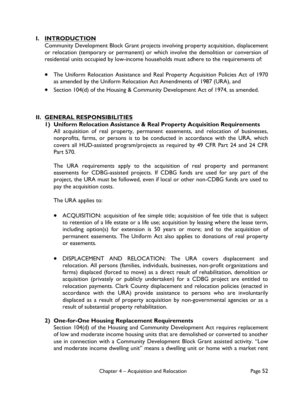## <span id="page-57-0"></span>**I. INTRODUCTION**

Community Development Block Grant projects involving property acquisition, displacement or relocation (temporary or permanent) or which involve the demolition or conversion of residential units occupied by low-income households must adhere to the requirements of:

- The Uniform Relocation Assistance and Real Property Acquisition Policies Act of 1970 as amended by the Uniform Relocation Act Amendments of 1987 (URA), and
- Section 104(d) of the Housing & Community Development Act of 1974, as amended.

## <span id="page-57-2"></span><span id="page-57-1"></span>**II. GENERAL RESPONSIBILITIES**

**1) Uniform Relocation Assistance & Real Property Acquisition Requirements** All acquisition of real property, permanent easements, and relocation of businesses, nonprofits, farms, or persons is to be conducted in accordance with the URA, which covers all HUD-assisted program/projects as required by 49 CFR Part 24 and 24 CFR Part 570.

The URA requirements apply to the acquisition of real property and permanent easements for CDBG-assisted projects. If CDBG funds are used for any part of the project, the URA must be followed, even if local or other non-CDBG funds are used to pay the acquisition costs.

The URA applies to:

- ACQUISITION: acquisition of fee simple title; acquisition of fee title that is subject to retention of a life estate or a life use; acquisition by leasing where the lease term, including option(s) for extension is 50 years or more; and to the acquisition of permanent easements. The Uniform Act also applies to donations of real property or easements.
- DISPLACEMENT AND RELOCATION: The URA covers displacement and relocation. All persons (families, individuals, businesses, non-profit organizations and farms) displaced (forced to move) as a direct result of rehabilitation, demolition or acquisition (privately or publicly undertaken) for a CDBG project are entitled to relocation payments. Clark County displacement and relocation policies (enacted in accordance with the URA) provide assistance to persons who are involuntarily displaced as a result of property acquisition by non-governmental agencies or as a result of substantial property rehabilitation.

## <span id="page-57-3"></span>**2) One-for-One Housing Replacement Requirements**

Section 104(d) of the Housing and Community Development Act requires replacement of low and moderate income housing units that are demolished or converted to another use in connection with a Community Development Block Grant assisted activity. "Low and moderate income dwelling unit" means a dwelling unit or home with a market rent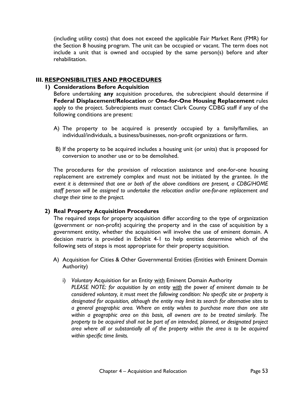(including utility costs) that does not exceed the applicable Fair Market Rent (FMR) for the Section 8 housing program. The unit can be occupied or vacant. The term does not include a unit that is owned and occupied by the same person(s) before and after rehabilitation.

## <span id="page-58-1"></span><span id="page-58-0"></span>**III. RESPONSIBILITIES AND PROCEDURES**

## **1) Considerations Before Acquisition**

Before undertaking **any** acquisition procedures, the subrecipient should determine if **Federal Displacement/Relocation** or **One-for-One Housing Replacement** rules apply to the project. Subrecipients must contact Clark County CDBG staff if any of the following conditions are present:

- A) The property to be acquired is presently occupied by a family/families, an individual/individuals, a business/businesses, non-profit organizations or farm.
- B) If the property to be acquired includes a housing unit (or units) that is proposed for conversion to another use or to be demolished.

The procedures for the provision of relocation assistance and one-for-one housing replacement are extremely complex and must not be initiated by the grantee. *In the event it is determined that one or both of the above conditions are present, a CDBG/HOME staff person will be assigned to undertake the relocation and/or one-for-one replacement and charge their time to the project.* 

## <span id="page-58-2"></span>**2) Real Property Acquisition Procedures**

The required steps for property acquisition differ according to the type of organization (government or non-profit) acquiring the property and in the case of acquisition by a government entity, whether the acquisition will involve the use of eminent domain. A decision matrix is provided in Exhibit 4-1 to help entities determine which of the following sets of steps is most appropriate for their property acquisition.

- A) Acquisition for Cities & Other Governmental Entities (Entities with Eminent Domain Authority)
	- i) *Voluntary* Acquisition for an Entity with Eminent Domain Authority

*PLEASE NOTE: for acquisition by an entity with the power of eminent domain to be considered voluntary, it must meet the following condition: No specific site or property is designated for acquisition, although the entity may limit its search for alternative sites to a general geographic area. Where an entity wishes to purchase more than one site within a geographic area on this basis, all owners are to be treated similarly. The property to be acquired shall not be part of an intended, planned, or designated project area where all or substantially all of the property within the area is to be acquired within specific time limits.*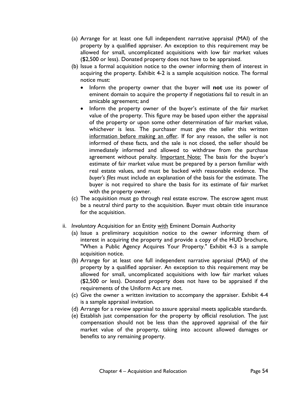- (a) Arrange for at least one full independent narrative appraisal (MAI) of the property by a qualified appraiser. An exception to this requirement may be allowed for small, uncomplicated acquisitions with low fair market values (\$2,500 or less). Donated property does not have to be appraised.
- (b) Issue a formal acquisition notice to the owner informing them of interest in acquiring the property. Exhibit 4-2 is a sample acquisition notice. The formal notice must:
	- Inform the property owner that the buyer will **not** use its power of eminent domain to acquire the property if negotiations fail to result in an amicable agreement; and
	- Inform the property owner of the buyer's estimate of the fair market value of the property. This figure may be based upon either the appraisal of the property or upon some other determination of fair market value, whichever is less. The purchaser must give the seller this written information before making an offer. If for any reason, the seller is not informed of these facts, and the sale is not closed, the seller should be immediately informed and allowed to withdraw from the purchase agreement without penalty. Important Note: The basis for the buyer's estimate of fair market value must be prepared by a person familiar with real estate values, and must be backed with reasonable evidence. The *buyer's files* must include an explanation of the basis for the estimate. The buyer is not required to share the basis for its estimate of fair market with the property owner.
- (c) The acquisition must go through real estate escrow. The escrow agent must be a neutral third party to the acquisition. Buyer must obtain title insurance for the acquisition.
- ii. *Involuntary* Acquisition for an Entity with Eminent Domain Authority
	- (a) Issue a preliminary acquisition notice to the owner informing them of interest in acquiring the property and provide a copy of the HUD brochure, "When a Public Agency Acquires Your Property." Exhibit 4-3 is a sample acquisition notice.
	- (b) Arrange for at least one full independent narrative appraisal (MAI) of the property by a qualified appraiser. An exception to this requirement may be allowed for small, uncomplicated acquisitions with low fair market values (\$2,500 or less). Donated property does not have to be appraised if the requirements of the Uniform Act are met.
	- (c) Give the owner a written invitation to accompany the appraiser. Exhibit 4-4 is a sample appraisal invitation.
	- (d) Arrange for a review appraisal to assure appraisal meets applicable standards.
	- (e) Establish just compensation for the property by official resolution. The just compensation should not be less than the approved appraisal of the fair market value of the property, taking into account allowed damages or benefits to any remaining property.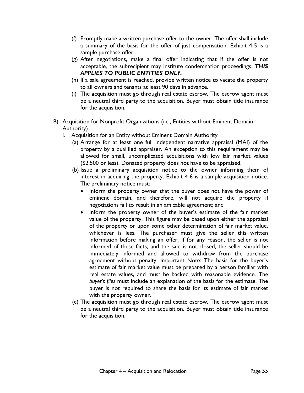- (f) Promptly make a written purchase offer to the owner. The offer shall include a summary of the basis for the offer of just compensation. Exhibit 4-5 is a sample purchase offer.
- (g) After negotiations, make a final offer indicating that if the offer is not acceptable, the subrecipient may institute condemnation proceedings. *THIS APPLIES TO PUBLIC ENTITIES ONLY.*
- (h) If a sale agreement is reached, provide written notice to vacate the property to all owners and tenants at least 90 days in advance.
- (i) The acquisition must go through real estate escrow. The escrow agent must be a neutral third party to the acquisition. Buyer must obtain title insurance for the acquisition.
- <span id="page-60-0"></span>B) Acquisition for Nonprofit Organizations (i.e., Entities without Eminent Domain Authority)
	- i. Acquisition for an Entity without Eminent Domain Authority
		- (a) Arrange for at least one full independent narrative appraisal (MAI) of the property by a qualified appraiser. An exception to this requirement may be allowed for small, uncomplicated acquisitions with low fair market values (\$2,500 or less). Donated property does not have to be appraised.
		- (b) Issue a preliminary acquisition notice to the owner informing them of interest in acquiring the property. Exhibit 4-6 is a sample acquisition notice. The preliminary notice must:
			- Inform the property owner that the buyer does not have the power of eminent domain, and therefore, will not acquire the property if negotiations fail to result in an amicable agreement; and
			- Inform the property owner of the buyer's estimate of the fair market value of the property. This figure may be based upon either the appraisal of the property or upon some other determination of fair market value, whichever is less. The purchaser must give the seller this written information before making an offer. If for any reason, the seller is not informed of these facts, and the sale is not closed, the seller should be immediately informed and allowed to withdraw from the purchase agreement without penalty. Important Note: The basis for the buyer's estimate of fair market value must be prepared by a person familiar with real estate values, and must be backed with reasonable evidence. The *buyer's files* must include an explanation of the basis for the estimate. The buyer is not required to share the basis for its estimate of fair market with the property owner.
		- (c) The acquisition must go through real estate escrow. The escrow agent must be a neutral third party to the acquisition. Buyer must obtain title insurance for the acquisition.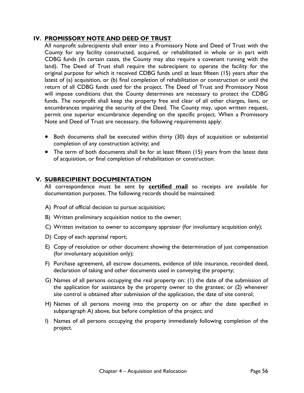## **IV. PROMISSORY NOTE AND DEED OF TRUST**

All nonprofit subrecipients shall enter into a Promissory Note and Deed of Trust with the County for any facility constructed, acquired, or rehabilitated in whole or in part with CDBG funds (In certain cases, the County may also require a covenant running with the land). The Deed of Trust shall require the subrecipient to operate the facility for the original purpose for which it received CDBG funds until at least fifteen (15) years after the latest of (a) acquisition, or (b) final completion of rehabilitation or construction or until the return of all CDBG funds used for the project. The Deed of Trust and Promissory Note will impose conditions that the County determines are necessary to protect the CDBG funds. The nonprofit shall keep the property free and clear of all other charges, liens, or encumbrances impairing the security of the Deed. The County may, upon written request, permit one superior encumbrance depending on the specific project. When a Promissory Note and Deed of Trust are necessary, the following requirements apply:

- Both documents shall be executed within thirty (30) days of acquisition or substantial completion of any construction activity; and
- The term of both documents shall be for at least fifteen (15) years from the latest date of acquisition, or final completion of rehabilitation or construction.

## <span id="page-61-0"></span>**V. SUBRECIPIENT DOCUMENTATION**

All correspondence must be sent by **certified mail** so receipts are available for documentation purposes. The following records should be maintained:

- A) Proof of official decision to pursue acquisition;
- B) Written preliminary acquisition notice to the owner;
- C) Written invitation to owner to accompany appraiser (for involuntary acquisition only);
- D) Copy of each appraisal report;
- E) Copy of resolution or other document showing the determination of just compensation (for involuntary acquisition only);
- F) Purchase agreement, all escrow documents, evidence of title insurance, recorded deed, declaration of taking and other documents used in conveying the property;
- G) Names of all persons occupying the real property on: (1) the date of the submission of the application for assistance by the property owner to the grantee; or (2) whenever site control is obtained after submission of the application, the date of site control;
- H) Names of all persons moving into the property on or after the date specified in subparagraph A) above, but before completion of the project; and
- I) Names of all persons occupying the property immediately following completion of the project.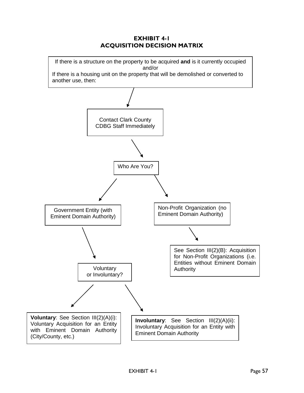## **EXHIBIT 4-1 ACQUISITION DECISION MATRIX**

<span id="page-62-0"></span>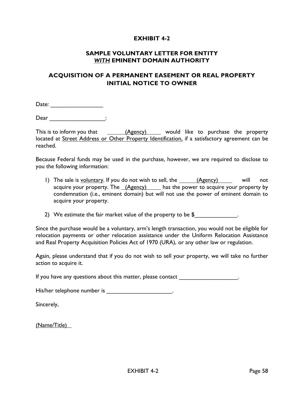#### **SAMPLE VOLUNTARY LETTER FOR ENTITY** *WITH* **EMINENT DOMAIN AUTHORITY**

## <span id="page-63-0"></span>**ACQUISITION OF A PERMANENT EASEMENT OR REAL PROPERTY INITIAL NOTICE TO OWNER**

Date: \_\_\_\_\_\_\_\_\_\_\_\_\_\_\_\_

Dear \_\_\_\_\_\_\_\_\_\_\_\_\_\_\_\_\_\_\_\_\_\_\_:

This is to inform you that (Agency) would like to purchase the property located at Street Address or Other Property Identification, if a satisfactory agreement can be reached.

Because Federal funds may be used in the purchase, however, we are required to disclose to you the following information:

1) The sale is voluntary. If you do not wish to sell, the  $(Agency)$  will not acquire your property. The *(Agency)* has the power to acquire your property by condemnation (i.e., eminent domain) but will not use the power of eminent domain to acquire your property.

2) We estimate the fair market value of the property to be  $\frac{1}{2}$  [2001].

Since the purchase would be a voluntary, arm's length transaction, you would not be eligible for relocation payments or other relocation assistance under the Uniform Relocation Assistance and Real Property Acquisition Policies Act of 1970 (URA), or any other law or regulation.

Again, please understand that if you do not wish to sell your property, we will take no further action to acquire it.

If you have any questions about this matter, please contact  $\qquad \qquad$ 

His/her telephone number is \_\_\_\_\_\_\_\_\_\_\_\_\_\_\_\_\_\_\_\_\_\_\_.

Sincerely,

(Name/Title)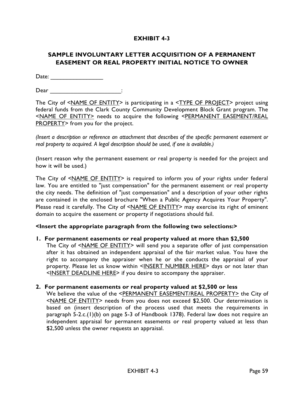# <span id="page-64-0"></span>**SAMPLE INVOLUNTARY LETTER ACQUISITION OF A PERMANENT EASEMENT OR REAL PROPERTY INITIAL NOTICE TO OWNER**

Date: \_\_\_\_\_\_\_\_\_\_\_\_\_\_\_\_

 $\mathsf{Dear}$   $\qquad \qquad \vdots$ 

The City of <NAME OF ENTITY> is participating in a <TYPE OF PROJECT> project using federal funds from the Clark County Community Development Block Grant program. The <NAME OF ENTITY> needs to acquire the following <PERMANENT EASEMENT/REAL PROPERTY> from you for the project.

*(Insert a description or reference an attachment that describes of the specific permanent easement or real property to acquired. A legal description should be used, if one is available.)*

(Insert reason why the permanent easement or real property is needed for the project and how it will be used.)

The City of <NAME OF ENTITY> is required to inform you of your rights under federal law. You are entitled to "just compensation" for the permanent easement or real property the city needs. The definition of "just compensation" and a description of your other rights are contained in the enclosed brochure "When a Public Agency Acquires Your Property". Please read it carefully. The City of <NAME OF ENTITY> may exercise its right of eminent domain to acquire the easement or property if negotiations should fail.

#### **<Insert the appropriate paragraph from the following two selections:>**

#### **1. For permanent easements or real property valued at more than \$2,500**

The City of <NAME OF ENTITY> will send you a separate offer of just compensation after it has obtained an independent appraisal of the fair market value. You have the right to accompany the appraiser when he or she conducts the appraisal of your property. Please let us know within <INSERT NUMBER HERE> days or not later than <INSERT DEADLINE HERE> if you desire to accompany the appraiser.

#### **2. For permanent easements or real property valued at \$2,500 or less**

We believe the value of the <PERMANENT EASEMENT/REAL PROPERTY> the City of <NAME OF ENTITY> needs from you does not exceed \$2,500. Our determination is based on (insert description of the process used that meets the requirements in paragraph 5-2.c.(1)(b) on page 5-3 of Handbook 1378). Federal law does not require an independent appraisal for permanent easements or real property valued at less than \$2,500 unless the owner requests an appraisal.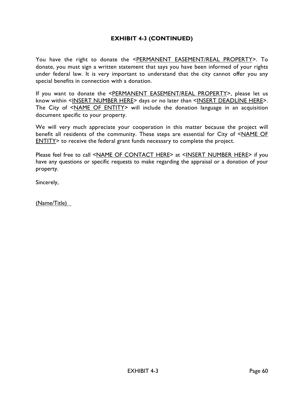# **EXHIBIT 4-3 (CONTINUED)**

You have the right to donate the <PERMANENT EASEMENT/REAL PROPERTY>. To donate, you must sign a written statement that says you have been informed of your rights under federal law. It is very important to understand that the city cannot offer you any special benefits in connection with a donation.

If you want to donate the <PERMANENT EASEMENT/REAL PROPERTY>, please let us know within <INSERT NUMBER HERE> days or no later than <INSERT DEADLINE HERE>. The City of <NAME OF ENTITY> will include the donation language in an acquisition document specific to your property.

We will very much appreciate your cooperation in this matter because the project will benefit all residents of the community. These steps are essential for City of <NAME OF ENTITY> to receive the federal grant funds necessary to complete the project.

Please feel free to call <NAME OF CONTACT HERE> at <INSERT NUMBER HERE> if you have any questions or specific requests to make regarding the appraisal or a donation of your property.

Sincerely,

<span id="page-65-0"></span>(Name/Title)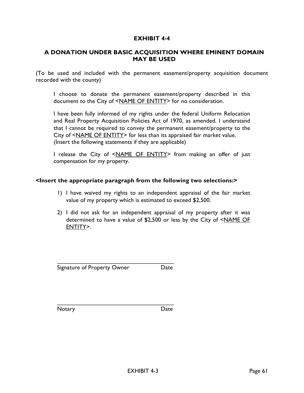## **A DONATION UNDER BASIC ACQUISITION WHERE EMINENT DOMAIN MAY BE USED**

(To be used and included with the permanent easement/property acquisition document recorded with the county)

I choose to donate the permanent easement/property described in this document to the City of <NAME OF ENTITY> for no consideration.

I have been fully informed of my rights under the federal Uniform Relocation and Real Property Acquisition Policies Act of 1970, as amended. I understand that I cannot be required to convey the permanent easement/property to the City of <NAME OF ENTITY> for less than its appraised fair market value. (Insert the following statements if they are applicable)

I release the City of <NAME OF ENTITY> from making an offer of just compensation for my property.

#### **<Insert the appropriate paragraph from the following two selections:>**

- 1) I have waived my rights to an independent appraisal of the fair market value of my property which is estimated to exceed \$2,500.
- 2) I did not ask for an independent appraisal of my property after it was determined to have a value of \$2,500 or less by the City of <NAME OF ENTITY>.

Signature of Property Owner Date

\_\_\_\_\_\_\_\_\_\_\_\_\_\_\_\_\_\_\_\_\_\_\_\_\_\_\_\_\_\_\_\_\_\_\_

Notary Date **Date** 

\_\_\_\_\_\_\_\_\_\_\_\_\_\_\_\_\_\_\_\_\_\_\_\_\_\_\_\_\_\_\_\_\_\_\_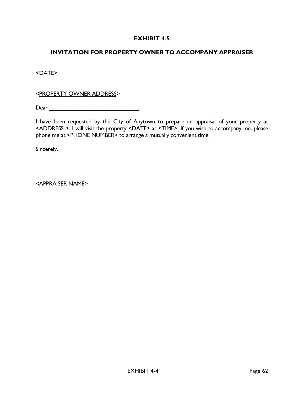## <span id="page-67-0"></span>**INVITATION FOR PROPERTY OWNER TO ACCOMPANY APPRAISER**

<DATE>

<PROPERTY OWNER ADDRESS>

Dear \_\_\_\_\_\_\_\_\_\_\_\_\_\_\_\_\_\_\_\_\_\_\_\_\_\_\_\_:

I have been requested by the City of Anytown to prepare an appraisal of your property at <ADDRESS >. I will visit the property <DATE> at <TIME>. If you wish to accompany me, please phone me at <PHONE NUMBER> to arrange a mutually convenient time.

Sincerely,

<APPRAISER NAME>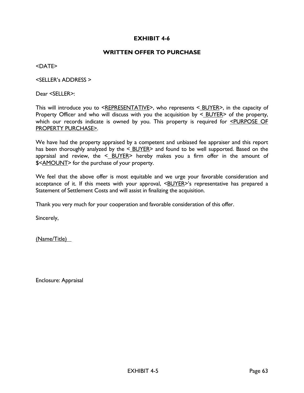#### **WRITTEN OFFER TO PURCHASE**

<span id="page-68-0"></span><DATE>

<SELLER's ADDRESS >

Dear <SELLER>:

This will introduce you to <REPRESENTATIVE>, who represents < BUYER>, in the capacity of Property Officer and who will discuss with you the acquisition by  $\leq$  BUYER> of the property, which our records indicate is owned by you. This property is required for <PURPOSE OF PROPERTY PURCHASE>.

We have had the property appraised by a competent and unbiased fee appraiser and this report has been thoroughly analyzed by the  $\leq$  BUYER and found to be well supported. Based on the appraisal and review, the  $\leq$  BUYER> hereby makes you a firm offer in the amount of \$<AMOUNT> for the purchase of your property.

We feel that the above offer is most equitable and we urge your favorable consideration and acceptance of it. If this meets with your approval,  $\leq$ BUYER>'s representative has prepared a Statement of Settlement Costs and will assist in finalizing the acquisition.

Thank you very much for your cooperation and favorable consideration of this offer.

Sincerely,

(Name/Title)

Enclosure: Appraisal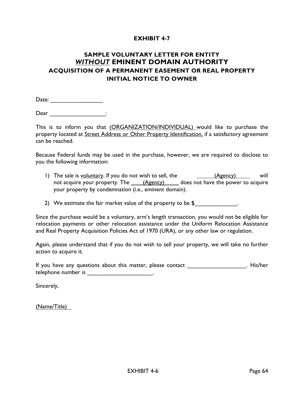# <span id="page-69-0"></span>**SAMPLE VOLUNTARY LETTER FOR ENTITY**  *WITHOUT* **EMINENT DOMAIN AUTHORITY ACQUISITION OF A PERMANENT EASEMENT OR REAL PROPERTY INITIAL NOTICE TO OWNER**

Date: \_\_\_\_\_\_\_\_\_\_\_\_\_\_\_\_

 $\mathsf{Dear}$   $\qquad \qquad \vdots$ 

This is to inform you that (ORGANIZATION/INDIVIDUAL) would like to purchase the property located at Street Address or Other Property Identification, if a satisfactory agreement can be reached.

Because Federal funds may be used in the purchase, however, we are required to disclose to you the following information:

1) The sale is voluntary. If you do not wish to sell, the  $(Agency)$  will not acquire your property. The  $(Agency)$  does not have the power to acquire your property by condemnation (i.e., eminent domain).

2) We estimate the fair market value of the property to be  $$_\sim$ 

Since the purchase would be a voluntary, arm's length transaction, you would not be eligible for relocation payments or other relocation assistance under the Uniform Relocation Assistance and Real Property Acquisition Policies Act of 1970 (URA), or any other law or regulation.

Again, please understand that if you do not wish to sell your property, we will take no further action to acquire it.

If you have any questions about this matter, please contact \_\_\_\_\_\_\_\_\_\_\_\_\_\_\_\_\_\_\_\_. His/her telephone number is \_\_\_\_\_\_\_\_\_\_\_\_\_\_\_\_\_\_\_\_\_\_\_\_.

Sincerely,

(Name/Title)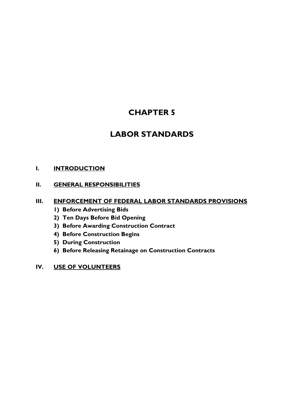# **CHAPTER 5**

# **LABOR STANDARDS**

## **I. [INTRODUCTION](#page-71-0)**

## **II. [GENERAL RESPONSIBILITIES](#page-71-1)**

#### **III. [ENFORCEMENT OF FEDERAL LABOR STANDARDS PROVISIONS](#page-72-0)**

- **1) Before Advertising Bids**
- **2) Ten Days Before Bid Opening**
- **3) Before Awarding Construction Contract**
- **4) Before Construction Begins**
- **5) During Construction**
- **6) Before Releasing Retainage on Construction Contracts**
- **IV. [USE OF VOLUNTEERS](#page-74-0)**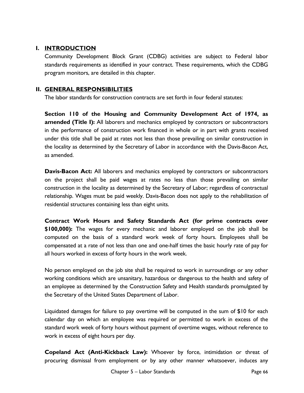## <span id="page-71-0"></span>**I. INTRODUCTION**

Community Development Block Grant (CDBG) activities are subject to Federal labor standards requirements as identified in your contract. These requirements, which the CDBG program monitors, are detailed in this chapter.

## <span id="page-71-1"></span>**II. GENERAL RESPONSIBILITIES**

The labor standards for construction contracts are set forth in four federal statutes:

**Section 110 of the Housing and Community Development Act of 1974, as amended (Title I):** All laborers and mechanics employed by contractors or subcontractors in the performance of construction work financed in whole or in part with grants received under this title shall be paid at rates not less than those prevailing on similar construction in the locality as determined by the Secretary of Labor in accordance with the Davis-Bacon Act, as amended.

**Davis-Bacon Act:** All laborers and mechanics employed by contractors or subcontractors on the project shall be paid wages at rates no less than those prevailing on similar construction in the locality as determined by the Secretary of Labor; regardless of contractual relationship. Wages must be paid weekly. Davis-Bacon does not apply to the rehabilitation of residential structures containing less than eight units.

**Contract Work Hours and Safety Standards Act (for prime contracts over \$100,000):** The wages for every mechanic and laborer employed on the job shall be computed on the basis of a standard work week of forty hours. Employees shall be compensated at a rate of not less than one and one-half times the basic hourly rate of pay for all hours worked in excess of forty hours in the work week.

No person employed on the job site shall be required to work in surroundings or any other working conditions which are unsanitary, hazardous or dangerous to the health and safety of an employee as determined by the Construction Safety and Health standards promulgated by the Secretary of the United States Department of Labor.

Liquidated damages for failure to pay overtime will be computed in the sum of \$10 for each calendar day on which an employee was required or permitted to work in excess of the standard work week of forty hours without payment of overtime wages, without reference to work in excess of eight hours per day.

**Copeland Act (Anti-Kickback Law):** Whoever by force, intimidation or threat of procuring dismissal from employment or by any other manner whatsoever, induces any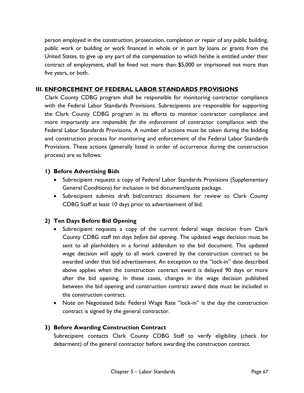person employed in the construction, prosecution, completion or repair of any public building, public work or building or work financed in whole or in part by loans or grants from the United States, to give up any part of the compensation to which he/she is entitled under their contract of employment, shall be fined not more than \$5,000 or imprisoned not more than five years, or both.

### **III. ENFORCEMENT OF FEDERAL LABOR STANDARDS PROVISIONS**

Clark County CDBG program shall be responsible for monitoring contractor compliance with the Federal Labor Standards Provisions. Subrecipients are responsible for supporting the Clark County CDBG program in its efforts to monitor contractor compliance and more importantly are *responsible for the enforcement* of contractor compliance with the Federal Labor Standards Provisions. A number of actions must be taken during the bidding and construction process for monitoring and enforcement of the Federal Labor Standards Provisions. These actions (generally listed in order of occurrence during the construction process) are as follows:

#### **1) Before Advertising Bids**

- Subrecipient requests a copy of Federal Labor Standards Provisions (Supplementary General Conditions) for inclusion in bid document/quote package.
- Subrecipient submits draft bid/contract document for review to Clark County CDBG Staff at least 10 days prior to advertisement of bid.

# **2) Ten Days Before Bid Opening**

- Subrecipient requests a copy of the current federal wage decision from Clark County CDBG staff *ten days before bid opening*. The updated wage decision must be sent to all planholders in a formal addendum to the bid document. This updated wage decision will apply to all work covered by the construction contract to be awarded under that bid advertisement. An exception to the "lock-in" date described above applies when the construction contract award is delayed 90 days or more after the bid opening. In these cases, changes in the wage decision published between the bid opening and construction contract award date must be included in the construction contract.
- Note on Negotiated bids: Federal Wage Rate "lock-in" is the day the construction contract is signed by the general contractor.

# **3) Before Awarding Construction Contract**

Subrecipient contacts Clark County CDBG Staff to verify eligibility (check for debarment) of the general contractor before awarding the construction contract.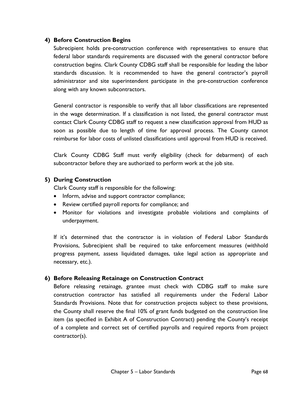# **4) Before Construction Begins**

Subrecipient holds pre-construction conference with representatives to ensure that federal labor standards requirements are discussed with the general contractor before construction begins. Clark County CDBG staff shall be responsible for leading the labor standards discussion. It is recommended to have the general contractor's payroll administrator and site superintendent participate in the pre-construction conference along with any known subcontractors.

General contractor is responsible to verify that all labor classifications are represented in the wage determination. If a classification is not listed, the general contractor must contact Clark County CDBG staff to request a new classification approval from HUD as soon as possible due to length of time for approval process. The County cannot reimburse for labor costs of unlisted classifications until approval from HUD is received.

Clark County CDBG Staff must verify eligibility (check for debarment) of each subcontractor before they are authorized to perform work at the job site.

# **5) During Construction**

Clark County staff is responsible for the following:

- Inform, advise and support contractor compliance;
- Review certified payroll reports for compliance; and
- Monitor for violations and investigate probable violations and complaints of underpayment.

If it's determined that the contractor is in violation of Federal Labor Standards Provisions, Subrecipient shall be required to take enforcement measures (withhold progress payment, assess liquidated damages, take legal action as appropriate and necessary, etc.).

# **6) Before Releasing Retainage on Construction Contract**

Before releasing retainage, grantee must check with CDBG staff to make sure construction contractor has satisfied all requirements under the Federal Labor Standards Provisions. Note that for construction projects subject to these provisions, the County shall reserve the final 10% of grant funds budgeted on the construction line item (as specified in Exhibit A of Construction Contract) pending the County's receipt of a complete and correct set of certified payrolls and required reports from project contractor(s).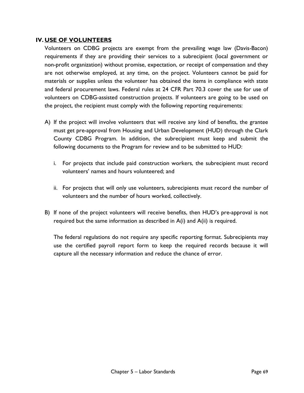### **IV. USE OF VOLUNTEERS**

Volunteers on CDBG projects are exempt from the prevailing wage law (Davis-Bacon) requirements if they are providing their services to a subrecipient (local government or non-profit organization) without promise, expectation, or receipt of compensation and they are not otherwise employed, at any time, on the project. Volunteers cannot be paid for materials or supplies unless the volunteer has obtained the items in compliance with state and federal procurement laws. Federal rules at 24 CFR Part 70.3 cover the use for use of volunteers on CDBG-assisted construction projects. If volunteers are going to be used on the project, the recipient must comply with the following reporting requirements:

- A) If the project will involve volunteers that will receive any kind of benefits, the grantee must get pre-approval from Housing and Urban Development (HUD) through the Clark County CDBG Program. In addition, the subrecipient must keep and submit the following documents to the Program for review and to be submitted to HUD:
	- i. For projects that include paid construction workers, the subrecipient must record volunteers' names and hours volunteered; and
	- ii. For projects that will only use volunteers, subrecipients must record the number of volunteers and the number of hours worked, collectively.
- B) If none of the project volunteers will receive benefits, then HUD's pre-approval is not required but the same information as described in A(i) and A(ii) is required.

The federal regulations do not require any specific reporting format. Subrecipients may use the certified payroll report form to keep the required records because it will capture all the necessary information and reduce the chance of error.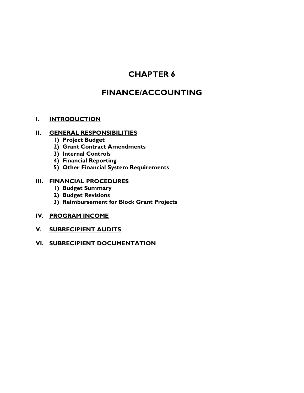# **CHAPTER 6**

# **FINANCE/ACCOUNTING**

# **I. [INTRODUCTION](#page-76-0)**

# **II. [GENERAL RESPONSIBILITIES](#page-76-1)**

- **1) [Project Budget](#page-76-2)**
- **2) [Grant Contract Amendments](#page-76-3)**
- **3) [Internal Controls](#page-76-4)**
- **4) [Financial Reporting](#page-77-0)**
- **5) [Other Financial System Requirements](#page-77-1)**

#### **III. [FINANCIAL PROCEDURES](#page-77-2)**

- **1) [Budget Summary](#page-77-3)**
- **2) [Budget Revisions](#page-78-0)**
- **3) [Reimbursement for Block Grant Projects](#page-78-1)**

# **IV. [PROGRAM INCOME](#page-78-2)**

**V. [SUBRECIPIENT AUDITS](#page-79-0)**

# **VI. [SUBRECIPIENT DOCUMENTATION](#page-79-1)**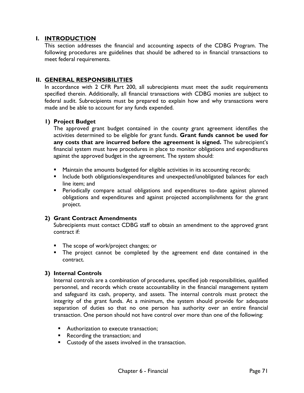# <span id="page-76-0"></span>**I. INTRODUCTION**

This section addresses the financial and accounting aspects of the CDBG Program. The following procedures are guidelines that should be adhered to in financial transactions to meet federal requirements.

# <span id="page-76-1"></span>**II. GENERAL RESPONSIBILITIES**

In accordance with 2 CFR Part 200, all subrecipients must meet the audit requirements specified therein. Additionally, all financial transactions with CDBG monies are subject to federal audit. Subrecipients must be prepared to explain how and why transactions were made and be able to account for any funds expended.

# <span id="page-76-2"></span>**1) Project Budget**

The approved grant budget contained in the county grant agreement identifies the activities determined to be eligible for grant funds. **Grant funds cannot be used for any costs that are incurred before the agreement is signed.** The subrecipient's financial system must have procedures in place to monitor obligations and expenditures against the approved budget in the agreement. The system should:

- Maintain the amounts budgeted for eligible activities in its accounting records;
- **Include both obligations/expenditures and unexpected/unobligated balances for each** line item; and
- **Periodically compare actual obligations and expenditures to-date against planned** obligations and expenditures and against projected accomplishments for the grant project.

# <span id="page-76-3"></span>**2) Grant Contract Amendments**

Subrecipients must contact CDBG staff to obtain an amendment to the approved grant contract if:

- **The scope of work/project changes; or**
- **The project cannot be completed by the agreement end date contained in the** contract.

# <span id="page-76-4"></span>**3) Internal Controls**

Internal controls are a combination of procedures, specified job responsibilities, qualified personnel, and records which create accountability in the financial management system and safeguard its cash, property, and assets. The internal controls must protect the integrity of the grant funds. At a minimum, the system should provide for adequate separation of duties so that no one person has authority over an entire financial transaction. One person should not have control over more than one of the following:

- **Authorization to execute transaction;**
- **Recording the transaction; and**
- **Custody of the assets involved in the transaction.**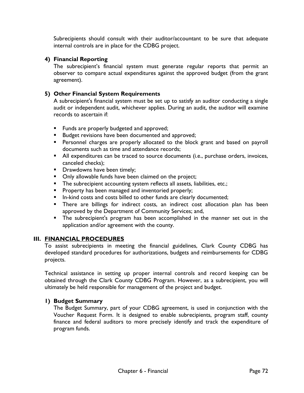Subrecipients should consult with their auditor/accountant to be sure that adequate internal controls are in place for the CDBG project.

# <span id="page-77-0"></span>**4) Financial Reporting**

The subrecipient's financial system must generate regular reports that permit an observer to compare actual expenditures against the approved budget (from the grant agreement).

# <span id="page-77-1"></span>**5) Other Financial System Requirements**

A subrecipient's financial system must be set up to satisfy an auditor conducting a single audit or independent audit, whichever applies. During an audit, the auditor will examine records to ascertain if:

- **Funds are properly budgeted and approved;**
- **Budget revisions have been documented and approved;**
- **Personnel charges are properly allocated to the block grant and based on payroll** documents such as time and attendance records;
- All expenditures can be traced to source documents (i.e., purchase orders, invoices, canceled checks);
- **Drawdowns have been timely;**
- **Drace Steppe** Only allowable funds have been claimed on the project;
- The subrecipient accounting system reflects all assets, liabilities, etc.;
- **Property has been managed and inventoried properly;**
- **In-kind costs and costs billed to other funds are clearly documented;**
- **There are billings for indirect costs, an indirect cost allocation plan has been** approved by the Department of Community Services; and,
- **The subrecipient's program has been accomplished in the manner set out in the** application and/or agreement with the county.

# <span id="page-77-2"></span>**III. FINANCIAL PROCEDURES**

To assist subrecipients in meeting the financial guidelines, Clark County CDBG has developed standard procedures for authorizations, budgets and reimbursements for CDBG projects.

Technical assistance in setting up proper internal controls and record keeping can be obtained through the Clark County CDBG Program. However, as a subrecipient, you will ultimately be held responsible for management of the project and budget.

# <span id="page-77-3"></span>**1) Budget Summary**

The Budget Summary, part of your CDBG agreement, is used in conjunction with the Voucher Request Form. It is designed to enable subrecipients, program staff, county finance and federal auditors to more precisely identify and track the expenditure of program funds.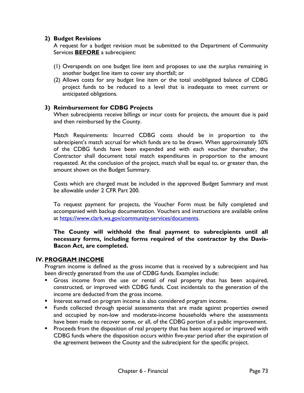# <span id="page-78-0"></span>**2) Budget Revisions**

A request for a budget revision must be submitted to the Department of Community Services **BEFORE** a subrecipient:

- (1) Overspends on one budget line item and proposes to use the surplus remaining in another budget line item to cover any shortfall; or
- (2) Allows costs for any budget line item or the total unobligated balance of CDBG project funds to be reduced to a level that is inadequate to meet current or anticipated obligations.

# <span id="page-78-1"></span>**3) Reimbursement for CDBG Projects**

When subrecipients receive billings or incur costs for projects, the amount due is paid and then reimbursed by the County.

Match Requirements: Incurred CDBG costs should be in proportion to the subrecipient's match accrual for which funds are to be drawn. When approximately 50% of the CDBG funds have been expended and with each voucher thereafter, the Contractor shall document total match expenditures in proportion to the amount requested. At the conclusion of the project, match shall be equal to, or greater than, the amount shown on the Budget Summary.

Costs which are charged must be included in the approved Budget Summary and must be allowable under 2 CFR Part 200.

To request payment for projects, the Voucher Form must be fully completed and accompanied with backup documentation. Vouchers and instructions are available online at [https://www.clark.wa.gov/community-services/documents.](https://www.clark.wa.gov/community-services/documents)

**The County will withhold the final payment to subrecipients until all necessary forms, including forms required of the contractor by the Davis-Bacon Act, are completed.**

# <span id="page-78-2"></span>**IV. PROGRAM INCOME**

Program income is defined as the gross income that is received by a subrecipient and has been directly generated from the use of CDBG funds. Examples include:

- Gross income from the use or rental of real property that has been acquired, constructed, or improved with CDBG funds. Cost incidentals to the generation of the income are deducted from the gross income.
- **Interest earned on program income is also considered program income.**
- **Funds collected through special assessments that are made against properties owned** and occupied by non-low and moderate-income households where the assessments have been made to recover some, or all, of the CDBG portion of a public improvement.
- **Proceeds from the disposition of real property that has been acquired or improved with** CDBG funds where the disposition occurs within five-year period after the expiration of the agreement between the County and the subrecipient for the specific project.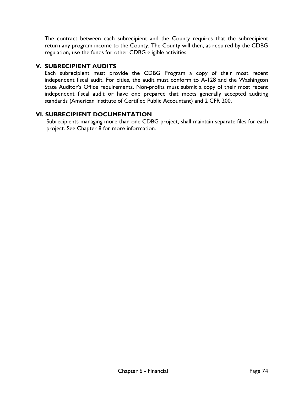The contract between each subrecipient and the County requires that the subrecipient return any program income to the County. The County will then, as required by the CDBG regulation, use the funds for other CDBG eligible activities.

# <span id="page-79-0"></span>**V. SUBRECIPIENT AUDITS**

Each subrecipient must provide the CDBG Program a copy of their most recent independent fiscal audit. For cities, the audit must conform to A-128 and the Washington State Auditor's Office requirements. Non-profits must submit a copy of their most recent independent fiscal audit or have one prepared that meets generally accepted auditing standards (American Institute of Certified Public Accountant) and 2 CFR 200.

# <span id="page-79-1"></span>**VI. SUBRECIPIENT DOCUMENTATION**

Subrecipients managing more than one CDBG project, shall maintain separate files for each project. See Chapter 8 for more information.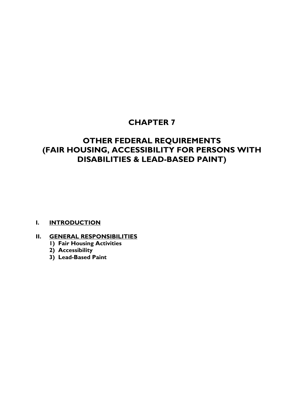# **CHAPTER 7**

# **OTHER FEDERAL REQUIREMENTS (FAIR HOUSING, ACCESSIBILITY FOR PERSONS WITH DISABILITIES & LEAD-BASED PAINT)**

# **I. [INTRODUCTION](#page-81-0)**

# **II. [GENERAL RESPONSIBILITIES](#page-81-1)**

- **1) Fair Housing Activities**
- **2) Accessibility**
- **3) Lead-Based Paint**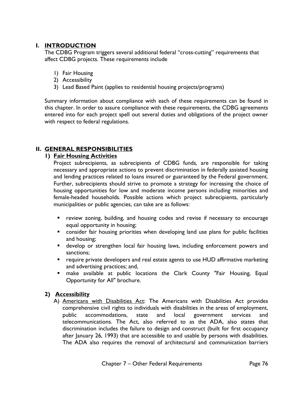# <span id="page-81-0"></span>**I. INTRODUCTION**

The CDBG Program triggers several additional federal "cross-cutting" requirements that affect CDBG projects. These requirements include

- 1) Fair Housing
- 2) Accessibility
- 3) Lead Based Paint (applies to residential housing projects/programs)

Summary information about compliance with each of these requirements can be found in this chapter. In order to assure compliance with these requirements, the CDBG agreements entered into for each project spell out several duties and obligations of the project owner with respect to federal regulations.

# <span id="page-81-1"></span>**II. GENERAL RESPONSIBILITIES**

# **1) Fair Housing Activities**

Project subrecipients, as subrecipients of CDBG funds, are responsible for taking necessary and appropriate actions to prevent discrimination in federally assisted housing and lending practices related to loans insured or guaranteed by the Federal government. Further, subrecipients should strive to promote a strategy for increasing the choice of housing opportunities for low and moderate income persons including minorities and female-headed households. Possible actions which project subrecipients, particularly municipalities or public agencies, can take are as follows:

- **•** review zoning, building, and housing codes and revise if necessary to encourage equal opportunity in housing;
- **EXP** consider fair housing priorities when developing land use plans for public facilities and housing;
- develop or strengthen local fair housing laws, including enforcement powers and sanctions;
- **•** require private developers and real estate agents to use HUD affirmative marketing and advertising practices; and,
- make available at public locations the Clark County "Fair Housing, Equal Opportunity for All" brochure.

# **2) Accessibility**

A) Americans with Disabilities Act: The Americans with Disabilities Act provides comprehensive civil rights to individuals with disabilities in the areas of employment, public accommodations, state and local government services and telecommunications. The Act, also referred to as the ADA, also states that discrimination includes the failure to design and construct (built for first occupancy after January 26, 1993) that are accessible to and usable by persons with disabilities. The ADA also requires the removal of architectural and communication barriers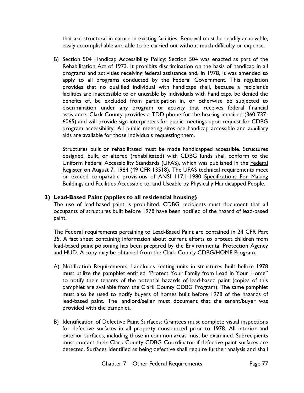that are structural in nature in existing facilities. Removal must be readily achievable, easily accomplishable and able to be carried out without much difficulty or expense.

B) Section 504 Handicap Accessibility Policy: Section 504 was enacted as part of the Rehabilitation Act of 1973. It prohibits discrimination on the basis of handicap in all programs and activities receiving federal assistance and, in 1978, it was amended to apply to all programs conducted by the Federal Government. This regulation provides that no qualified individual with handicaps shall, because a recipient's facilities are inaccessible to or unusable by individuals with handicaps, be denied the benefits of, be excluded from participation in, or otherwise be subjected to discrimination under any program or activity that receives federal financial assistance. Clark County provides a TDD phone for the hearing impaired (360-737- 6065) and will provide sign interpreters for public meetings upon request for CDBG program accessibility. All public meeting sites are handicap accessible and auxiliary aids are available for those individuals requesting them.

Structures built or rehabilitated must be made handicapped accessible. Structures designed, built, or altered (rehabilitated) with CDBG funds shall conform to the Uniform Federal Accessibility Standards (UFAS), which was published in the Federal Register on August 7, 1984 (49 CFR 13518). The UFAS technical requirements meet or exceed comparable provisions of ANSI 117.1-1980 Specifications For Making Buildings and Facilities Accessible to, and Useable by Physically Handicapped People.

# **3) Lead-Based Paint (applies to all residential housing)**

The use of lead-based paint is prohibited. CDBG recipients must document that all occupants of structures built before 1978 have been notified of the hazard of lead-based paint.

The Federal requirements pertaining to Lead-Based Paint are contained in 24 CFR Part 35. A fact sheet containing information about current efforts to protect children from lead-based paint poisoning has been prepared by the Environmental Protection Agency and HUD. A copy may be obtained from the Clark County CDBG/HOME Program.

- A) Notification Requirements: Landlords renting units in structures built before 1978 must utilize the pamphlet entitled "Protect Your Family from Lead in Your Home" to notify their tenants of the potential hazards of lead-based paint (copies of this pamphlet are available from the Clark County CDBG Program). The same pamphlet must also be used to notify buyers of homes built before 1978 of the hazards of lead-based paint. The landlord/seller must document that the tenant/buyer was provided with the pamphlet.
- B) Identification of Defective Paint Surfaces: Grantees must complete visual inspections for defective surfaces in all property constructed prior to 1978. All interior and exterior surfaces, including those in common areas must be examined. Subrecipients must contact their Clark County CDBG Coordinator if defective paint surfaces are detected. Surfaces identified as being defective shall require further analysis and shall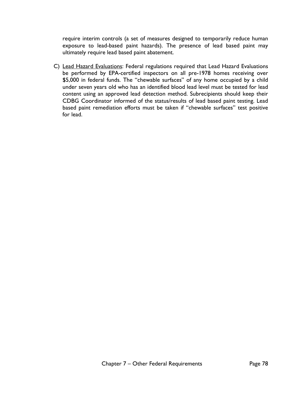require interim controls (a set of measures designed to temporarily reduce human exposure to lead-based paint hazards). The presence of lead based paint may ultimately require lead based paint abatement.

C) Lead Hazard Evaluations: Federal regulations required that Lead Hazard Evaluations be performed by EPA-certified inspectors on all pre-1978 homes receiving over \$5,000 in federal funds. The "chewable surfaces" of any home occupied by a child under seven years old who has an identified blood lead level must be tested for lead content using an approved lead detection method. Subrecipients should keep their CDBG Coordinator informed of the status/results of lead based paint testing. Lead based paint remediation efforts must be taken if "chewable surfaces" test positive for lead.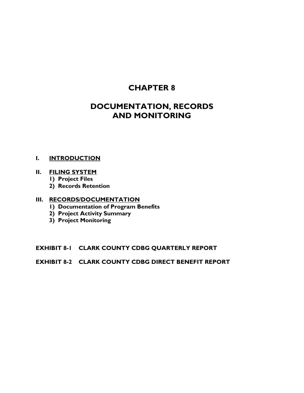# **CHAPTER 8**

# **DOCUMENTATION, RECORDS AND MONITORING**

### **I. [INTRODUCTION](#page-85-0)**

# **II. [FILING SYSTEM](#page-85-1)**

- **1) [Project Files](#page-85-2)**
- **2) [Records Retention](#page-86-0)**

# **III. [RECORDS/DOCUMENTATION](#page-86-1)**

- **1) [Documentation of Program Benefits](#page-86-2)**
- **2) [Project Activity Summary](#page-87-0)**
- **3) [Project Monitoring](#page-87-1)**

# **EXHIBIT 8-1 [CLARK COUNTY CDBG QUARTERLY REPORT](#page-88-0)**

# **EXHIBIT 8-2 CLARK COUNTY CDBG DIRECT BENEFIT REPORT**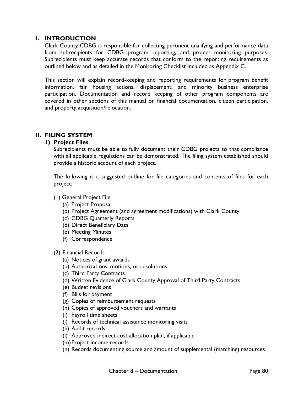# <span id="page-85-0"></span>**I. INTRODUCTION**

Clark County CDBG is responsible for collecting pertinent qualifying and performance data from subrecipients for CDBG program reporting, and project monitoring purposes. Subrecipients must keep accurate records that conform to the reporting requirements as outlined below and as detailed in the Monitoring Checklist included as Appendix C.

This section will explain record-keeping and reporting requirements for program benefit information, fair housing actions, displacement, and minority business enterprise participation. Documentation and record keeping of other program components are covered in other sections of this manual on financial documentation, citizen participation, and property acquisition/relocation.

# <span id="page-85-2"></span><span id="page-85-1"></span>**II. FILING SYSTEM**

# **1) Project Files**

Subrecipients must be able to fully document their CDBG projects so that compliance with all applicable regulations can be demonstrated. The filing system established should provide a historic account of each project.

The following is a suggested outline for file categories and contents of files for each project:

- (1) General Project File
	- (a) Project Proposal
	- (b) Project Agreement (and agreement modifications) with Clark County
	- (c) CDBG Quarterly Reports
	- (d) Direct Beneficiary Data
	- (e) Meeting Minutes
	- (f) Correspondence
- (2) Financial Records
	- (a) Notices of grant awards
	- (b) Authorizations, motions, or resolutions
	- (c) Third Party Contracts
	- (d) Written Evidence of Clark County Approval of Third Party Contracts
	- (e) Budget revisions
	- (f) Bills for payment
	- (g) Copies of reimbursement requests
	- (h) Copies of approved vouchers and warrants
	- (i) Payroll time sheets
	- (j) Records of technical assistance monitoring visits
	- (k) Audit records
	- (l) Approved indirect cost allocation plan, if applicable
	- (m)Project income records
	- (n) Records documenting source and amount of supplemental (matching) resources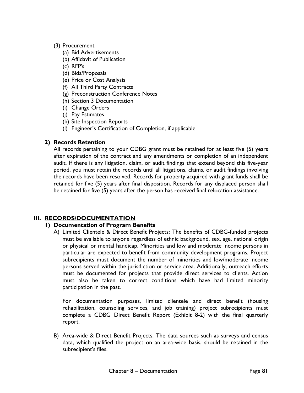# (3) Procurement

- (a) Bid Advertisements
- (b) Affidavit of Publication
- (c) RFP's
- (d) Bids/Proposals
- (e) Price or Cost Analysis
- (f) All Third Party Contracts
- (g) Preconstruction Conference Notes
- (h) Section 3 Documentation
- (i) Change Orders
- (j) Pay Estimates
- (k) Site Inspection Reports
- (l) Engineer's Certification of Completion, if applicable

# <span id="page-86-0"></span>**2) Records Retention**

All records pertaining to your CDBG grant must be retained for at least five (5) years after expiration of the contract and any amendments or completion of an independent audit. If there is any litigation, claim, or audit findings that extend beyond this five-year period, you must retain the records until all litigations, claims, or audit findings involving the records have been resolved. Records for property acquired with grant funds shall be retained for five (5) years after final disposition. Records for any displaced person shall be retained for five (5) years after the person has received final relocation assistance.

# <span id="page-86-2"></span><span id="page-86-1"></span>**III. RECORDS/DOCUMENTATION**

#### **1) Documentation of Program Benefits**

A) Limited Clientele & Direct Benefit Projects: The benefits of CDBG-funded projects must be available to anyone regardless of ethnic background, sex, age, national origin or physical or mental handicap. Minorities and low and moderate income persons in particular are expected to benefit from community development programs. Project subrecipients must document the number of minorities and low/moderate income persons served within the jurisdiction or service area. Additionally, outreach efforts must be documented for projects that provide direct services to clients. Action must also be taken to correct conditions which have had limited minority participation in the past.

For documentation purposes, limited clientele and direct benefit (housing rehabilitation, counseling services, and job training) project subrecipients must complete a CDBG Direct Benefit Report (Exhibit 8-2) with the final quarterly report.

B) Area-wide & Direct Benefit Projects: The data sources such as surveys and census data, which qualified the project on an area-wide basis, should be retained in the subrecipient's files.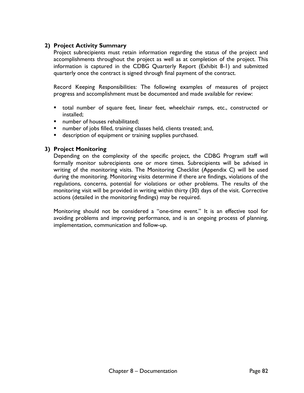# <span id="page-87-0"></span>**2) Project Activity Summary**

Project subrecipients must retain information regarding the status of the project and accomplishments throughout the project as well as at completion of the project. This information is captured in the CDBG Quarterly Report (Exhibit 8-1) and submitted quarterly once the contract is signed through final payment of the contract.

Record Keeping Responsibilities: The following examples of measures of project progress and accomplishment must be documented and made available for review:

- total number of square feet, linear feet, wheelchair ramps, etc., constructed or installed;
- number of houses rehabilitated;
- number of jobs filled, training classes held, clients treated; and,
- **description of equipment or training supplies purchased.**

#### <span id="page-87-1"></span>**3) Project Monitoring**

Depending on the complexity of the specific project, the CDBG Program staff will formally monitor subrecipients one or more times. Subrecipients will be advised in writing of the monitoring visits. The Monitoring Checklist (Appendix C) will be used during the monitoring. Monitoring visits determine if there are findings, violations of the regulations, concerns, potential for violations or other problems. The results of the monitoring visit will be provided in writing within thirty (30) days of the visit. Corrective actions (detailed in the monitoring findings) may be required.

Monitoring should not be considered a "one-time event." It is an effective tool for avoiding problems and improving performance, and is an ongoing process of planning, implementation, communication and follow-up.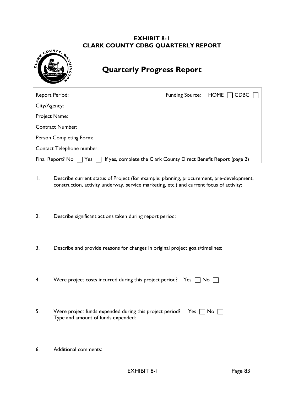# **EXHIBIT 8-1 CLARK COUNTY CDBG QUARTERLY REPORT**

<span id="page-88-0"></span>

# **Quarterly Progress Report**

| <b>Report Period:</b>                                                                         | <b>Funding Source:</b> | $HOME \square CDBG$ |
|-----------------------------------------------------------------------------------------------|------------------------|---------------------|
| City/Agency:                                                                                  |                        |                     |
| Project Name:                                                                                 |                        |                     |
| <b>Contract Number:</b>                                                                       |                        |                     |
| Person Completing Form:                                                                       |                        |                     |
| Contact Telephone number:                                                                     |                        |                     |
| If yes, complete the Clark County Direct Benefit Report (page 2)<br>Final Report? No<br>Yes l |                        |                     |

- 1. Describe current status of Project (for example: planning, procurement, pre-development, construction, activity underway, service marketing, etc.) and current focus of activity:
- 2. Describe significant actions taken during report period:
- 3. Describe and provide reasons for changes in original project goals/timelines:
- 4. Were project costs incurred during this project period? Yes  $\Box$  No  $\Box$
- 5. Were project funds expended during this project period? Yes  $\Box$  No  $\Box$ Type and amount of funds expended:
- 6. Additional comments: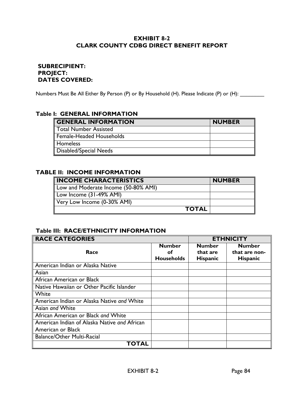# **EXHIBIT 8-2 CLARK COUNTY CDBG DIRECT BENEFIT REPORT**

# **SUBRECIPIENT: PROJECT: DATES COVERED:**

Numbers Must Be All Either By Person (P) or By Household (H). Please Indicate (P) or (H): \_\_\_\_\_\_\_\_\_

#### **Table I: GENERAL INFORMATION**

| <b>GENERAL INFORMATION</b> | <b>NUMBER</b> |
|----------------------------|---------------|
| Total Number Assisted      |               |
| Female-Headed Households   |               |
| Homeless                   |               |
| Disabled/Special Needs     |               |

#### **TABLE II: INCOME INFORMATION**

| <b>INCOME CHARACTERISTICS</b>        | <b>NUMBER</b> |
|--------------------------------------|---------------|
| Low and Moderate Income (50-80% AMI) |               |
| Low Income (31-49% AMI)              |               |
| Very Low Income (0-30% AMI)          |               |
| <b>TOTAL</b>                         |               |

# **Table III: RACE/ETHNICITY INFORMATION**

| <b>RACE CATEGORIES</b>                       |                   | <b>ETHNICITY</b> |                 |
|----------------------------------------------|-------------------|------------------|-----------------|
|                                              | <b>Number</b>     | <b>Number</b>    | <b>Number</b>   |
| Race                                         | οf                | that are         | that are non-   |
|                                              | <b>Households</b> | <b>Hispanic</b>  | <b>Hispanic</b> |
| American Indian or Alaska Native             |                   |                  |                 |
| Asian                                        |                   |                  |                 |
| African American or Black                    |                   |                  |                 |
| Native Hawaiian or Other Pacific Islander    |                   |                  |                 |
| White                                        |                   |                  |                 |
| American Indian or Alaska Native and White   |                   |                  |                 |
| Asian and White                              |                   |                  |                 |
| African American or Black and White          |                   |                  |                 |
| American Indian of Alaska Native and African |                   |                  |                 |
| American or Black                            |                   |                  |                 |
| <b>Balance/Other Multi-Racial</b>            |                   |                  |                 |
| TOTAL                                        |                   |                  |                 |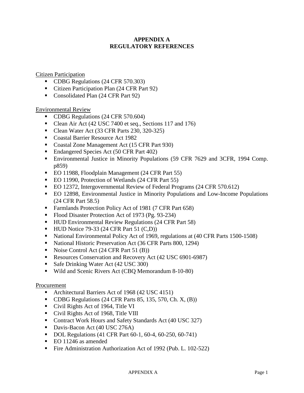# **APPENDIX A REGULATORY REFERENCES**

Citizen Participation

- CDBG Regulations (24 CFR 570.303)
- Citizen Participation Plan (24 CFR Part 92)
- Consolidated Plan (24 CFR Part 92)

Environmental Review

- CDBG Regulations (24 CFR 570.604)
- Clean Air Act (42 USC 7400 et seq., Sections 117 and 176)
- Clean Water Act (33 CFR Parts 230, 320-325)
- Coastal Barrier Resource Act 1982
- Coastal Zone Management Act (15 CFR Part 930)
- Endangered Species Act (50 CFR Part 402)
- Environmental Justice in Minority Populations (59 CFR 7629 and 3CFR, 1994 Comp. p859)
- EO 11988, Floodplain Management (24 CFR Part 55)
- EO 11990, Protection of Wetlands (24 CFR Part 55)
- EO 12372, Intergovernmental Review of Federal Programs (24 CFR 570.612)
- EO 12898, Environmental Justice in Minority Populations and Low-Income Populations (24 CFR Part 58.5)
- Farmlands Protection Policy Act of 1981 (7 CFR Part 658)
- Flood Disaster Protection Act of 1973 (Pg. 93-234)
- HUD Environmental Review Regulations (24 CFR Part 58)
- $\blacksquare$  HUD Notice 79-33 (24 CFR Part 51 (C,D))
- National Environmental Policy Act of 1969, regulations at (40 CFR Parts 1500-1508)
- National Historic Preservation Act (36 CFR Parts 800, 1294)
- Noise Control Act  $(24 \text{ CFR Part } 51 \text{ (B)})$
- Resources Conservation and Recovery Act (42 USC 6901-6987)
- Safe Drinking Water Act (42 USC 300)
- Wild and Scenic Rivers Act (CBQ Memorandum 8-10-80)

#### Procurement

- Architectural Barriers Act of 1968 (42 USC 4151)
- $\blacksquare$  CDBG Regulations (24 CFR Parts 85, 135, 570, Ch. X, (B))
- Civil Rights Act of 1964, Title VI
- Civil Rights Act of 1968, Title VIII
- Contract Work Hours and Safety Standards Act (40 USC 327)
- Davis-Bacon Act (40 USC 276A)
- DOL Regulations (41 CFR Part 60-1, 60-4, 60-250, 60-741)
- EO 11246 as amended
- Fire Administration Authorization Act of 1992 (Pub. L. 102-522)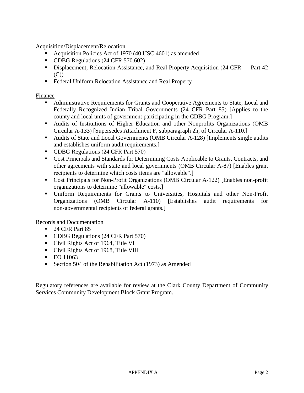Acquisition/Displacement/Relocation

- Acquisition Policies Act of 1970 (40 USC 4601) as amended
- CDBG Regulations (24 CFR 570.602)
- Displacement, Relocation Assistance, and Real Property Acquisition (24 CFR  $\_\$  Part 42 (C))
- **Federal Uniform Relocation Assistance and Real Property**

#### Finance

- Administrative Requirements for Grants and Cooperative Agreements to State, Local and Federally Recognized Indian Tribal Governments (24 CFR Part 85) [Applies to the county and local units of government participating in the CDBG Program.]
- Audits of Institutions of Higher Education and other Nonprofits Organizations (OMB Circular A-133) [Supersedes Attachment F, subparagraph 2h, of Circular A-110.]
- Audits of State and Local Governments (OMB Circular A-128) [Implements single audits and establishes uniform audit requirements.]
- CDBG Regulations (24 CFR Part 570)
- Cost Principals and Standards for Determining Costs Applicable to Grants, Contracts, and other agreements with state and local governments (OMB Circular A-87) [Enables grant recipients to determine which costs items are "allowable".]
- Cost Principals for Non-Profit Organizations (OMB Circular A-122) [Enables non-profit organizations to determine "allowable" costs.]
- Uniform Requirements for Grants to Universities, Hospitals and other Non-Profit Organizations (OMB Circular A-110) [Establishes audit requirements for non-governmental recipients of federal grants.]

Records and Documentation

- 24 CFR Part 85
- CDBG Regulations (24 CFR Part 570)
- Civil Rights Act of 1964, Title VI
- Civil Rights Act of 1968, Title VIII
- $E$ O 11063
- Section 504 of the Rehabilitation Act (1973) as Amended

Regulatory references are available for review at the Clark County Department of Community Services Community Development Block Grant Program.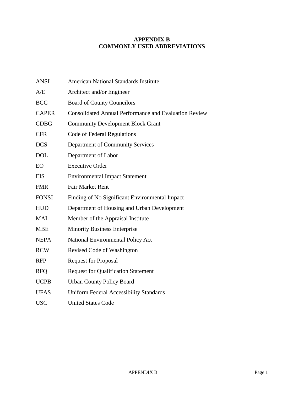# **APPENDIX B COMMONLY USED ABBREVIATIONS**

| <b>ANSI</b>  | <b>American National Standards Institute</b>                 |
|--------------|--------------------------------------------------------------|
| A/E          | Architect and/or Engineer                                    |
| <b>BCC</b>   | <b>Board of County Councilors</b>                            |
| <b>CAPER</b> | <b>Consolidated Annual Performance and Evaluation Review</b> |
| <b>CDBG</b>  | <b>Community Development Block Grant</b>                     |
| <b>CFR</b>   | Code of Federal Regulations                                  |
| <b>DCS</b>   | Department of Community Services                             |
| <b>DOL</b>   | Department of Labor                                          |
| EO           | <b>Executive Order</b>                                       |
| <b>EIS</b>   | <b>Environmental Impact Statement</b>                        |
| <b>FMR</b>   | <b>Fair Market Rent</b>                                      |
| <b>FONSI</b> | Finding of No Significant Environmental Impact               |
| <b>HUD</b>   | Department of Housing and Urban Development                  |
| <b>MAI</b>   | Member of the Appraisal Institute                            |
| <b>MBE</b>   | <b>Minority Business Enterprise</b>                          |
| <b>NEPA</b>  | <b>National Environmental Policy Act</b>                     |
| <b>RCW</b>   | Revised Code of Washington                                   |
| <b>RFP</b>   | <b>Request for Proposal</b>                                  |
| <b>RFQ</b>   | <b>Request for Qualification Statement</b>                   |
| <b>UCPB</b>  | <b>Urban County Policy Board</b>                             |
| <b>UFAS</b>  | <b>Uniform Federal Accessibility Standards</b>               |
| <b>USC</b>   | <b>United States Code</b>                                    |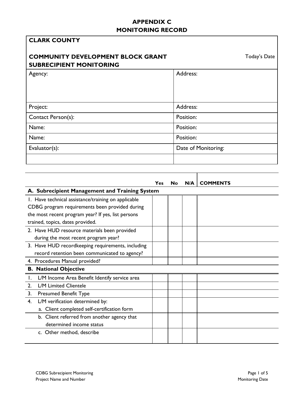# **APPENDIX C MONITORING RECORD**

| <b>CLARK COUNTY</b>                                                        |            |    |           |                     |              |
|----------------------------------------------------------------------------|------------|----|-----------|---------------------|--------------|
| <b>COMMUNITY DEVELOPMENT BLOCK GRANT</b><br><b>SUBRECIPIENT MONITORING</b> |            |    |           |                     | Today's Date |
| Agency:                                                                    |            |    | Address:  |                     |              |
|                                                                            |            |    |           |                     |              |
|                                                                            |            |    | Address:  |                     |              |
| Project:                                                                   |            |    |           |                     |              |
| Contact Person(s):                                                         |            |    | Position: |                     |              |
| Name:                                                                      |            |    | Position: |                     |              |
| Name:                                                                      |            |    | Position: |                     |              |
| Evaluator(s):                                                              |            |    |           | Date of Monitoring: |              |
|                                                                            |            |    |           |                     |              |
|                                                                            |            |    |           |                     |              |
|                                                                            | <b>Yes</b> | No | N/A       | <b>COMMENTS</b>     |              |
| A. Subrecipient Management and Training System                             |            |    |           |                     |              |
| I. Have technical assistance/training on applicable                        |            |    |           |                     |              |
| CDBG program requirements been provided during                             |            |    |           |                     |              |
| the most recent program year? If yes, list persons                         |            |    |           |                     |              |
| trained, topics, dates provided.                                           |            |    |           |                     |              |
| 2. Have HUD resource materials been provided                               |            |    |           |                     |              |
| during the most recent program year?                                       |            |    |           |                     |              |
| 3. Have HUD recordkeeping requirements, including                          |            |    |           |                     |              |
| record retention been communicated to agency?                              |            |    |           |                     |              |
| 4. Procedures Manual provided?                                             |            |    |           |                     |              |

|    | 4. Procedures Manual provided?                |  |  |
|----|-----------------------------------------------|--|--|
|    | <b>B. National Objective</b>                  |  |  |
|    | L/M Income Area Benefit Identify service area |  |  |
|    | L/M Limited Clientele                         |  |  |
| 3. | <b>Presumed Benefit Type</b>                  |  |  |
| 4. | L/M verification determined by:               |  |  |
|    | a. Client completed self-certification form   |  |  |
|    | b. Client referred from another agency that   |  |  |
|    | determined income status                      |  |  |
|    | c. Other method, describe                     |  |  |
|    |                                               |  |  |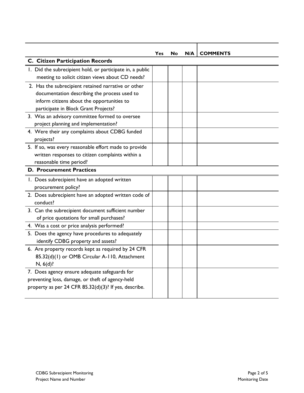|                                                           | Yes | No | N/A | <b>COMMENTS</b> |
|-----------------------------------------------------------|-----|----|-----|-----------------|
| C. Citizen Participation Records                          |     |    |     |                 |
| I. Did the subrecipient hold, or participate in, a public |     |    |     |                 |
| meeting to solicit citizen views about CD needs?          |     |    |     |                 |
| 2. Has the subrecipient retained narrative or other       |     |    |     |                 |
| documentation describing the process used to              |     |    |     |                 |
| inform citizens about the opportunities to                |     |    |     |                 |
| participate in Block Grant Projects?                      |     |    |     |                 |
| 3. Was an advisory committee formed to oversee            |     |    |     |                 |
| project planning and implementation?                      |     |    |     |                 |
| 4. Were their any complaints about CDBG funded            |     |    |     |                 |
| projects?                                                 |     |    |     |                 |
| 5. If so, was every reasonable effort made to provide     |     |    |     |                 |
| written responses to citizen complaints within a          |     |    |     |                 |
| reasonable time period?                                   |     |    |     |                 |
| <b>D. Procurement Practices</b>                           |     |    |     |                 |
| I. Does subrecipient have an adopted written              |     |    |     |                 |
| procurement policy?                                       |     |    |     |                 |
| 2. Does subrecipient have an adopted written code of      |     |    |     |                 |
| conduct?                                                  |     |    |     |                 |
| 3. Can the subrecipient document sufficient number        |     |    |     |                 |
| of price quotations for small purchases?                  |     |    |     |                 |
| 4. Was a cost or price analysis performed?                |     |    |     |                 |
| 5. Does the agency have procedures to adequately          |     |    |     |                 |
| identify CDBG property and assets?                        |     |    |     |                 |
| 6. Are property records kept as required by 24 CFR        |     |    |     |                 |
| 85.32(d)(1) or OMB Circular A-110, Attachment             |     |    |     |                 |
| $N, 6(d)$ ?                                               |     |    |     |                 |
| 7. Does agency ensure adequate safeguards for             |     |    |     |                 |
| preventing loss, damage, or theft of agency-held          |     |    |     |                 |
| property as per 24 CFR 85.32(d)(3)? If yes, describe.     |     |    |     |                 |
|                                                           |     |    |     |                 |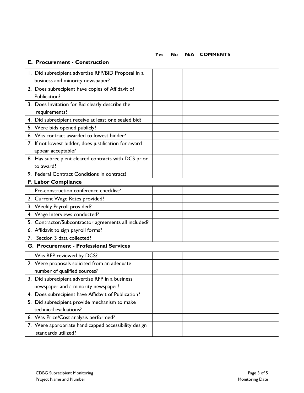|    |                                                                             | Yes | No | N/A | <b>COMMENTS</b> |
|----|-----------------------------------------------------------------------------|-----|----|-----|-----------------|
|    | <b>E. Procurement - Construction</b>                                        |     |    |     |                 |
|    | 1. Did subrecipient advertise RFP/BID Proposal in a                         |     |    |     |                 |
|    | business and minority newspaper?                                            |     |    |     |                 |
|    | 2. Does subrecipient have copies of Affidavit of                            |     |    |     |                 |
|    | Publication?                                                                |     |    |     |                 |
|    | 3. Does Invitation for Bid clearly describe the                             |     |    |     |                 |
|    | requirements?                                                               |     |    |     |                 |
|    | 4. Did subrecipient receive at least one sealed bid?                        |     |    |     |                 |
|    | 5. Were bids opened publicly?                                               |     |    |     |                 |
|    | 6. Was contract awarded to lowest bidder?                                   |     |    |     |                 |
|    | 7. If not lowest bidder, does justification for award                       |     |    |     |                 |
|    | appear acceptable?                                                          |     |    |     |                 |
|    | 8. Has subrecipient cleared contracts with DCS prior                        |     |    |     |                 |
|    | to award?                                                                   |     |    |     |                 |
|    | 9. Federal Contract Conditions in contract?                                 |     |    |     |                 |
|    | F. Labor Compliance                                                         |     |    |     |                 |
|    | 1. Pre-construction conference checklist?                                   |     |    |     |                 |
|    | 2. Current Wage Rates provided?                                             |     |    |     |                 |
|    | 3. Weekly Payroll provided?                                                 |     |    |     |                 |
|    | 4. Wage Interviews conducted?                                               |     |    |     |                 |
|    | 5. Contractor/Subcontractor agreements all included?                        |     |    |     |                 |
|    | 6. Affidavit to sign payroll forms?                                         |     |    |     |                 |
| 7. | Section 3 data collected?                                                   |     |    |     |                 |
|    | G. Procurement - Professional Services                                      |     |    |     |                 |
|    | I. Was RFP reviewed by DCS?                                                 |     |    |     |                 |
|    | 2. Were proposals solicited from an adequate                                |     |    |     |                 |
|    | number of qualified sources?                                                |     |    |     |                 |
|    | 3. Did subrecipient advertise RFP in a business                             |     |    |     |                 |
|    | newspaper and a minority newspaper?                                         |     |    |     |                 |
|    | 4. Does subrecipient have Affidavit of Publication?                         |     |    |     |                 |
|    | 5. Did subrecipient provide mechanism to make                               |     |    |     |                 |
|    | technical evaluations?                                                      |     |    |     |                 |
|    | 6. Was Price/Cost analysis performed?                                       |     |    |     |                 |
|    | 7. Were appropriate handicapped accessibility design<br>standards utilized? |     |    |     |                 |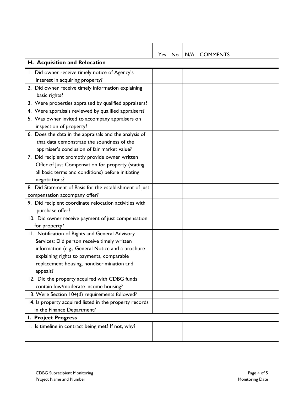|                                                         | Yes | No | N/A | <b>COMMENTS</b> |  |  |
|---------------------------------------------------------|-----|----|-----|-----------------|--|--|
| H. Acquisition and Relocation                           |     |    |     |                 |  |  |
| I. Did owner receive timely notice of Agency's          |     |    |     |                 |  |  |
| interest in acquiring property?                         |     |    |     |                 |  |  |
| 2. Did owner receive timely information explaining      |     |    |     |                 |  |  |
| basic rights?                                           |     |    |     |                 |  |  |
| 3. Were properties appraised by qualified appraisers?   |     |    |     |                 |  |  |
| 4. Were appraisals reviewed by qualified appraisers?    |     |    |     |                 |  |  |
| 5. Was owner invited to accompany appraisers on         |     |    |     |                 |  |  |
| inspection of property?                                 |     |    |     |                 |  |  |
| 6. Does the data in the appraisals and the analysis of  |     |    |     |                 |  |  |
| that data demonstrate the soundness of the              |     |    |     |                 |  |  |
| appraiser's conclusion of fair market value?            |     |    |     |                 |  |  |
| 7. Did recipient promptly provide owner written         |     |    |     |                 |  |  |
| Offer of Just Compensation for property (stating        |     |    |     |                 |  |  |
| all basic terms and conditions) before initiating       |     |    |     |                 |  |  |
| negotiations?                                           |     |    |     |                 |  |  |
| 8. Did Statement of Basis for the establishment of just |     |    |     |                 |  |  |
| compensation accompany offer?                           |     |    |     |                 |  |  |
| 9. Did recipient coordinate relocation activities with  |     |    |     |                 |  |  |
| purchase offer?                                         |     |    |     |                 |  |  |
| 10. Did owner receive payment of just compensation      |     |    |     |                 |  |  |
| for property?                                           |     |    |     |                 |  |  |
| 11. Notification of Rights and General Advisory         |     |    |     |                 |  |  |
| Services: Did person receive timely written             |     |    |     |                 |  |  |
| information (e.g., General Notice and a brochure        |     |    |     |                 |  |  |
| explaining rights to payments, comparable               |     |    |     |                 |  |  |
| replacement housing, nondiscrimination and              |     |    |     |                 |  |  |
| appeals?                                                |     |    |     |                 |  |  |
| 12. Did the property acquired with CDBG funds           |     |    |     |                 |  |  |
| contain low/moderate income housing?                    |     |    |     |                 |  |  |
| 13. Were Section 104(d) requirements followed?          |     |    |     |                 |  |  |
| 14. Is property acquired listed in the property records |     |    |     |                 |  |  |
| in the Finance Department?                              |     |    |     |                 |  |  |
| <b>I. Project Progress</b>                              |     |    |     |                 |  |  |
| 1. Is timeline in contract being met? If not, why?      |     |    |     |                 |  |  |
|                                                         |     |    |     |                 |  |  |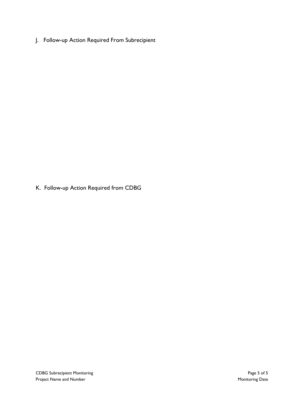J. Follow-up Action Required From Subrecipient

K. Follow-up Action Required from CDBG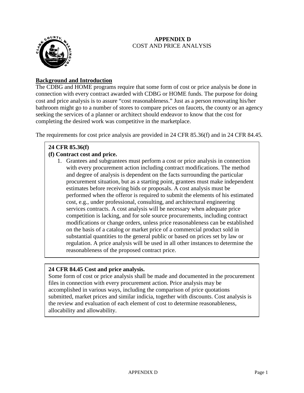# **APPENDIX D** COST AND PRICE ANALYSIS



# **Background and Introduction**

The CDBG and HOME programs require that some form of cost or price analysis be done in connection with every contract awarded with CDBG or HOME funds. The purpose for doing cost and price analysis is to assure "cost reasonableness." Just as a person renovating his/her bathroom might go to a number of stores to compare prices on faucets, the county or an agency seeking the services of a planner or architect should endeavor to know that the cost for completing the desired work was competitive in the marketplace.

The requirements for cost price analysis are provided in 24 CFR 85.36(f) and in 24 CFR 84.45.

# **24 CFR 85.36(f)**

# **(f) Contract cost and price.**

1. Grantees and subgrantees must perform a cost or price analysis in connection with every procurement action including contract modifications. The method and degree of analysis is dependent on the facts surrounding the particular procurement situation, but as a starting point, grantees must make independent estimates before receiving bids or proposals. A cost analysis must be performed when the offeror is required to submit the elements of his estimated cost, e.g., under professional, consulting, and architectural engineering services contracts. A cost analysis will be necessary when adequate price competition is lacking, and for sole source procurements, including contract modifications or change orders, unless price reasonableness can be established on the basis of a catalog or market price of a commercial product sold in substantial quantities to the general public or based on prices set by law or regulation. A price analysis will be used in all other instances to determine the reasonableness of the proposed contract price.

# **24 CFR 84.45 Cost and price analysis.**

Some form of cost or price analysis shall be made and documented in the procurement files in connection with every procurement action. Price analysis may be accomplished in various ways, including the comparison of price quotations submitted, market prices and similar indicia, together with discounts. Cost analysis is the review and evaluation of each element of cost to determine reasonableness, allocability and allowability.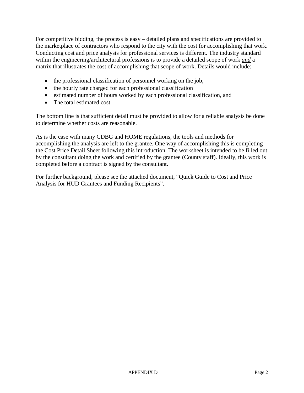For competitive bidding, the process is easy – detailed plans and specifications are provided to the marketplace of contractors who respond to the city with the cost for accomplishing that work. Conducting cost and price analysis for professional services is different. The industry standard within the engineering/architectural professions is to provide a detailed scope of work *and* a matrix that illustrates the cost of accomplishing that scope of work. Details would include:

- the professional classification of personnel working on the job,
- the hourly rate charged for each professional classification
- estimated number of hours worked by each professional classification, and
- The total estimated cost

The bottom line is that sufficient detail must be provided to allow for a reliable analysis be done to determine whether costs are reasonable.

As is the case with many CDBG and HOME regulations, the tools and methods for accomplishing the analysis are left to the grantee. One way of accomplishing this is completing the Cost Price Detail Sheet following this introduction. The worksheet is intended to be filled out by the consultant doing the work and certified by the grantee (County staff). Ideally, this work is completed before a contract is signed by the consultant.

For further background, please see the attached document, "Quick Guide to Cost and Price Analysis for HUD Grantees and Funding Recipients".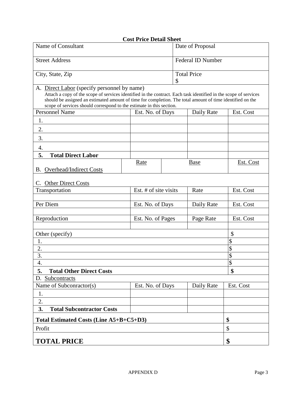|                                                                                                                                                                                                                                                                                                                                                      | <b>Cost Price Detail Sheet</b> |    |                          |                 |  |  |
|------------------------------------------------------------------------------------------------------------------------------------------------------------------------------------------------------------------------------------------------------------------------------------------------------------------------------------------------------|--------------------------------|----|--------------------------|-----------------|--|--|
| Name of Consultant                                                                                                                                                                                                                                                                                                                                   |                                |    | Date of Proposal         |                 |  |  |
| <b>Street Address</b>                                                                                                                                                                                                                                                                                                                                |                                |    | <b>Federal ID Number</b> |                 |  |  |
| City, State, Zip                                                                                                                                                                                                                                                                                                                                     |                                | \$ | <b>Total Price</b>       |                 |  |  |
| A. Direct Labor (specify personnel by name)<br>Attach a copy of the scope of services identified in the contract. Each task identified in the scope of services<br>should be assigned an estimated amount of time for completion. The total amount of time identified on the<br>scope of services should correspond to the estimate in this section. |                                |    |                          |                 |  |  |
| <b>Personnel Name</b>                                                                                                                                                                                                                                                                                                                                | Est. No. of Days               |    | Daily Rate               | Est. Cost       |  |  |
| 1.                                                                                                                                                                                                                                                                                                                                                   |                                |    |                          |                 |  |  |
| 2.                                                                                                                                                                                                                                                                                                                                                   |                                |    |                          |                 |  |  |
| 3.                                                                                                                                                                                                                                                                                                                                                   |                                |    |                          |                 |  |  |
| 4.                                                                                                                                                                                                                                                                                                                                                   |                                |    |                          |                 |  |  |
| 5.<br><b>Total Direct Labor</b>                                                                                                                                                                                                                                                                                                                      |                                |    |                          |                 |  |  |
|                                                                                                                                                                                                                                                                                                                                                      | Rate                           |    | Base                     | Est. Cost       |  |  |
| <b>B.</b> Overhead/Indirect Costs                                                                                                                                                                                                                                                                                                                    |                                |    |                          |                 |  |  |
| <b>Other Direct Costs</b><br>C.                                                                                                                                                                                                                                                                                                                      |                                |    |                          |                 |  |  |
| Est. # of site visits<br>Transportation                                                                                                                                                                                                                                                                                                              |                                |    | Rate                     | Est. Cost       |  |  |
|                                                                                                                                                                                                                                                                                                                                                      |                                |    |                          |                 |  |  |
| Per Diem                                                                                                                                                                                                                                                                                                                                             | Est. No. of Days               |    | Daily Rate               | Est. Cost       |  |  |
| Reproduction                                                                                                                                                                                                                                                                                                                                         | Est. No. of Pages              |    | Page Rate                | Est. Cost       |  |  |
| Other (specify)                                                                                                                                                                                                                                                                                                                                      |                                |    |                          | \$              |  |  |
| 1.                                                                                                                                                                                                                                                                                                                                                   |                                |    |                          | \$              |  |  |
| 2.                                                                                                                                                                                                                                                                                                                                                   |                                |    |                          | \$              |  |  |
| 3.                                                                                                                                                                                                                                                                                                                                                   |                                |    |                          | $\overline{\$}$ |  |  |
| 4.                                                                                                                                                                                                                                                                                                                                                   |                                |    |                          | \$              |  |  |
| 5.<br><b>Total Other Direct Costs</b>                                                                                                                                                                                                                                                                                                                |                                |    |                          | \$              |  |  |
| D. Subcontracts                                                                                                                                                                                                                                                                                                                                      |                                |    |                          |                 |  |  |
| Name of Subconractor(s)                                                                                                                                                                                                                                                                                                                              | Est. No. of Days               |    | Daily Rate               | Est. Cost       |  |  |
| 1.                                                                                                                                                                                                                                                                                                                                                   |                                |    |                          |                 |  |  |
| 2.                                                                                                                                                                                                                                                                                                                                                   |                                |    |                          |                 |  |  |
| 3.<br><b>Total Subcontractor Costs</b>                                                                                                                                                                                                                                                                                                               |                                |    |                          |                 |  |  |
| Total Estimated Costs (Line A5+B+C5+D3)                                                                                                                                                                                                                                                                                                              | \$                             |    |                          |                 |  |  |
| Profit                                                                                                                                                                                                                                                                                                                                               |                                |    |                          | \$              |  |  |
| <b>TOTAL PRICE</b>                                                                                                                                                                                                                                                                                                                                   |                                |    |                          | \$              |  |  |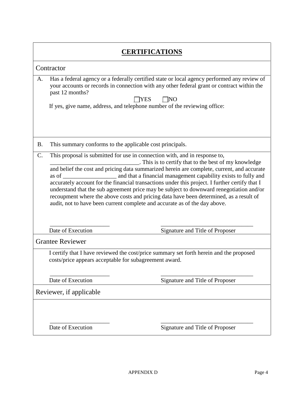|           | <b>CERTIFICATIONS</b>                                                                                                                                                                                                                                                                                                                                                                                                                                                                                                                                                                                                                                                             |                                 |  |  |  |  |  |  |
|-----------|-----------------------------------------------------------------------------------------------------------------------------------------------------------------------------------------------------------------------------------------------------------------------------------------------------------------------------------------------------------------------------------------------------------------------------------------------------------------------------------------------------------------------------------------------------------------------------------------------------------------------------------------------------------------------------------|---------------------------------|--|--|--|--|--|--|
|           | Contractor                                                                                                                                                                                                                                                                                                                                                                                                                                                                                                                                                                                                                                                                        |                                 |  |  |  |  |  |  |
| A.        | Has a federal agency or a federally certified state or local agency performed any review of<br>your accounts or records in connection with any other federal grant or contract within the<br>past 12 months?<br><b>INO</b><br><b>IYES</b><br>If yes, give name, address, and telephone number of the reviewing office:                                                                                                                                                                                                                                                                                                                                                            |                                 |  |  |  |  |  |  |
| <b>B.</b> | This summary conforms to the applicable cost principals.                                                                                                                                                                                                                                                                                                                                                                                                                                                                                                                                                                                                                          |                                 |  |  |  |  |  |  |
| C.        | This proposal is submitted for use in connection with, and in response to,<br>. This is to certify that to the best of my knowledge<br>and belief the cost and pricing data summarized herein are complete, current, and accurate<br>and that a financial management capability exists to fully and<br>as of<br>accurately account for the financial transactions under this project. I further certify that I<br>understand that the sub agreement price may be subject to downward renegotiation and/or<br>recoupment where the above costs and pricing data have been determined, as a result of<br>audit, not to have been current complete and accurate as of the day above. |                                 |  |  |  |  |  |  |
|           | Date of Execution                                                                                                                                                                                                                                                                                                                                                                                                                                                                                                                                                                                                                                                                 | Signature and Title of Proposer |  |  |  |  |  |  |
|           | <b>Grantee Reviewer</b>                                                                                                                                                                                                                                                                                                                                                                                                                                                                                                                                                                                                                                                           |                                 |  |  |  |  |  |  |
|           | I certify that I have reviewed the cost/price summary set forth herein and the proposed<br>costs/price appears acceptable for subagreement award.                                                                                                                                                                                                                                                                                                                                                                                                                                                                                                                                 |                                 |  |  |  |  |  |  |
|           | Date of Execution<br>Signature and Title of Proposer                                                                                                                                                                                                                                                                                                                                                                                                                                                                                                                                                                                                                              |                                 |  |  |  |  |  |  |
|           | Reviewer, if applicable                                                                                                                                                                                                                                                                                                                                                                                                                                                                                                                                                                                                                                                           |                                 |  |  |  |  |  |  |
|           | Date of Execution                                                                                                                                                                                                                                                                                                                                                                                                                                                                                                                                                                                                                                                                 | Signature and Title of Proposer |  |  |  |  |  |  |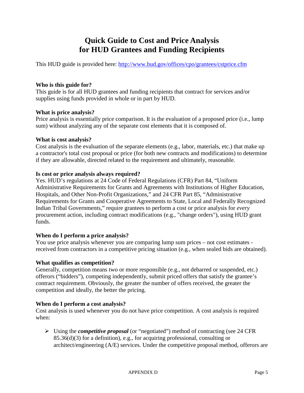# **Quick Guide to Cost and Price Analysis for HUD Grantees and Funding Recipients**

This HUD guide is provided here: <http://www.hud.gov/offices/cpo/grantees/cstprice.cfm>

#### **Who is this guide for?**

This guide is for all HUD grantees and funding recipients that contract for services and/or supplies using funds provided in whole or in part by HUD.

#### **What is price analysis?**

Price analysis is essentially price comparison. It is the evaluation of a proposed price (i.e., lump sum) without analyzing any of the separate cost elements that it is composed of.

#### **What is cost analysis?**

Cost analysis is the evaluation of the separate elements (e.g., labor, materials, etc.) that make up a contractor's total cost proposal or price (for both new contracts and modifications) to determine if they are allowable, directed related to the requirement and ultimately, reasonable.

#### **Is cost or price analysis always required?**

Yes. HUD's regulations at 24 Code of Federal Regulations (CFR) Part 84, "Uniform Administrative Requirements for Grants and Agreements with Institutions of Higher Education, Hospitals, and Other Non-Profit Organizations," and 24 CFR Part 85, "Administrative Requirements for Grants and Cooperative Agreements to State, Local and Federally Recognized Indian Tribal Governments," require grantees to perform a cost or price analysis for *every* procurement action, including contract modifications (e.g., "change orders"), using HUD grant funds.

# **When do I perform a price analysis?**

You use price analysis whenever you are comparing lump sum prices – not cost estimates received from contractors in a competitive pricing situation (e.g., when sealed bids are obtained).

#### **What qualifies as competition?**

Generally, competition means two or more responsible (e.g., not debarred or suspended, etc.) offerors ("bidders"), competing independently, submit priced offers that satisfy the grantee's contract requirement. Obviously, the greater the number of offers received, the greater the competition and ideally, the better the pricing.

# **When do I perform a cost analysis?**

Cost analysis is used whenever you do not have price competition. A cost analysis is required when:

 Using the *competitive proposal* (or "negotiated") method of contracting (see 24 CFR 85.36(d)(3) for a definition), e.g., for acquiring professional, consulting or architect/engineering (A/E) services. Under the competitive proposal method, offerors are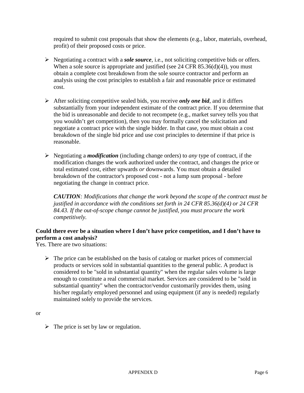required to submit cost proposals that show the elements (e.g., labor, materials, overhead, profit) of their proposed costs or price.

- Negotiating a contract with a *sole source*, i.e., not soliciting competitive bids or offers. When a sole source is appropriate and justified (see 24 CFR 85.36(d)(4)), you must obtain a complete cost breakdown from the sole source contractor and perform an analysis using the cost principles to establish a fair and reasonable price or estimated cost.
- After soliciting competitive sealed bids, you receive *only one bid*, and it differs substantially from your independent estimate of the contract price. If you determine that the bid is unreasonable and decide to not recompete (e.g., market survey tells you that you wouldn't get competition), then you may formally cancel the solicitation and negotiate a contract price with the single bidder. In that case, you must obtain a cost breakdown of the single bid price and use cost principles to determine if that price is reasonable.
- Negotiating a *modification* (including change orders) to *any* type of contract, if the modification changes the work authorized under the contract, and changes the price or total estimated cost, either upwards *or* downwards. You must obtain a detailed breakdown of the contractor's proposed cost - not a lump sum proposal - before negotiating the change in contract price.

*CAUTION: Modifications that change the work beyond the scope of the contract must be justified in accordance with the conditions set forth in 24 CFR 85.36(d)(4) or 24 CFR 84.43. If the out-of-scope change cannot be justified, you must procure the work competitively.*

# **Could there ever be a situation where I don't have price competition, and I don't have to perform a cost analysis?**

Yes. There are two situations:

 $\triangleright$  The price can be established on the basis of catalog or market prices of commercial products or services sold in substantial quantities to the general public. A product is considered to be "sold in substantial quantity" when the regular sales volume is large enough to constitute a real commercial market. Services are considered to be "sold in substantial quantity" when the contractor/vendor customarily provides them, using his/her regularly employed personnel and using equipment (if any is needed) regularly maintained solely to provide the services.

or

 $\triangleright$  The price is set by law or regulation.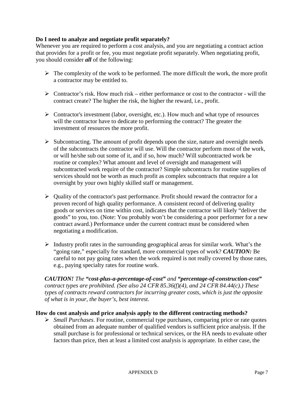### **Do I need to analyze and negotiate profit separately?**

Whenever you are required to perform a cost analysis, and you are negotiating a contract action that provides for a profit or fee, you must negotiate profit separately. When negotiating profit, you should consider *all* of the following:

- $\triangleright$  The complexity of the work to be performed. The more difficult the work, the more profit a contractor may be entitled to.
- $\triangleright$  Contractor's risk. How much risk either performance or cost to the contractor will the contract create? The higher the risk, the higher the reward, i.e., profit.
- $\triangleright$  Contractor's investment (labor, oversight, etc.). How much and what type of resources will the contractor have to dedicate to performing the contract? The greater the investment of resources the more profit.
- $\triangleright$  Subcontracting. The amount of profit depends upon the size, nature and oversight needs of the subcontracts the contractor will use. Will the contractor perform most of the work, or will he/she sub out some of it, and if so, how much? Will subcontracted work be routine or complex? What amount and level of oversight and management will subcontracted work require of the contractor? Simple subcontracts for routine supplies of services should not be worth as much profit as complex subcontracts that require a lot oversight by your own highly skilled staff or management.
- $\triangleright$  Quality of the contractor's past performance. Profit should reward the contractor for a proven record of high quality performance. A consistent record of delivering quality goods or services on time within cost, indicates that the contractor will likely "deliver the goods" to you, too. (Note: You probably won't be considering a poor performer for a new contract award.) Performance under the current contract must be considered when negotiating a modification.
- $\triangleright$  Industry profit rates in the surrounding geographical areas for similar work. What's the "going rate," especially for standard, more commercial types of work? *CAUTION:* Be careful to not pay going rates when the work required is not really covered by those rates, e.g., paying specialty rates for routine work.

*CAUTION! The "cost-plus-a-percentage-of-cost" and "percentage-of-construction-cost" contract types are prohibited. (See also 24 CFR 85.36(f)(4), and 24 CFR 84.44(c).) These types of contracts reward contractors for incurring greater costs, which is just the opposite of what is in your, the buyer's, best interest.*

#### **How do cost analysis and price analysis apply to the different contracting methods?**

 *Small Purchases*. For routine, commercial type purchases, comparing price or rate quotes obtained from an adequate number of qualified vendors is sufficient price analysis. If the small purchase is for professional or technical services, or the HA needs to evaluate other factors than price, then at least a limited cost analysis is appropriate. In either case, the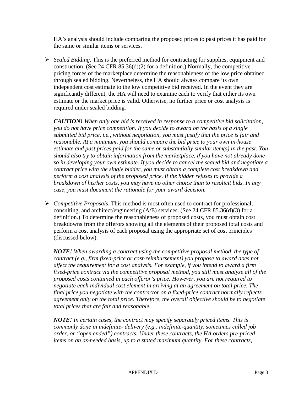HA's analysis should include comparing the proposed prices to past prices it has paid for the same or similar items or services.

 *Sealed Bidding*. This is the preferred method for contracting for supplies, equipment and construction. (See 24 CFR  $85.36(d)(2)$  for a definition.) Normally, the competitive pricing forces of the marketplace determine the reasonableness of the low price obtained through sealed bidding. Nevertheless, the HA should always compare its own independent cost estimate to the low competitive bid received. In the event they are significantly different, the HA will need to examine each to verify that either its own estimate or the market price is valid. Otherwise, no further price or cost analysis is required under sealed bidding.

*CAUTION! When only one bid is received in response to a competitive bid solicitation, you do not have price competition. If you decide to award on the basis of a single submitted bid price, i.e., without negotiation, you must justify that the price is fair and reasonable. At a minimum, you should compare the bid price to your own in-house estimate and past prices paid for the same or substantially similar item(s) in the past. You should also try to obtain information from the marketplace, if you have not already done so in developing your own estimate. If you decide to cancel the sealed bid and negotiate a contract price with the single bidder, you must obtain a complete cost breakdown and perform a cost analysis of the proposed price. If the bidder refuses to provide a breakdown of his/her costs, you may have no other choice than to resolicit bids. In any case, you must document the rationale for your award decision.*

 *Competitive Proposals*. This method is most often used to contract for professional, consulting, and architect/engineering (A/E) services. (See 24 CFR 85.36(d)(3) for a definition.) To determine the reasonableness of proposed costs, you must obtain cost breakdowns from the offerors showing all the elements of their proposed total costs and perform a cost analysis of each proposal using the appropriate set of cost principles (discussed below).

*NOTE! When awarding a contract using the competitive proposal method, the type of contract (e.g., firm fixed-price or cost-reimbursement) you propose to award does not affect the requirement for a cost analysis. For example, if you intend to award a firm fixed-price contract via the competitive proposal method, you still must analyze all of the proposed costs contained in each offeror's price. However, you are not required to negotiate each individual cost element in arriving at an agreement on total price. The final price you negotiate with the contractor on a fixed-price contract normally reflects agreement only on the total price. Therefore, the overall objective should be to negotiate total prices that are fair and reasonable.*

*NOTE! In certain cases, the contract may specify separately priced items. This is commonly done in indefinite- delivery (e.g., indefinite-quantity, sometimes called job order, or "open ended") contracts. Under these contracts, the HA orders pre-priced items on an as-needed basis, up to a stated maximum quantity. For these contracts,*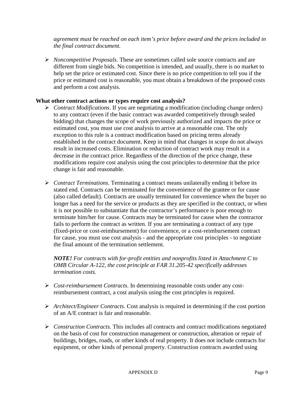*agreement must be reached on each item's price before award and the prices included in the final contract document.*

 *Noncompetitive Proposals*. These are sometimes called sole source contracts and are different from single bids. No competition is intended, and usually, there is no market to help set the price or estimated cost. Since there is no price competition to tell you if the price or estimated cost is reasonable, you must obtain a breakdown of the proposed costs and perform a cost analysis.

#### **What other contract actions or types require cost analysis?**

- *Contract Modifications*. If you are negotiating a modification (including change orders) to any contract (even if the basic contract was awarded competitively through sealed bidding) that changes the scope of work previously authorized and impacts the price or estimated cost, you must use cost analysis to arrive at a reasonable cost. The only exception to this rule is a contract modification based on pricing terms already established in the contract document. Keep in mind that changes in scope do not always result in increased costs. Elimination or reduction of contract work may result in a decrease in the contract price. Regardless of the direction of the price change, these modifications require cost analysis using the cost principles to determine that the price change is fair and reasonable.
- *Contract Terminations*. Terminating a contract means unilaterally ending it before its stated end. Contracts can be terminated for the convenience of the grantee or for cause (also called default). Contracts are usually terminated for convenience when the buyer no longer has a need for the service or products as they are specified in the contract, or when it is not possible to substantiate that the contractor's performance is poor enough to terminate him/her for cause. Contracts may be terminated for cause when the contractor fails to perform the contract as written. If you are terminating a contract of any type (fixed-price or cost-reimbursement) for convenience, or a cost-reimbursement contract for cause, you must use cost analysis - and the appropriate cost principles - to negotiate the final amount of the termination settlement.

*NOTE! For contracts with for-profit entities and nonprofits listed in Attachment C to OMB Circular A-122, the cost principle at FAR 31.205-42 specifically addresses termination costs.*

- *Cost-reimbursement Contracts*. In determining reasonable costs under any costreimbursement contract, a cost analysis using the cost principles is required.
- *Architect/Engineer Contracts*. Cost analysis is required in determining if the cost portion of an A/E contract is fair and reasonable.
- *Construction Contracts*. This includes all contracts and contract modifications negotiated on the basis of cost for construction management or construction, alteration or repair of buildings, bridges, roads, or other kinds of real property. It does not include contracts for equipment, or other kinds of personal property. Construction contracts awarded using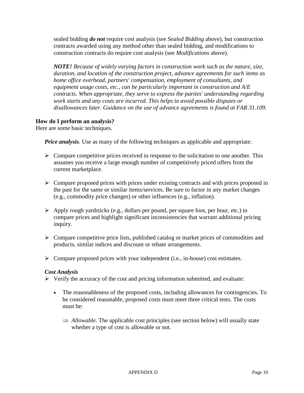sealed bidding *do not* require cost analysis (see *Sealed Bidding* above), but construction contracts awarded using any method other than sealed bidding, and modifications to construction contracts do require cost analysis (see *Modifications* above).

*NOTE! Because of widely varying factors in construction work such as the nature, size, duration, and location of the construction project, advance agreements for such items as home office overhead, partners' compensation, employment of consultants, and equipment usage costs, etc., can be particularly important in construction and A/E contracts. When appropriate, they serve to express the parties' understanding regarding work starts and any costs are incurred. This helps to avoid possible disputes or disallowances later. Guidance on the use of advance agreements is found at FAR 31.109.*

# **How do I perform an analysis?**

Here are some basic techniques.

*Price analysis*. Use as many of the following techniques as applicable and appropriate:

- $\triangleright$  Compare competitive prices received in response to the solicitation to one another. This assumes you receive a large enough number of competitively priced offers from the current marketplace.
- $\triangleright$  Compare proposed prices with prices under existing contracts and with prices proposed in the past for the same or similar items/services. Be sure to factor in any market changes (e.g., commodity price changes) or other influences (e.g., inflation).
- $\triangleright$  Apply rough yardsticks (e.g., dollars per pound, per square foot, per hour, etc.) to compare prices and highlight significant inconsistencies that warrant additional pricing inquiry.
- $\triangleright$  Compare competitive price lists, published catalog or market prices of commodities and products, similar indices and discount or rebate arrangements.
- $\triangleright$  Compare proposed prices with your independent (i.e., in-house) cost estimates.

#### *Cost Analysis*

 $\triangleright$  Verify the accuracy of the cost and pricing information submitted, and evaluate:

- The reasonableness of the proposed costs, including allowances for contingencies. To be considered reasonable, proposed costs must meet three critical tests. The costs must be:
	- ⇒ *Allowable*. The applicable cost principles (see section below) will usually state whether a type of cost is allowable or not.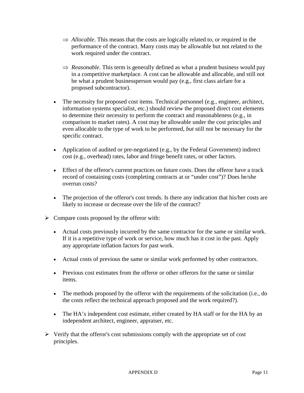- ⇒ *Allocable*. This means that the costs are logically related to, or required in the performance of the contract. Many costs may be allowable but not related to the work required under the contract.
- ⇒ *Reasonable*. This term is generally defined as what a prudent business would pay in a competitive marketplace. A cost can be allowable and allocable, and still not be what a prudent businessperson would pay (e.g., first class airfare for a proposed subcontractor).
- The necessity for proposed cost items. Technical personnel (e.g., engineer, architect, information systems specialist, etc.) should review the proposed direct cost elements to determine their necessity to perform the contract and reasonableness (e.g., in comparison to market rates). A cost may be allowable under the cost principles and even allocable to the type of work to be performed, *but* still not be necessary for the specific contract.
- Application of audited or pre-negotiated (e.g., by the Federal Government) indirect cost (e.g., overhead) rates, labor and fringe benefit rates, or other factors.
- Effect of the offeror's current practices on future costs. Does the offeror have a track record of containing costs (completing contracts at or "under cost")? Does he/she overrun costs?
- The projection of the offeror's cost trends. Is there any indication that his/her costs are likely to increase or decrease over the life of the contract?
- $\triangleright$  Compare costs proposed by the offeror with:
	- Actual costs previously incurred by the same contractor for the same or similar work. If it is a repetitive type of work or service, how much has it cost in the past. Apply any appropriate inflation factors for past work.
	- Actual costs of previous the same or similar work performed by other contractors.
	- Previous cost estimates from the offeror or other offerors for the same or similar items.
	- The methods proposed by the offeror with the requirements of the solicitation (i.e., do the costs reflect the technical approach proposed and the work required?).
	- The HA's independent cost estimate, either created by HA staff or for the HA by an independent architect, engineer, appraiser, etc.
- $\triangleright$  Verify that the offeror's cost submissions comply with the appropriate set of cost principles.